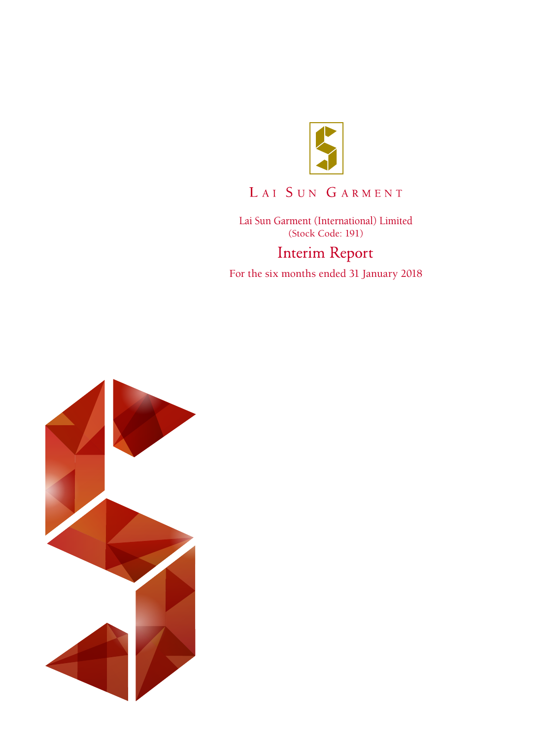

# LAI SUN GARMENT

Lai Sun Garment (International) Limited (Stock Code: 191)**Interim Report** 

For the six months ended 31 January 2018

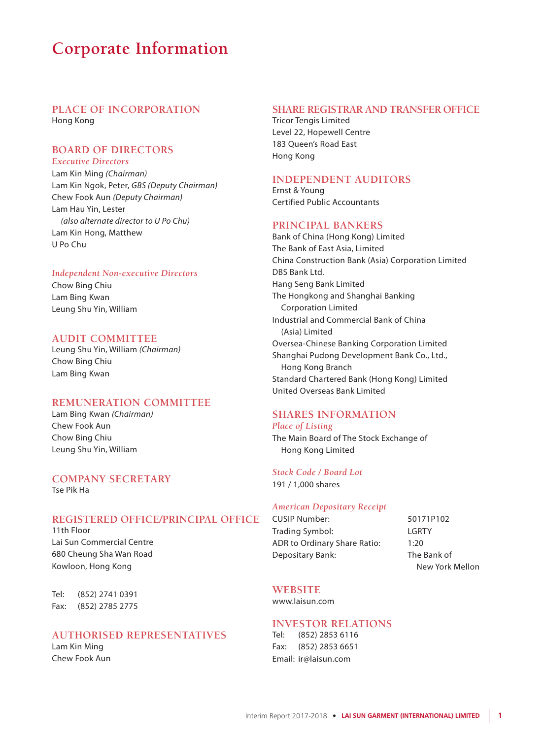# **Corporate Information**

### **PLACE OF INCORPORATION** Hong Kong

#### **BOARD OF DIRECTORS** *Executive Directors*

Lam Kin Ming *(Chairman)* Lam Kin Ngok, Peter, *GBS (Deputy Chairman)* Chew Fook Aun *(Deputy Chairman)* Lam Hau Yin, Lester *(also alternate director to U Po Chu)* Lam Kin Hong, Matthew U Po Chu

#### *Independent Non-executive Directors*

Chow Bing Chiu Lam Bing Kwan Leung Shu Yin, William

### **AUDIT COMMITTEE**

Leung Shu Yin, William *(Chairman)* Chow Bing Chiu Lam Bing Kwan

### **REMUNERATION COMMITTEE**

Lam Bing Kwan *(Chairman)* Chew Fook Aun Chow Bing Chiu Leung Shu Yin, William

### **COMPANY SECRETARY** Tse Pik Ha

### **REGISTERED OFFICE/PRINCIPAL OFFICE**

11th Floor Lai Sun Commercial Centre 680 Cheung Sha Wan Road Kowloon, Hong Kong

Tel: (852) 2741 0391 Fax: (852) 2785 2775

### **AUTHORISED REPRESENTATIVES**

Lam Kin Ming Chew Fook Aun

### **SHARE REGISTRAR AND TRANSFER OFFICE**

Tricor Tengis Limited Level 22, Hopewell Centre 183 Queen's Road East Hong Kong

### **INDEPENDENT AUDITORS**

Ernst & Young Certified Public Accountants

### **PRINCIPAL BANKERS**

Bank of China (Hong Kong) Limited The Bank of East Asia, Limited China Construction Bank (Asia) Corporation Limited DBS Bank Ltd. Hang Seng Bank Limited The Hongkong and Shanghai Banking Corporation Limited Industrial and Commercial Bank of China (Asia) Limited Oversea-Chinese Banking Corporation Limited Shanghai Pudong Development Bank Co., Ltd., Hong Kong Branch Standard Chartered Bank (Hong Kong) Limited United Overseas Bank Limited

### **SHARES INFORMATION** *Place of Listing*

The Main Board of The Stock Exchange of Hong Kong Limited

### *Stock Code / Board Lot*

191 / 1,000 shares

#### *American Depositary Receipt*

CUSIP Number: 50171P102 Trading Symbol: LGRTY ADR to Ordinary Share Ratio: 1:20 Depositary Bank: The Bank of

New York Mellon

### **WEBSITE**

www.laisun.com

### **INVESTOR RELATIONS**

Tel: (852) 2853 6116 Fax: (852) 2853 6651 Email: ir@laisun.com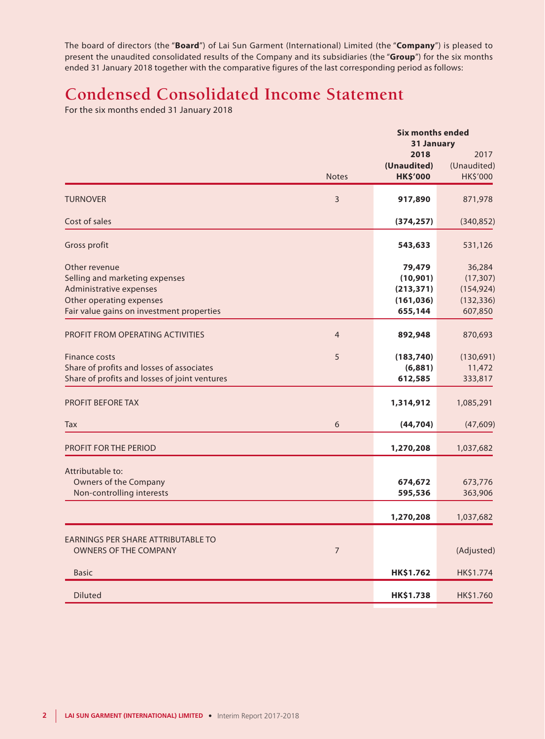The board of directors (the "**Board**") of Lai Sun Garment (International) Limited (the "**Company**") is pleased to present the unaudited consolidated results of the Company and its subsidiaries (the "**Group**") for the six months ended 31 January 2018 together with the comparative figures of the last corresponding period as follows:

# **Condensed Consolidated Income Statement**

For the six months ended 31 January 2018

|                                                                                                                                                     |                | <b>Six months ended</b>                                    |                                                            |
|-----------------------------------------------------------------------------------------------------------------------------------------------------|----------------|------------------------------------------------------------|------------------------------------------------------------|
|                                                                                                                                                     | <b>Notes</b>   | 31 January<br>2018<br>(Unaudited)<br><b>HK\$'000</b>       | 2017<br>(Unaudited)<br>HK\$'000                            |
| <b>TURNOVER</b>                                                                                                                                     | 3              | 917,890                                                    | 871,978                                                    |
| Cost of sales                                                                                                                                       |                | (374, 257)                                                 | (340, 852)                                                 |
| Gross profit                                                                                                                                        |                | 543,633                                                    | 531,126                                                    |
| Other revenue<br>Selling and marketing expenses<br>Administrative expenses<br>Other operating expenses<br>Fair value gains on investment properties |                | 79,479<br>(10, 901)<br>(213, 371)<br>(161, 036)<br>655,144 | 36,284<br>(17, 307)<br>(154, 924)<br>(132, 336)<br>607,850 |
| PROFIT FROM OPERATING ACTIVITIES                                                                                                                    | $\overline{4}$ | 892,948                                                    | 870,693                                                    |
| <b>Finance costs</b><br>Share of profits and losses of associates<br>Share of profits and losses of joint ventures                                  | 5              | (183, 740)<br>(6,881)<br>612,585                           | (130,691)<br>11,472<br>333,817                             |
| <b>PROFIT BEFORE TAX</b>                                                                                                                            |                | 1,314,912                                                  | 1,085,291                                                  |
| Tax                                                                                                                                                 | 6              | (44, 704)                                                  | (47, 609)                                                  |
| <b>PROFIT FOR THE PERIOD</b>                                                                                                                        |                | 1,270,208                                                  | 1,037,682                                                  |
| Attributable to:<br><b>Owners of the Company</b><br>Non-controlling interests                                                                       |                | 674,672<br>595,536                                         | 673,776<br>363,906                                         |
|                                                                                                                                                     |                | 1,270,208                                                  | 1,037,682                                                  |
| EARNINGS PER SHARE ATTRIBUTABLE TO<br>OWNERS OF THE COMPANY                                                                                         | $\overline{7}$ |                                                            | (Adjusted)                                                 |
| <b>Basic</b>                                                                                                                                        |                | HK\$1.762                                                  | HK\$1.774                                                  |
| <b>Diluted</b>                                                                                                                                      |                | HK\$1.738                                                  | HK\$1.760                                                  |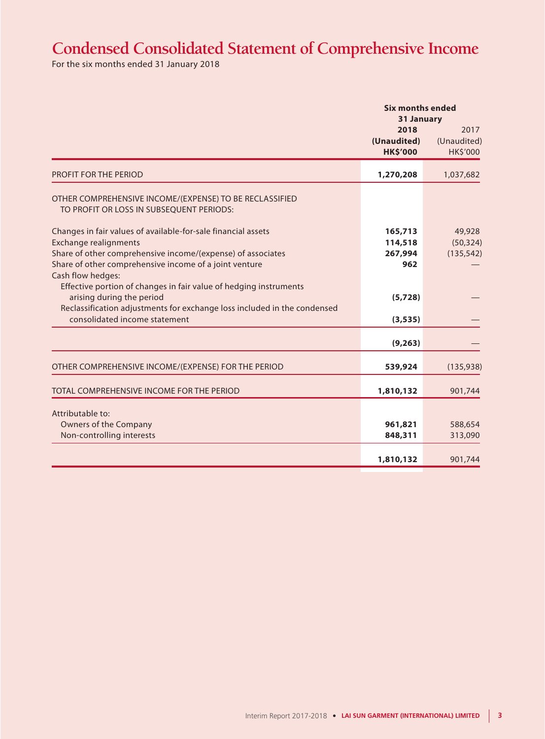# **Condensed Consolidated Statement of Comprehensive Income**

For the six months ended 31 January 2018

|                                                                                                           | <b>Six months ended</b><br>31 January  |                                 |
|-----------------------------------------------------------------------------------------------------------|----------------------------------------|---------------------------------|
|                                                                                                           | 2018<br>(Unaudited)<br><b>HK\$'000</b> | 2017<br>(Unaudited)<br>HK\$'000 |
| <b>PROFIT FOR THE PERIOD</b>                                                                              | 1,270,208                              | 1,037,682                       |
| OTHER COMPREHENSIVE INCOME/(EXPENSE) TO BE RECLASSIFIED<br>TO PROFIT OR LOSS IN SUBSEQUENT PERIODS:       |                                        |                                 |
| Changes in fair values of available-for-sale financial assets                                             | 165,713                                | 49,928                          |
| <b>Exchange realignments</b>                                                                              | 114,518                                | (50, 324)                       |
| Share of other comprehensive income/(expense) of associates                                               | 267,994                                | (135, 542)                      |
| Share of other comprehensive income of a joint venture<br>Cash flow hedges:                               | 962                                    |                                 |
| Effective portion of changes in fair value of hedging instruments<br>arising during the period            | (5,728)                                |                                 |
| Reclassification adjustments for exchange loss included in the condensed<br>consolidated income statement | (3, 535)                               |                                 |
|                                                                                                           | (9, 263)                               |                                 |
| OTHER COMPREHENSIVE INCOME/(EXPENSE) FOR THE PERIOD                                                       | 539,924                                | (135, 938)                      |
| TOTAL COMPREHENSIVE INCOME FOR THE PERIOD                                                                 | 1,810,132                              | 901,744                         |
| Attributable to:                                                                                          |                                        |                                 |
| <b>Owners of the Company</b>                                                                              | 961,821                                | 588,654                         |
| Non-controlling interests                                                                                 | 848,311                                | 313,090                         |
|                                                                                                           | 1,810,132                              | 901,744                         |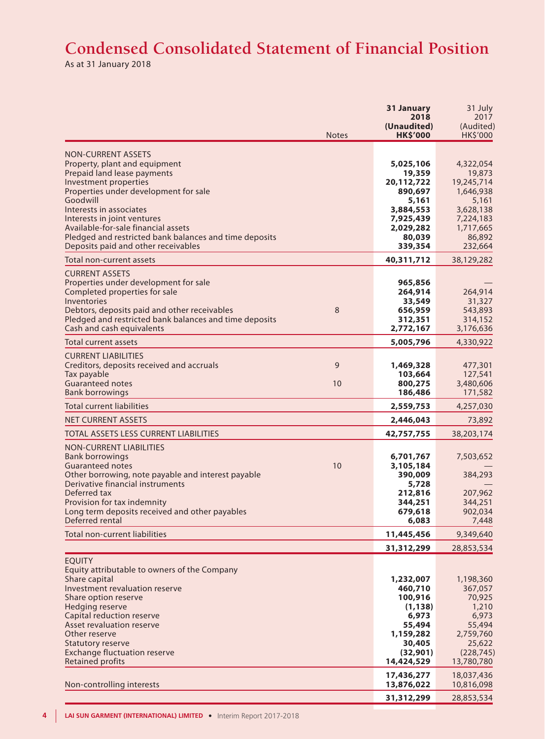# **Condensed Consolidated Statement of Financial Position**

As at 31 January 2018

|                                                                                                                                                                                                                                                                                                                                                                           | <b>Notes</b> | 31 January<br>2018<br>(Unaudited)<br><b>HK\$'000</b>                                                              | 31 July<br>2017<br>(Audited)<br>HK\$'000                                                                            |
|---------------------------------------------------------------------------------------------------------------------------------------------------------------------------------------------------------------------------------------------------------------------------------------------------------------------------------------------------------------------------|--------------|-------------------------------------------------------------------------------------------------------------------|---------------------------------------------------------------------------------------------------------------------|
| <b>NON-CURRENT ASSETS</b><br>Property, plant and equipment<br>Prepaid land lease payments<br>Investment properties<br>Properties under development for sale<br>Goodwill<br>Interests in associates<br>Interests in joint ventures<br>Available-for-sale financial assets<br>Pledged and restricted bank balances and time deposits<br>Deposits paid and other receivables |              | 5,025,106<br>19,359<br>20,112,722<br>890,697<br>5,161<br>3,884,553<br>7,925,439<br>2,029,282<br>80,039<br>339,354 | 4,322,054<br>19,873<br>19,245,714<br>1,646,938<br>5,161<br>3,628,138<br>7,224,183<br>1,717,665<br>86,892<br>232,664 |
| Total non-current assets                                                                                                                                                                                                                                                                                                                                                  |              | 40,311,712                                                                                                        | 38,129,282                                                                                                          |
| <b>CURRENT ASSETS</b><br>Properties under development for sale<br>Completed properties for sale<br>Inventories<br>Debtors, deposits paid and other receivables<br>Pledged and restricted bank balances and time deposits<br>Cash and cash equivalents                                                                                                                     | $\,8\,$      | 965,856<br>264,914<br>33,549<br>656,959<br>312,351<br>2,772,167                                                   | 264,914<br>31,327<br>543,893<br>314,152<br>3,176,636                                                                |
| <b>Total current assets</b>                                                                                                                                                                                                                                                                                                                                               |              | 5,005,796                                                                                                         | 4,330,922                                                                                                           |
| <b>CURRENT LIABILITIES</b><br>Creditors, deposits received and accruals<br>Tax payable<br><b>Guaranteed notes</b><br><b>Bank borrowings</b>                                                                                                                                                                                                                               | 9<br>10      | 1,469,328<br>103,664<br>800,275<br>186,486                                                                        | 477,301<br>127,541<br>3,480,606<br>171,582                                                                          |
| <b>Total current liabilities</b>                                                                                                                                                                                                                                                                                                                                          |              | 2,559,753                                                                                                         | 4,257,030                                                                                                           |
| <b>NET CURRENT ASSETS</b>                                                                                                                                                                                                                                                                                                                                                 |              | 2,446,043                                                                                                         | 73,892                                                                                                              |
| TOTAL ASSETS LESS CURRENT LIABILITIES                                                                                                                                                                                                                                                                                                                                     |              | 42,757,755                                                                                                        | 38,203,174                                                                                                          |
| <b>NON-CURRENT LIABILITIES</b><br><b>Bank borrowings</b><br><b>Guaranteed notes</b><br>Other borrowing, note payable and interest payable<br>Derivative financial instruments<br>Deferred tax<br>Provision for tax indemnity<br>Long term deposits received and other payables<br>Deferred rental                                                                         | 10           | 6,701,767<br>3,105,184<br>390,009<br>5,728<br>212,816<br>344,251<br>679,618<br>6,083                              | 7,503,652<br>384,293<br>207,962<br>344,251<br>902,034<br>7,448                                                      |
| <b>Total non-current liabilities</b>                                                                                                                                                                                                                                                                                                                                      |              | 11,445,456                                                                                                        | 9,349,640                                                                                                           |
|                                                                                                                                                                                                                                                                                                                                                                           |              | 31,312,299                                                                                                        | 28,853,534                                                                                                          |
| <b>EQUITY</b><br>Equity attributable to owners of the Company<br>Share capital<br>Investment revaluation reserve<br>Share option reserve<br><b>Hedging reserve</b><br>Capital reduction reserve<br>Asset revaluation reserve<br>Other reserve<br>Statutory reserve<br><b>Exchange fluctuation reserve</b><br>Retained profits                                             |              | 1,232,007<br>460,710<br>100,916<br>(1, 138)<br>6,973<br>55,494<br>1,159,282<br>30,405<br>(32,901)<br>14,424,529   | 1,198,360<br>367,057<br>70,925<br>1,210<br>6,973<br>55,494<br>2,759,760<br>25,622<br>(228, 745)<br>13,780,780       |
| Non-controlling interests                                                                                                                                                                                                                                                                                                                                                 |              | 17,436,277<br>13,876,022                                                                                          | 18,037,436<br>10,816,098                                                                                            |
|                                                                                                                                                                                                                                                                                                                                                                           |              | 31,312,299                                                                                                        | 28,853,534                                                                                                          |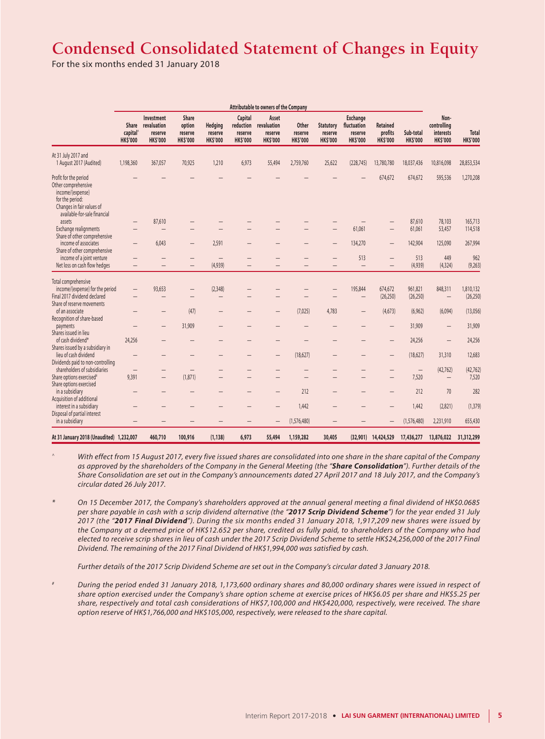# **Condensed Consolidated Statement of Changes in Equity**

For the six months ended 31 January 2018

|                                                                                                                                                  | Attributable to owners of the Company            |                                                         |                                               |                                       |                                                    |                                                    |                                     |                                                |                                                              |                                               |                                   |                                                     |                                 |
|--------------------------------------------------------------------------------------------------------------------------------------------------|--------------------------------------------------|---------------------------------------------------------|-----------------------------------------------|---------------------------------------|----------------------------------------------------|----------------------------------------------------|-------------------------------------|------------------------------------------------|--------------------------------------------------------------|-----------------------------------------------|-----------------------------------|-----------------------------------------------------|---------------------------------|
|                                                                                                                                                  | Share<br>capital <sup>®</sup><br><b>HK\$'000</b> | Investment<br>revaluation<br>reserve<br><b>HK\$'000</b> | Share<br>option<br>reserve<br><b>HK\$'000</b> | Hedging<br>reserve<br><b>HK\$'000</b> | Capital<br>reduction<br>reserve<br><b>HK\$'000</b> | Asset<br>revaluation<br>reserve<br><b>HK\$'000</b> | Other<br>reserve<br><b>HK\$'000</b> | <b>Statutory</b><br>reserve<br><b>HK\$'000</b> | <b>Exchange</b><br>fluctuation<br>reserve<br><b>HK\$'000</b> | <b>Retained</b><br>profits<br><b>HK\$'000</b> | Sub-total<br><b>HK\$'000</b>      | Non-<br>controlling<br>interests<br><b>HK\$'000</b> | <b>Total</b><br><b>HK\$'000</b> |
| At 31 July 2017 and<br>1 August 2017 (Audited)                                                                                                   | 1,198,360                                        | 367,057                                                 | 70,925                                        | 1,210                                 | 6,973                                              | 55,494                                             | 2,759,760                           | 25,622                                         | (228, 745)                                                   | 13,780,780                                    | 18,037,436                        | 10,816,098                                          | 28,853,534                      |
| Profit for the period<br>Other comprehensive<br>income/(expense)<br>for the period:<br>Changes in fair values of<br>available-for-sale financial |                                                  |                                                         |                                               |                                       |                                                    |                                                    |                                     |                                                |                                                              | 674,672                                       | 674,672                           | 595,536                                             | 1,270,208                       |
| assets<br>Exchange realignments                                                                                                                  | $\qquad \qquad -$<br>-                           | 87,610                                                  |                                               |                                       |                                                    |                                                    |                                     |                                                | 61,061                                                       |                                               | 87,610<br>61,061                  | 78,103<br>53,457                                    | 165,713<br>114,518              |
| Share of other comprehensive<br>income of associates<br>Share of other comprehensive                                                             | $\qquad \qquad -$                                | 6,043                                                   | $\qquad \qquad -$                             | 2,591                                 |                                                    |                                                    |                                     |                                                | 134,270                                                      | $\qquad \qquad -$                             | 142,904                           | 125,090                                             | 267,994                         |
| income of a joint venture<br>Net loss on cash flow hedges                                                                                        | —<br>-                                           | -                                                       | $\qquad \qquad -$<br>$\overline{\phantom{m}}$ | $\qquad \qquad -$<br>(4,939)          | -                                                  | -                                                  |                                     | $\qquad \qquad -$                              | 513<br>$\overline{\phantom{0}}$                              | $\qquad \qquad -$                             | 513<br>(4,939)                    | 449<br>(4, 324)                                     | 962<br>(9,263)                  |
| Total comprehensive<br>income/(expense) for the period<br>Final 2017 dividend declared                                                           | $\overline{\phantom{0}}$                         | 93,653                                                  | $\qquad \qquad -$                             | (2,348)<br>—                          |                                                    |                                                    |                                     |                                                | 195,844<br>—                                                 | 674,672<br>(26, 250)                          | 961,821<br>(26, 250)              | 848,311<br>$\overline{\phantom{0}}$                 | 1,810,132<br>(26, 250)          |
| Share of reserve movements<br>of an associate                                                                                                    |                                                  | -                                                       | (47)                                          | —                                     |                                                    |                                                    | (7,025)                             | 4,783                                          | —                                                            | (4,673)                                       | (6,962)                           | (6,094)                                             | (13,056)                        |
| Recognition of share-based<br>payments<br>Shares issued in lieu                                                                                  | -                                                | $\overline{\phantom{0}}$                                | 31,909                                        |                                       |                                                    |                                                    |                                     |                                                |                                                              | -                                             | 31,909                            | $\overline{\phantom{0}}$                            | 31,909                          |
| of cash dividend*<br>Shares issued by a subsidiary in                                                                                            | 24,256                                           |                                                         |                                               | —                                     |                                                    | —                                                  |                                     |                                                |                                                              | $\qquad \qquad -$                             | 24,256                            | $\qquad \qquad -$                                   | 24,256                          |
| lieu of cash dividend<br>Dividends paid to non-controlling                                                                                       | -                                                |                                                         |                                               |                                       |                                                    |                                                    | (18,627)                            |                                                |                                                              |                                               | (18,627)                          | 31,310                                              | 12,683                          |
| shareholders of subsidiaries<br>Share options exercised <sup>#</sup>                                                                             | $\overline{\phantom{0}}$<br>9,391                | -<br>$\qquad \qquad -$                                  | (1,871)                                       | —                                     |                                                    |                                                    | -                                   | $\overline{\phantom{0}}$                       |                                                              | —<br>$\qquad \qquad -$                        | $\overline{\phantom{m}}$<br>7,520 | (42, 762)<br>$\qquad \qquad -$                      | (42, 762)<br>7,520              |
| Share options exercised<br>in a subsidiary<br>Acquisition of additional                                                                          |                                                  |                                                         |                                               |                                       |                                                    |                                                    | 212                                 |                                                |                                                              |                                               | 212                               | 70                                                  | 282                             |
| interest in a subsidiary<br>Disposal of partial interest                                                                                         | -                                                |                                                         |                                               |                                       |                                                    |                                                    | 1,442                               |                                                |                                                              |                                               | 1,442                             | (2,821)                                             | (1, 379)                        |
| in a subsidiary                                                                                                                                  | -                                                |                                                         |                                               |                                       |                                                    |                                                    | (1,576,480)                         |                                                |                                                              |                                               | (1,576,480)                       | 2,231,910                                           | 655,430                         |
| At 31 January 2018 (Unaudited) 1,232,007                                                                                                         |                                                  | 460,710                                                 | 100,916                                       | (1, 138)                              | 6,973                                              | 55,494                                             | 1,159,282                           | 30,405                                         | (32,901)                                                     | 14,424,529                                    | 17,436,277                        | 13,876,022                                          | 31,312,299                      |

*^ With effect from 15 August 2017, every five issued shares are consolidated into one share in the share capital of the Company as approved by the shareholders of the Company in the General Meeting (the "Share Consolidation"). Further details of the Share Consolidation are set out in the Company's announcements dated 27 April 2017 and 18 July 2017, and the Company's circular dated 26 July 2017.*

*\* On 15 December 2017, the Company's shareholders approved at the annual general meeting a final dividend of HK\$0.0685 per share payable in cash with a scrip dividend alternative (the "2017 Scrip Dividend Scheme") for the year ended 31 July 2017 (the "2017 Final Dividend"). During the six months ended 31 January 2018, 1,917,209 new shares were issued by the Company at a deemed price of HK\$12.652 per share, credited as fully paid, to shareholders of the Company who had elected to receive scrip shares in lieu of cash under the 2017 Scrip Dividend Scheme to settle HK\$24,256,000 of the 2017 Final Dividend. The remaining of the 2017 Final Dividend of HK\$1,994,000 was satisfied by cash.*

*Further details of the 2017 Scrip Dividend Scheme are set out in the Company's circular dated 3 January 2018.*

*# During the period ended 31 January 2018, 1,173,600 ordinary shares and 80,000 ordinary shares were issued in respect of share option exercised under the Company's share option scheme at exercise prices of HK\$6.05 per share and HK\$5.25 per share, respectively and total cash considerations of HK\$7,100,000 and HK\$420,000, respectively, were received. The share option reserve of HK\$1,766,000 and HK\$105,000, respectively, were released to the share capital.*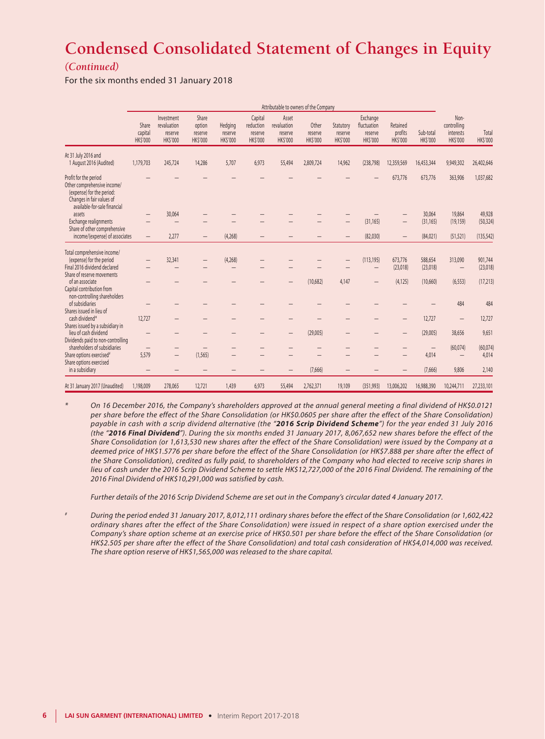# **Condensed Consolidated Statement of Changes in Equity**

### *(Continued)*

For the six months ended 31 January 2018

|                                                                                                                                                | Attributable to owners of the Company |                                                         |                                               |                                       |                                                    |                                                    |                                    |                                        |                                                      |                                       |                             |                                                     |                         |
|------------------------------------------------------------------------------------------------------------------------------------------------|---------------------------------------|---------------------------------------------------------|-----------------------------------------------|---------------------------------------|----------------------------------------------------|----------------------------------------------------|------------------------------------|----------------------------------------|------------------------------------------------------|---------------------------------------|-----------------------------|-----------------------------------------------------|-------------------------|
|                                                                                                                                                | Share<br>capital<br><b>HKS'000</b>    | Investment<br>revaluation<br>reserve<br><b>HK\$'000</b> | Share<br>option<br>reserve<br><b>HK\$'000</b> | Hedging<br>reserve<br><b>HK\$'000</b> | Capital<br>reduction<br>reserve<br><b>HK\$'000</b> | Asset<br>revaluation<br>reserve<br><b>HK\$'000</b> | Other<br>reserve<br><b>HKS'000</b> | Statutory<br>reserve<br><b>HKS'000</b> | Exchange<br>fluctuation<br>reserve<br><b>HKS'000</b> | Retained<br>profits<br><b>HKS'000</b> | Sub-total<br><b>HKS'000</b> | Non-<br>controlling<br>interests<br><b>HK\$'000</b> | Total<br><b>HKS'000</b> |
| At 31 July 2016 and<br>1 August 2016 (Audited)                                                                                                 | 1,179,703                             | 245,724                                                 | 14,286                                        | 5,707                                 | 6,973                                              | 55,494                                             | 2,809,724                          | 14,962                                 | (238, 798)                                           | 12,359,569                            | 16,453,344                  | 9,949,302                                           | 26,402,646              |
| Profit for the period<br>Other comprehensive income/<br>(expense) for the period:<br>Changes in fair values of<br>available-for-sale financial |                                       |                                                         |                                               |                                       |                                                    |                                                    |                                    |                                        |                                                      | 673,776                               | 673,776                     | 363,906                                             | 1,037,682               |
| assets                                                                                                                                         |                                       | 30,064                                                  |                                               |                                       |                                                    |                                                    |                                    |                                        |                                                      |                                       | 30,064                      | 19,864                                              | 49,928                  |
| Exchange realignments<br>Share of other comprehensive                                                                                          |                                       |                                                         |                                               |                                       |                                                    |                                                    |                                    |                                        | (31, 165)                                            |                                       | (31, 165)                   | (19, 159)                                           | (50, 324)               |
| income/(expense) of associates                                                                                                                 | $\qquad \qquad -$                     | 2.277                                                   | $\overline{\phantom{0}}$                      | (4,268)                               |                                                    |                                                    |                                    |                                        | (82,030)                                             |                                       | (84, 021)                   | (51, 521)                                           | (135, 542)              |
| Total comprehensive income/<br>(expense) for the period<br>Final 2016 dividend declared                                                        |                                       | 32,341                                                  |                                               | (4,268)                               |                                                    |                                                    |                                    |                                        | (113, 195)                                           | 673,776<br>(23,018)                   | 588,654<br>(23,018)         | 313,090<br>$\qquad \qquad -$                        | 901,744<br>(23,018)     |
| Share of reserve movements<br>of an associate<br>Capital contribution from                                                                     |                                       |                                                         |                                               |                                       |                                                    |                                                    | (10,682)                           | 4,147                                  | —                                                    | (4, 125)                              | (10,660)                    | (6, 553)                                            | (17, 213)               |
| non-controlling shareholders<br>of subsidiaries<br>Shares issued in lieu of                                                                    |                                       |                                                         |                                               |                                       |                                                    |                                                    |                                    |                                        |                                                      |                                       |                             | 484                                                 | 484                     |
| cash dividend*<br>Shares issued by a subsidiary in                                                                                             | 12,727                                |                                                         |                                               |                                       |                                                    |                                                    |                                    |                                        |                                                      |                                       | 12,727                      |                                                     | 12,727                  |
| lieu of cash dividend<br>Dividends paid to non-controlling                                                                                     |                                       |                                                         |                                               |                                       |                                                    |                                                    | (29,005)                           |                                        |                                                      |                                       | (29,005)                    | 38,656                                              | 9,651                   |
| shareholders of subsidiaries                                                                                                                   | -                                     | —                                                       |                                               |                                       |                                                    |                                                    |                                    |                                        |                                                      |                                       | $\qquad \qquad -$           | (60,074)                                            | (60, 074)               |
| Share options exercised <sup>#</sup>                                                                                                           | 5,579                                 | —                                                       | (1, 565)                                      |                                       |                                                    |                                                    |                                    |                                        |                                                      |                                       | 4,014                       |                                                     | 4,014                   |
| Share options exercised<br>in a subsidiary                                                                                                     |                                       |                                                         |                                               |                                       |                                                    |                                                    | (7,666)                            |                                        |                                                      |                                       | (7,666)                     | 9,806                                               | 2,140                   |
| At 31 January 2017 (Unaudited)                                                                                                                 | 1,198,009                             | 278,065                                                 | 12,721                                        | 1,439                                 | 6,973                                              | 55,494                                             | 2,762,371                          | 19,109                                 | (351, 993)                                           | 13,006,202                            | 16,988,390                  | 10,244,711                                          | 27,233,101              |

*\* On 16 December 2016, the Company's shareholders approved at the annual general meeting a final dividend of HK\$0.0121 per share before the effect of the Share Consolidation (or HK\$0.0605 per share after the effect of the Share Consolidation) payable in cash with a scrip dividend alternative (the "2016 Scrip Dividend Scheme") for the year ended 31 July 2016 (the "2016 Final Dividend"). During the six months ended 31 January 2017, 8,067,652 new shares before the effect of the Share Consolidation (or 1,613,530 new shares after the effect of the Share Consolidation) were issued by the Company at a deemed price of HK\$1.5776 per share before the effect of the Share Consolidation (or HK\$7.888 per share after the effect of the Share Consolidation), credited as fully paid, to shareholders of the Company who had elected to receive scrip shares in*  lieu of cash under the 2016 Scrip Dividend Scheme to settle HK\$12,727,000 of the 2016 Final Dividend. The remaining of the *2016 Final Dividend of HK\$10,291,000 was satisfied by cash.*

*Further details of the 2016 Scrip Dividend Scheme are set out in the Company's circular dated 4 January 2017.*

*# During the period ended 31 January 2017, 8,012,111 ordinary shares before the effect of the Share Consolidation (or 1,602,422 ordinary shares after the effect of the Share Consolidation) were issued in respect of a share option exercised under the Company's share option scheme at an exercise price of HK\$0.501 per share before the effect of the Share Consolidation (or HK\$2.505 per share after the effect of the Share Consolidation) and total cash consideration of HK\$4,014,000 was received. The share option reserve of HK\$1,565,000 was released to the share capital.*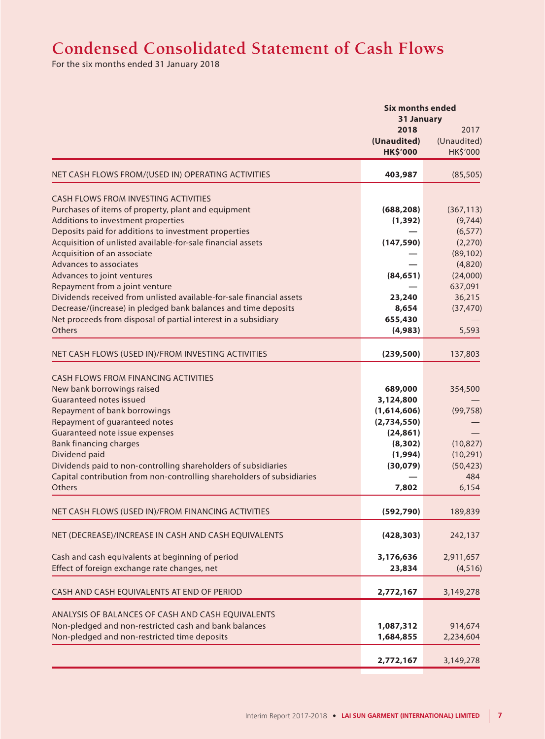# **Condensed Consolidated Statement of Cash Flows**

For the six months ended 31 January 2018

|                                                                                  | <b>Six months ended</b><br>31 January  |                                 |
|----------------------------------------------------------------------------------|----------------------------------------|---------------------------------|
|                                                                                  | 2018<br>(Unaudited)<br><b>HK\$'000</b> | 2017<br>(Unaudited)<br>HK\$'000 |
| NET CASH FLOWS FROM/(USED IN) OPERATING ACTIVITIES                               | 403,987                                | (85, 505)                       |
| <b>CASH FLOWS FROM INVESTING ACTIVITIES</b>                                      |                                        |                                 |
| Purchases of items of property, plant and equipment                              | (688, 208)                             | (367, 113)                      |
| Additions to investment properties                                               | (1, 392)                               | (9,744)                         |
| Deposits paid for additions to investment properties                             |                                        | (6, 577)                        |
| Acquisition of unlisted available-for-sale financial assets                      | (147, 590)                             | (2,270)                         |
| Acquisition of an associate<br>Advances to associates                            |                                        | (89, 102)                       |
| Advances to joint ventures                                                       | (84, 651)                              | (4,820)<br>(24,000)             |
| Repayment from a joint venture                                                   |                                        | 637,091                         |
| Dividends received from unlisted available-for-sale financial assets             | 23,240                                 | 36,215                          |
| Decrease/(increase) in pledged bank balances and time deposits                   | 8,654                                  | (37, 470)                       |
| Net proceeds from disposal of partial interest in a subsidiary                   | 655,430                                |                                 |
| Others                                                                           | (4,983)                                | 5,593                           |
| NET CASH FLOWS (USED IN)/FROM INVESTING ACTIVITIES                               | (239, 500)                             | 137,803                         |
| <b>CASH FLOWS FROM FINANCING ACTIVITIES</b>                                      |                                        |                                 |
| New bank borrowings raised                                                       | 689,000                                | 354,500                         |
| Guaranteed notes issued                                                          | 3,124,800                              |                                 |
| Repayment of bank borrowings                                                     | (1,614,606)                            | (99, 758)                       |
| Repayment of guaranteed notes                                                    | (2,734,550)                            |                                 |
| Guaranteed note issue expenses                                                   | (24, 861)                              |                                 |
| <b>Bank financing charges</b>                                                    | (8, 302)                               | (10, 827)                       |
| Dividend paid                                                                    | (1,994)                                | (10, 291)                       |
| Dividends paid to non-controlling shareholders of subsidiaries                   | (30,079)                               | (50, 423)                       |
| Capital contribution from non-controlling shareholders of subsidiaries<br>Others | 7,802                                  | 484<br>6,154                    |
|                                                                                  |                                        |                                 |
| NET CASH FLOWS (USED IN)/FROM FINANCING ACTIVITIES                               | (592, 790)                             | 189,839                         |
| NET (DECREASE)/INCREASE IN CASH AND CASH EQUIVALENTS                             | (428, 303)                             | 242,137                         |
| Cash and cash equivalents at beginning of period                                 | 3,176,636                              | 2,911,657                       |
| Effect of foreign exchange rate changes, net                                     | 23,834                                 | (4, 516)                        |
| CASH AND CASH EQUIVALENTS AT END OF PERIOD                                       | 2,772,167                              | 3,149,278                       |
| ANALYSIS OF BALANCES OF CASH AND CASH EQUIVALENTS                                |                                        |                                 |
| Non-pledged and non-restricted cash and bank balances                            | 1,087,312                              | 914,674                         |
| Non-pledged and non-restricted time deposits                                     | 1,684,855                              | 2,234,604                       |
|                                                                                  | 2,772,167                              | 3,149,278                       |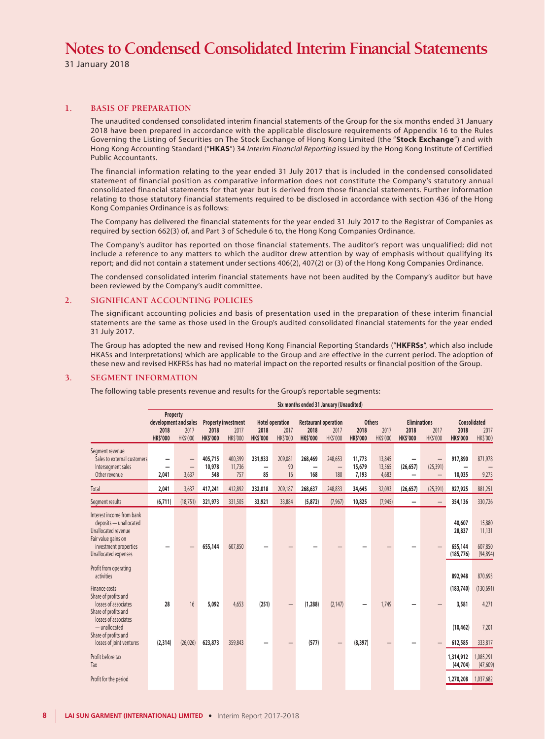31 January 2018

#### **1. BASIS OF PREPARATION**

The unaudited condensed consolidated interim financial statements of the Group for the six months ended 31 January 2018 have been prepared in accordance with the applicable disclosure requirements of Appendix 16 to the Rules Governing the Listing of Securities on The Stock Exchange of Hong Kong Limited (the "**Stock Exchange**") and with Hong Kong Accounting Standard ("**HKAS**") 34 *Interim Financial Reporting* issued by the Hong Kong Institute of Certified Public Accountants.

The financial information relating to the year ended 31 July 2017 that is included in the condensed consolidated statement of financial position as comparative information does not constitute the Company's statutory annual consolidated financial statements for that year but is derived from those financial statements. Further information relating to those statutory financial statements required to be disclosed in accordance with section 436 of the Hong Kong Companies Ordinance is as follows:

The Company has delivered the financial statements for the year ended 31 July 2017 to the Registrar of Companies as required by section 662(3) of, and Part 3 of Schedule 6 to, the Hong Kong Companies Ordinance.

The Company's auditor has reported on those financial statements. The auditor's report was unqualified; did not include a reference to any matters to which the auditor drew attention by way of emphasis without qualifying its report; and did not contain a statement under sections 406(2), 407(2) or (3) of the Hong Kong Companies Ordinance.

The condensed consolidated interim financial statements have not been audited by the Company's auditor but have been reviewed by the Company's audit committee.

#### **2. SIGNIFICANT ACCOUNTING POLICIES**

The significant accounting policies and basis of presentation used in the preparation of these interim financial statements are the same as those used in the Group's audited consolidated financial statements for the year ended 31 July 2017.

The Group has adopted the new and revised Hong Kong Financial Reporting Standards ("**HKFRSs**", which also include HKASs and Interpretations) which are applicable to the Group and are effective in the current period. The adoption of these new and revised HKFRSs has had no material impact on the reported results or financial position of the Group.

#### **3. SEGMENT INFORMATION**

The following table presents revenue and results for the Group's reportable segments:

|                                                                                                                                                    | Six months ended 31 January (Unaudited)                      |                                 |                          |                                                |                         |                                            |                                                        |                     |                                          |                           |                                                |                                                            |                                           |                                          |
|----------------------------------------------------------------------------------------------------------------------------------------------------|--------------------------------------------------------------|---------------------------------|--------------------------|------------------------------------------------|-------------------------|--------------------------------------------|--------------------------------------------------------|---------------------|------------------------------------------|---------------------------|------------------------------------------------|------------------------------------------------------------|-------------------------------------------|------------------------------------------|
|                                                                                                                                                    | Property<br>development and sales<br>2018<br><b>HK\$'000</b> | 2017<br><b>HK\$'000</b>         | 2018<br><b>HK\$'000</b>  | <b>Property investment</b><br>2017<br>HK\$'000 | 2018<br><b>HK\$'000</b> | <b>Hotel operation</b><br>2017<br>HK\$'000 | <b>Restaurant operation</b><br>2018<br><b>HK\$'000</b> | 2017<br>HK\$'000    | <b>Others</b><br>2018<br><b>HK\$'000</b> | 2017<br>HK\$'000          | <b>Eliminations</b><br>2018<br><b>HK\$'000</b> | 2017<br>HK\$'000                                           | 2018<br><b>HK\$'000</b>                   | <b>Consolidated</b><br>2017<br>HK\$'000  |
| Segment revenue:<br>Sales to external customers<br>Intersegment sales<br>Other revenue                                                             | -<br>2,041                                                   | $\qquad \qquad -$<br>—<br>3,637 | 405,715<br>10,978<br>548 | 400,399<br>11,736<br>757                       | 231,933<br>-<br>85      | 209,081<br>90<br>16                        | 268,469<br>168                                         | 248.653<br>—<br>180 | 11,773<br>15,679<br>7,193                | 13,845<br>13,565<br>4,683 | (26, 657)                                      | $\qquad \qquad -$<br>(25, 391)<br>$\overline{\phantom{0}}$ | 917,890<br>10,035                         | 871,978<br>9,273                         |
| Total                                                                                                                                              | 2,041                                                        | 3,637                           | 417,241                  | 412,892                                        | 232,018                 | 209,187                                    | 268,637                                                | 248,833             | 34,645                                   | 32,093                    | (26, 657)                                      | (25, 391)                                                  | 927,925                                   | 881,251                                  |
| Segment results                                                                                                                                    | (6, 711)                                                     | (18, 751)                       | 321,973                  | 331,505                                        | 33,921                  | 33,884                                     | (5, 872)                                               | (7, 967)            | 10,825                                   | (7, 945)                  | $\overline{\phantom{0}}$                       | $\qquad \qquad -$                                          | 354,136                                   | 330,726                                  |
| Interest income from bank<br>deposits - unallocated<br>Unallocated revenue<br>Fair value gains on<br>investment properties<br>Unallocated expenses | -                                                            |                                 | 655,144                  | 607,850                                        |                         |                                            |                                                        |                     |                                          |                           |                                                | $\qquad \qquad -$                                          | 40,607<br>28,837<br>655,144<br>(185, 776) | 15,880<br>11,131<br>607,850<br>(94, 894) |
| Profit from operating<br>activities                                                                                                                |                                                              |                                 |                          |                                                |                         |                                            |                                                        |                     |                                          |                           |                                                |                                                            | 892,948                                   | 870,693                                  |
| Finance costs<br>Share of profits and<br>losses of associates<br>Share of profits and<br>losses of associates                                      | 28                                                           | 16                              | 5,092                    | 4,653                                          | (251)                   | —                                          | (1, 288)                                               | (2, 147)            |                                          | 1,749                     |                                                |                                                            | (183, 740)<br>3,581                       | (130,691)<br>4,271                       |
| $-$ unallocated<br>Share of profits and<br>losses of joint ventures                                                                                | (2,314)                                                      | (26, 026)                       | 623,873                  | 359,843                                        |                         |                                            | (577)                                                  |                     | (8, 397)                                 |                           |                                                |                                                            | (10, 462)<br>612,585                      | 7,201<br>333,817                         |
| Profit before tax<br>Tax                                                                                                                           |                                                              |                                 |                          |                                                |                         |                                            |                                                        |                     |                                          |                           |                                                |                                                            | 1,314,912<br>(44, 704)                    | 1,085,291<br>(47, 609)                   |
| Profit for the period                                                                                                                              |                                                              |                                 |                          |                                                |                         |                                            |                                                        |                     |                                          |                           |                                                |                                                            | 1,270,208                                 | 1,037,682                                |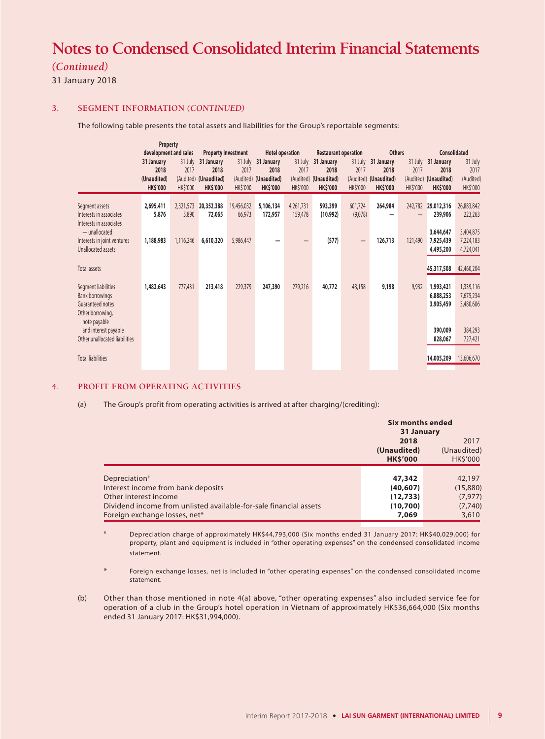### *(Continued)*

31 January 2018

#### **3. SEGMENT INFORMATION** *(CONTINUED)*

The following table presents the total assets and liabilities for the Group's reportable segments:

|                                                                                       | Property                                             |                             |                                                                |                                          |                                                      |                                    |                                                                |                                    |                                                                |                                          |                                                      |                                                 |
|---------------------------------------------------------------------------------------|------------------------------------------------------|-----------------------------|----------------------------------------------------------------|------------------------------------------|------------------------------------------------------|------------------------------------|----------------------------------------------------------------|------------------------------------|----------------------------------------------------------------|------------------------------------------|------------------------------------------------------|-------------------------------------------------|
|                                                                                       | development and sales                                |                             | <b>Property investment</b>                                     |                                          | <b>Hotel operation</b>                               |                                    | <b>Restaurant operation</b>                                    |                                    | <b>Others</b>                                                  |                                          | <b>Consolidated</b>                                  |                                                 |
|                                                                                       | 31 January<br>2018<br>(Unaudited)<br><b>HK\$'000</b> | 31 July<br>2017<br>HK\$'000 | 31 January<br>2018<br>(Audited) (Unaudited)<br><b>HK\$'000</b> | 31 July<br>2017<br>(Audited)<br>HK\$'000 | 31 January<br>2018<br>(Unaudited)<br><b>HK\$'000</b> | 31 July<br>2017<br><b>HK\$'000</b> | 31 January<br>2018<br>(Audited) (Unaudited)<br><b>HK\$'000</b> | 31 July<br>2017<br><b>HK\$'000</b> | 31 January<br>2018<br>(Audited) (Unaudited)<br><b>HK\$'000</b> | 31 July<br>2017<br>(Audited)<br>HK\$'000 | 31 January<br>2018<br>(Unaudited)<br><b>HK\$'000</b> | 31 July<br>2017<br>(Audited)<br><b>HK\$'000</b> |
| Segment assets<br>Interests in associates<br>Interests in associates                  | 2,695,411<br>5,876                                   | 2,321,573<br>5,890          | 20,352,388<br>72,065                                           | 19,456,032<br>66,973                     | 5,106,134<br>172,957                                 | 4,261,731<br>159,478               | 593,399<br>(10,992)                                            | 601,724<br>(9,078)                 | 264,984                                                        | 242,782                                  | 29,012,316<br>239,906                                | 26,883,842<br>223,263                           |
| - unallocated<br>Interests in joint ventures<br>Unallocated assets                    | 1,188,983                                            | 1,116,246                   | 6,610,320                                                      | 5,986,447                                |                                                      | —                                  | (577)                                                          | -                                  | 126,713                                                        | 121,490                                  | 3,644,647<br>7,925,439<br>4,495,200                  | 3,404,875<br>7,224,183<br>4,724,041             |
| Total assets                                                                          |                                                      |                             |                                                                |                                          |                                                      |                                    |                                                                |                                    |                                                                |                                          | 45,317,508                                           | 42,460,204                                      |
| Segment liabilities<br><b>Bank borrowings</b><br>Guaranteed notes<br>Other borrowing, | 1,482,643                                            | 777,431                     | 213,418                                                        | 229,379                                  | 247,390                                              | 279,216                            | 40,772                                                         | 43,158                             | 9,198                                                          | 9,932                                    | 1,993,421<br>6,888,253<br>3,905,459                  | 1,339,116<br>7,675,234<br>3,480,606             |
| note payable<br>and interest payable<br>Other unallocated liabilities                 |                                                      |                             |                                                                |                                          |                                                      |                                    |                                                                |                                    |                                                                |                                          | 390,009<br>828,067                                   | 384,293<br>727,421                              |
| <b>Total liabilities</b>                                                              |                                                      |                             |                                                                |                                          |                                                      |                                    |                                                                |                                    |                                                                |                                          | 14,005,209                                           | 13,606,670                                      |

#### **4. PROFIT FROM OPERATING ACTIVITIES**

(a) The Group's profit from operating activities is arrived at after charging/(crediting):

|                                                                                                                                                                                                | Six months ended<br>31 January                        |                                                    |  |  |
|------------------------------------------------------------------------------------------------------------------------------------------------------------------------------------------------|-------------------------------------------------------|----------------------------------------------------|--|--|
|                                                                                                                                                                                                | 2018<br>(Unaudited)<br><b>HK\$'000</b>                | 2017<br>(Unaudited)<br><b>HKS'000</b>              |  |  |
| Depreciation <sup>#</sup><br>Interest income from bank deposits<br>Other interest income<br>Dividend income from unlisted available-for-sale financial assets<br>Foreign exchange losses, net* | 47,342<br>(40, 607)<br>(12, 733)<br>(10,700)<br>7,069 | 42,197<br>(15,880)<br>(7, 977)<br>(7,740)<br>3,610 |  |  |

# Depreciation charge of approximately HK\$44,793,000 (Six months ended 31 January 2017: HK\$40,029,000) for property, plant and equipment is included in "other operating expenses" on the condensed consolidated income statement.

Foreign exchange losses, net is included in "other operating expenses" on the condensed consolidated income statement.

(b) Other than those mentioned in note 4(a) above, "other operating expenses" also included service fee for operation of a club in the Group's hotel operation in Vietnam of approximately HK\$36,664,000 (Six months ended 31 January 2017: HK\$31,994,000).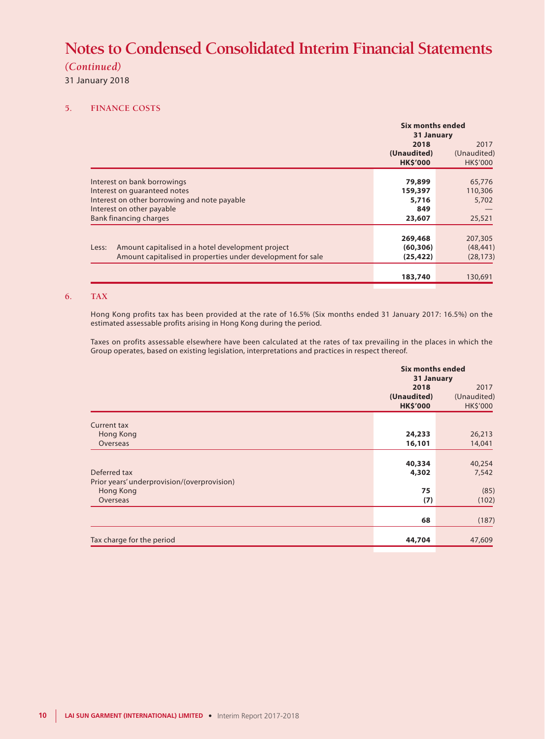### *(Continued)*

31 January 2018

### **5. FINANCE COSTS**

|                                                             | Six months ended<br>31 January |                 |
|-------------------------------------------------------------|--------------------------------|-----------------|
|                                                             | 2018                           | 2017            |
|                                                             | (Unaudited)                    | (Unaudited)     |
|                                                             | <b>HK\$'000</b>                | <b>HK\$'000</b> |
|                                                             |                                |                 |
| Interest on bank borrowings                                 | 79,899                         | 65,776          |
| Interest on quaranteed notes                                | 159,397                        | 110,306         |
| Interest on other borrowing and note payable                | 5,716                          | 5,702           |
| Interest on other payable                                   | 849                            |                 |
| <b>Bank financing charges</b>                               | 23,607                         | 25,521          |
|                                                             |                                |                 |
|                                                             | 269,468                        | 207,305         |
| Amount capitalised in a hotel development project<br>Less:  | (60, 306)                      | (48, 441)       |
| Amount capitalised in properties under development for sale | (25, 422)                      | (28, 173)       |
|                                                             |                                |                 |
|                                                             | 183,740                        | 130,691         |
|                                                             |                                |                 |

### **6. TAX**

Hong Kong profits tax has been provided at the rate of 16.5% (Six months ended 31 January 2017: 16.5%) on the estimated assessable profits arising in Hong Kong during the period.

Taxes on profits assessable elsewhere have been calculated at the rates of tax prevailing in the places in which the Group operates, based on existing legislation, interpretations and practices in respect thereof.

|                                                             | <b>Six months ended</b><br>31 January  |                                 |
|-------------------------------------------------------------|----------------------------------------|---------------------------------|
|                                                             | 2018<br>(Unaudited)<br><b>HK\$'000</b> | 2017<br>(Unaudited)<br>HK\$'000 |
| <b>Current tax</b><br>Hong Kong                             | 24,233                                 | 26,213                          |
| Overseas                                                    | 16,101                                 | 14,041                          |
| Deferred tax<br>Prior years' underprovision/(overprovision) | 40,334<br>4,302                        | 40,254<br>7,542                 |
| Hong Kong<br>Overseas                                       | 75<br>(7)                              | (85)<br>(102)                   |
|                                                             | 68                                     | (187)                           |
| Tax charge for the period                                   | 44,704                                 | 47,609                          |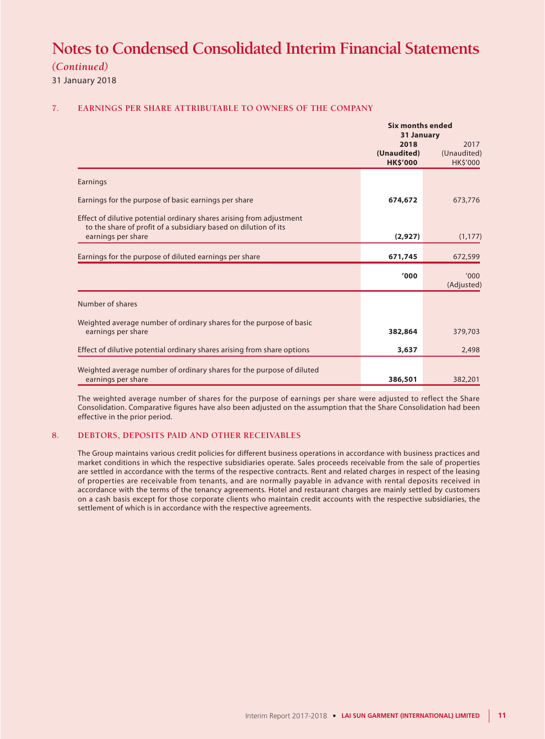*(Continued)*

31 January 2018

### **7. EARNINGS PER SHARE ATTRIBUTABLE TO OWNERS OF THE COMPANY**

|                                                                                                                                         | 31 January                             |                                 |
|-----------------------------------------------------------------------------------------------------------------------------------------|----------------------------------------|---------------------------------|
|                                                                                                                                         | 2018<br>(Unaudited)<br><b>HK\$'000</b> | 2017<br>(Unaudited)<br>HK\$'000 |
| Earnings                                                                                                                                |                                        |                                 |
| Earnings for the purpose of basic earnings per share                                                                                    | 674,672                                | 673,776                         |
| Effect of dilutive potential ordinary shares arising from adjustment<br>to the share of profit of a subsidiary based on dilution of its |                                        |                                 |
| earnings per share                                                                                                                      | (2,927)                                | (1, 177)                        |
| Earnings for the purpose of diluted earnings per share                                                                                  | 671,745                                | 672,599                         |
|                                                                                                                                         | '000                                   | '000<br>(Adjusted)              |
| Number of shares                                                                                                                        |                                        |                                 |
| Weighted average number of ordinary shares for the purpose of basic<br>earnings per share                                               | 382,864                                | 379,703                         |
| Effect of dilutive potential ordinary shares arising from share options                                                                 | 3,637                                  | 2,498                           |
| Weighted average number of ordinary shares for the purpose of diluted<br>earnings per share                                             | 386,501                                | 382,201                         |

The weighted average number of shares for the purpose of earnings per share were adjusted to reflect the Share Consolidation. Comparative figures have also been adjusted on the assumption that the Share Consolidation had been effective in the prior period.

#### **8. DEBTORS, DEPOSITS PAID AND OTHER RECEIVABLES**

The Group maintains various credit policies for different business operations in accordance with business practices and market conditions in which the respective subsidiaries operate. Sales proceeds receivable from the sale of properties are settled in accordance with the terms of the respective contracts. Rent and related charges in respect of the leasing of properties are receivable from tenants, and are normally payable in advance with rental deposits received in accordance with the terms of the tenancy agreements. Hotel and restaurant charges are mainly settled by customers on a cash basis except for those corporate clients who maintain credit accounts with the respective subsidiaries, the settlement of which is in accordance with the respective agreements.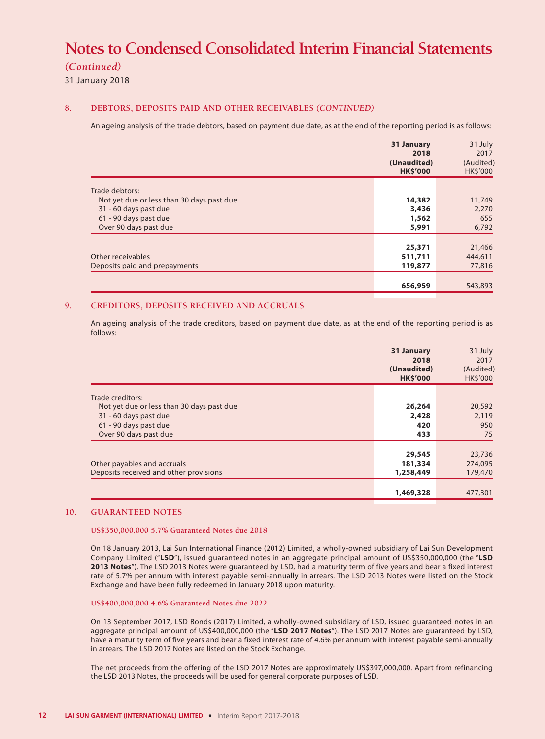### *(Continued)*

31 January 2018

#### **8. DEBTORS, DEPOSITS PAID AND OTHER RECEIVABLES** *(CONTINUED)*

An ageing analysis of the trade debtors, based on payment due date, as at the end of the reporting period is as follows:

|                                           | 31 January<br>2018<br>(Unaudited)<br><b>HK\$'000</b> | 31 July<br>2017<br>(Audited)<br><b>HK\$'000</b> |
|-------------------------------------------|------------------------------------------------------|-------------------------------------------------|
| Trade debtors:                            |                                                      |                                                 |
| Not yet due or less than 30 days past due | 14,382                                               | 11,749                                          |
| 31 - 60 days past due                     | 3,436                                                | 2,270                                           |
| 61 - 90 days past due                     | 1,562                                                | 655                                             |
| Over 90 days past due                     | 5,991                                                | 6,792                                           |
|                                           |                                                      |                                                 |
|                                           | 25,371                                               | 21,466                                          |
| Other receivables                         | 511,711                                              | 444,611                                         |
| Deposits paid and prepayments             | 119,877                                              | 77,816                                          |
|                                           |                                                      |                                                 |
|                                           | 656,959                                              | 543,893                                         |
|                                           |                                                      |                                                 |

#### **9. CREDITORS, DEPOSITS RECEIVED AND ACCRUALS**

An ageing analysis of the trade creditors, based on payment due date, as at the end of the reporting period is as follows:

|                                           | 31 January<br>2018<br>(Unaudited)<br><b>HK\$'000</b> | 31 July<br>2017<br>(Audited)<br>HK\$'000 |
|-------------------------------------------|------------------------------------------------------|------------------------------------------|
| Trade creditors:                          |                                                      |                                          |
| Not yet due or less than 30 days past due | 26,264                                               | 20,592                                   |
| 31 - 60 days past due                     | 2,428                                                | 2,119                                    |
| 61 - 90 days past due                     | 420                                                  | 950                                      |
| Over 90 days past due                     | 433                                                  | 75                                       |
|                                           |                                                      |                                          |
|                                           | 29,545                                               | 23,736                                   |
| Other payables and accruals               | 181,334                                              | 274,095                                  |
| Deposits received and other provisions    | 1,258,449                                            | 179,470                                  |
|                                           |                                                      |                                          |
|                                           | 1,469,328                                            | 477,301                                  |
|                                           |                                                      |                                          |

#### **10. GUARANTEED NOTES**

**US\$350,000,000 5.7% Guaranteed Notes due 2018**

On 18 January 2013, Lai Sun International Finance (2012) Limited, a wholly-owned subsidiary of Lai Sun Development Company Limited ("**LSD**"), issued guaranteed notes in an aggregate principal amount of US\$350,000,000 (the "**LSD 2013 Notes**"). The LSD 2013 Notes were guaranteed by LSD, had a maturity term of five years and bear a fixed interest rate of 5.7% per annum with interest payable semi-annually in arrears. The LSD 2013 Notes were listed on the Stock Exchange and have been fully redeemed in January 2018 upon maturity.

#### **US\$400,000,000 4.6% Guaranteed Notes due 2022**

On 13 September 2017, LSD Bonds (2017) Limited, a wholly-owned subsidiary of LSD, issued guaranteed notes in an aggregate principal amount of US\$400,000,000 (the "**LSD 2017 Notes**"). The LSD 2017 Notes are guaranteed by LSD, have a maturity term of five years and bear a fixed interest rate of 4.6% per annum with interest payable semi-annually in arrears. The LSD 2017 Notes are listed on the Stock Exchange.

The net proceeds from the offering of the LSD 2017 Notes are approximately US\$397,000,000. Apart from refinancing the LSD 2013 Notes, the proceeds will be used for general corporate purposes of LSD.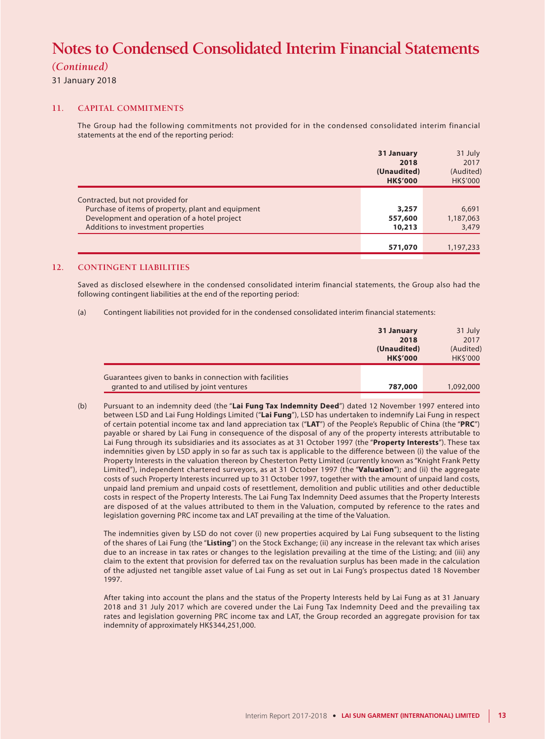### *(Continued)*

31 January 2018

#### **11. CAPITAL COMMITMENTS**

The Group had the following commitments not provided for in the condensed consolidated interim financial statements at the end of the reporting period:

|                                                    | 31 January<br>2018<br>(Unaudited)<br><b>HK\$'000</b> | 31 July<br>2017<br>(Audited)<br>HK\$'000 |
|----------------------------------------------------|------------------------------------------------------|------------------------------------------|
| Contracted, but not provided for                   |                                                      |                                          |
| Purchase of items of property, plant and equipment | 3,257                                                | 6,691                                    |
| Development and operation of a hotel project       | 557,600                                              | 1,187,063                                |
| Additions to investment properties                 | 10,213                                               | 3,479                                    |
|                                                    |                                                      |                                          |
|                                                    | 571,070                                              | 1,197,233                                |
|                                                    |                                                      |                                          |

### **12. CONTINGENT LIABILITIES**

Saved as disclosed elsewhere in the condensed consolidated interim financial statements, the Group also had the following contingent liabilities at the end of the reporting period:

(a) Contingent liabilities not provided for in the condensed consolidated interim financial statements:

|                                                                                                      | 31 January<br>2018<br>(Unaudited)<br><b>HK\$'000</b> | 31 July<br>2017<br>(Audited)<br><b>HKS'000</b> |
|------------------------------------------------------------------------------------------------------|------------------------------------------------------|------------------------------------------------|
| Guarantees given to banks in connection with facilities<br>granted to and utilised by joint ventures | 787,000                                              | 1,092,000                                      |

(b) Pursuant to an indemnity deed (the "**Lai Fung Tax Indemnity Deed**") dated 12 November 1997 entered into between LSD and Lai Fung Holdings Limited ("**Lai Fung**"), LSD has undertaken to indemnify Lai Fung in respect of certain potential income tax and land appreciation tax ("**LAT**") of the People's Republic of China (the "**PRC**") payable or shared by Lai Fung in consequence of the disposal of any of the property interests attributable to Lai Fung through its subsidiaries and its associates as at 31 October 1997 (the "**Property Interests**"). These tax indemnities given by LSD apply in so far as such tax is applicable to the difference between (i) the value of the Property Interests in the valuation thereon by Chesterton Petty Limited (currently known as "Knight Frank Petty Limited"), independent chartered surveyors, as at 31 October 1997 (the "**Valuation**"); and (ii) the aggregate costs of such Property Interests incurred up to 31 October 1997, together with the amount of unpaid land costs, unpaid land premium and unpaid costs of resettlement, demolition and public utilities and other deductible costs in respect of the Property Interests. The Lai Fung Tax Indemnity Deed assumes that the Property Interests are disposed of at the values attributed to them in the Valuation, computed by reference to the rates and legislation governing PRC income tax and LAT prevailing at the time of the Valuation.

The indemnities given by LSD do not cover (i) new properties acquired by Lai Fung subsequent to the listing of the shares of Lai Fung (the "**Listing**") on the Stock Exchange; (ii) any increase in the relevant tax which arises due to an increase in tax rates or changes to the legislation prevailing at the time of the Listing; and (iii) any claim to the extent that provision for deferred tax on the revaluation surplus has been made in the calculation of the adjusted net tangible asset value of Lai Fung as set out in Lai Fung's prospectus dated 18 November 1997.

After taking into account the plans and the status of the Property Interests held by Lai Fung as at 31 January 2018 and 31 July 2017 which are covered under the Lai Fung Tax Indemnity Deed and the prevailing tax rates and legislation governing PRC income tax and LAT, the Group recorded an aggregate provision for tax indemnity of approximately HK\$344,251,000.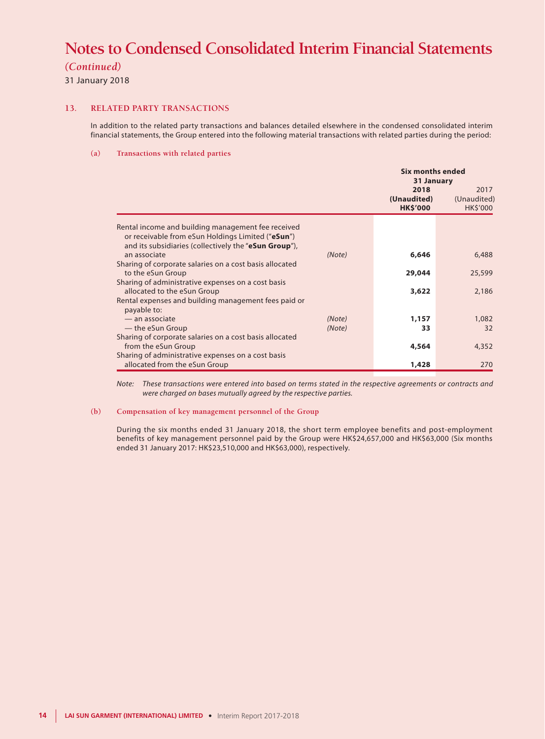*(Continued)*

31 January 2018

#### **13. RELATED PARTY TRANSACTIONS**

In addition to the related party transactions and balances detailed elsewhere in the condensed consolidated interim financial statements, the Group entered into the following material transactions with related parties during the period:

#### **(a) Transactions with related parties**

|                                                                                                                                                                  |                  | Six months ended<br>31 January         |                                        |
|------------------------------------------------------------------------------------------------------------------------------------------------------------------|------------------|----------------------------------------|----------------------------------------|
|                                                                                                                                                                  |                  | 2018<br>(Unaudited)<br><b>HK\$'000</b> | 2017<br>(Unaudited)<br><b>HK\$'000</b> |
| Rental income and building management fee received<br>or receivable from eSun Holdings Limited ("eSun")<br>and its subsidiaries (collectively the "eSun Group"), |                  |                                        |                                        |
| an associate                                                                                                                                                     | (Note)           | 6,646                                  | 6,488                                  |
| Sharing of corporate salaries on a cost basis allocated<br>to the eSun Group                                                                                     |                  | 29,044                                 | 25,599                                 |
| Sharing of administrative expenses on a cost basis<br>allocated to the eSun Group                                                                                |                  | 3,622                                  | 2,186                                  |
| Rental expenses and building management fees paid or<br>payable to:                                                                                              |                  |                                        |                                        |
| - an associate<br>— the eSun Group                                                                                                                               | (Note)<br>(Note) | 1,157<br>33                            | 1,082<br>32                            |
| Sharing of corporate salaries on a cost basis allocated                                                                                                          |                  |                                        |                                        |
| from the eSun Group                                                                                                                                              |                  | 4,564                                  | 4,352                                  |
| Sharing of administrative expenses on a cost basis<br>allocated from the eSun Group                                                                              |                  | 1,428                                  | 270                                    |

*Note: These transactions were entered into based on terms stated in the respective agreements or contracts and were charged on bases mutually agreed by the respective parties.*

#### **(b) Compensation of key management personnel of the Group**

During the six months ended 31 January 2018, the short term employee benefits and post-employment benefits of key management personnel paid by the Group were HK\$24,657,000 and HK\$63,000 (Six months ended 31 January 2017: HK\$23,510,000 and HK\$63,000), respectively.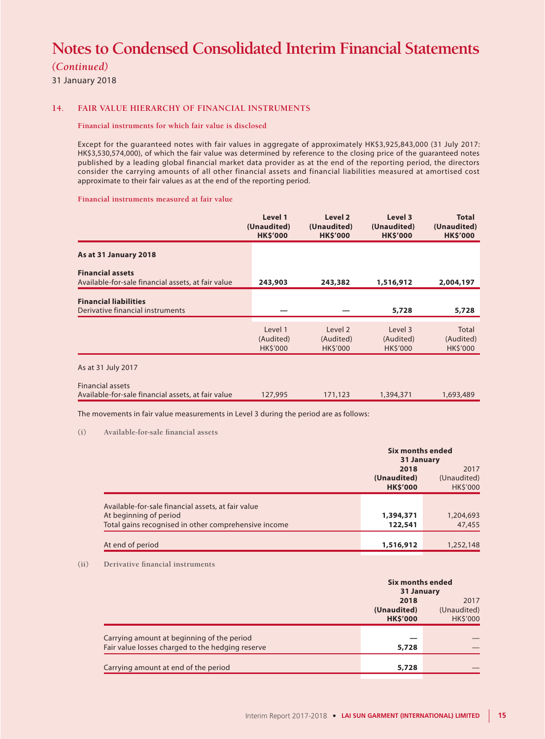*(Continued)*

31 January 2018

#### **14. FAIR VALUE HIERARCHY OF FINANCIAL INSTRUMENTS**

#### **Financial instruments for which fair value is disclosed**

Except for the guaranteed notes with fair values in aggregate of approximately HK\$3,925,843,000 (31 July 2017: HK\$3,530,574,000), of which the fair value was determined by reference to the closing price of the guaranteed notes published by a leading global financial market data provider as at the end of the reporting period, the directors consider the carrying amounts of all other financial assets and financial liabilities measured at amortised cost approximate to their fair values as at the end of the reporting period.

#### **Financial instruments measured at fair value**

|                                                                               | Level 1<br>(Unaudited)<br><b>HK\$'000</b> | Level 2<br>(Unaudited)<br><b>HK\$'000</b> | Level 3<br>(Unaudited)<br><b>HK\$'000</b> | <b>Total</b><br>(Unaudited)<br><b>HK\$'000</b> |
|-------------------------------------------------------------------------------|-------------------------------------------|-------------------------------------------|-------------------------------------------|------------------------------------------------|
| As at 31 January 2018                                                         |                                           |                                           |                                           |                                                |
| <b>Financial assets</b><br>Available-for-sale financial assets, at fair value | 243,903                                   | 243,382                                   | 1,516,912                                 | 2,004,197                                      |
| <b>Financial liabilities</b><br>Derivative financial instruments              |                                           |                                           | 5,728                                     | 5,728                                          |
|                                                                               | Level 1<br>(Audited)<br><b>HK\$'000</b>   | Level 2<br>(Audited)<br><b>HK\$'000</b>   | Level 3<br>(Audited)<br><b>HK\$'000</b>   | Total<br>(Audited)<br><b>HK\$'000</b>          |
| As at 31 July 2017                                                            |                                           |                                           |                                           |                                                |
| <b>Financial assets</b>                                                       |                                           |                                           |                                           |                                                |

Available-for-sale financial assets, at fair value 127,995 171,123 1,394,371 1,693,489

The movements in fair value measurements in Level 3 during the period are as follows:

#### **(i) Available-for-sale financial assets**

|                                                      | Six months ended<br>31 January |                     |  |
|------------------------------------------------------|--------------------------------|---------------------|--|
|                                                      | 2018<br>(Unaudited)            | 2017<br>(Unaudited) |  |
|                                                      | <b>HK\$'000</b>                | <b>HKS'000</b>      |  |
| Available-for-sale financial assets, at fair value   |                                |                     |  |
| At beginning of period                               | 1,394,371                      | 1,204,693           |  |
| Total gains recognised in other comprehensive income | 122,541                        | 47,455              |  |
|                                                      |                                |                     |  |
| At end of period                                     | 1,516,912                      | 1,252,148           |  |

#### **(ii) Derivative financial instruments**

|                                                                                                |                                | Six months ended<br>31 January                 |  |
|------------------------------------------------------------------------------------------------|--------------------------------|------------------------------------------------|--|
|                                                                                                | (Unaudited)<br><b>HK\$'000</b> | 2018<br>2017<br>(Unaudited)<br><b>HK\$'000</b> |  |
| Carrying amount at beginning of the period<br>Fair value losses charged to the hedging reserve |                                | 5,728                                          |  |
| Carrying amount at end of the period                                                           |                                | 5,728                                          |  |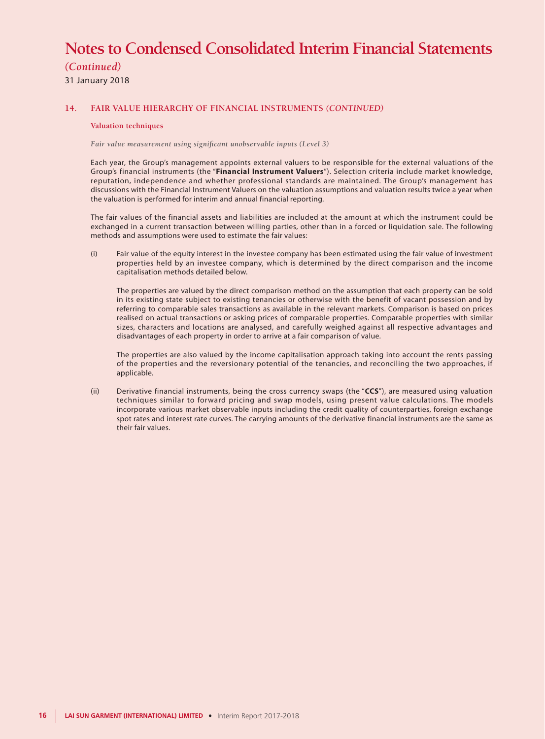*(Continued)*

31 January 2018

#### **14. FAIR VALUE HIERARCHY OF FINANCIAL INSTRUMENTS** *(CONTINUED)*

#### **Valuation techniques**

*Fair value measurement using significant unobservable inputs (Level 3)*

Each year, the Group's management appoints external valuers to be responsible for the external valuations of the Group's financial instruments (the "**Financial Instrument Valuers**"). Selection criteria include market knowledge, reputation, independence and whether professional standards are maintained. The Group's management has discussions with the Financial Instrument Valuers on the valuation assumptions and valuation results twice a year when the valuation is performed for interim and annual financial reporting.

The fair values of the financial assets and liabilities are included at the amount at which the instrument could be exchanged in a current transaction between willing parties, other than in a forced or liquidation sale. The following methods and assumptions were used to estimate the fair values:

(i) Fair value of the equity interest in the investee company has been estimated using the fair value of investment properties held by an investee company, which is determined by the direct comparison and the income capitalisation methods detailed below.

The properties are valued by the direct comparison method on the assumption that each property can be sold in its existing state subject to existing tenancies or otherwise with the benefit of vacant possession and by referring to comparable sales transactions as available in the relevant markets. Comparison is based on prices realised on actual transactions or asking prices of comparable properties. Comparable properties with similar sizes, characters and locations are analysed, and carefully weighed against all respective advantages and disadvantages of each property in order to arrive at a fair comparison of value.

The properties are also valued by the income capitalisation approach taking into account the rents passing of the properties and the reversionary potential of the tenancies, and reconciling the two approaches, if applicable.

(ii) Derivative financial instruments, being the cross currency swaps (the "**CCS**"), are measured using valuation techniques similar to forward pricing and swap models, using present value calculations. The models incorporate various market observable inputs including the credit quality of counterparties, foreign exchange spot rates and interest rate curves. The carrying amounts of the derivative financial instruments are the same as their fair values.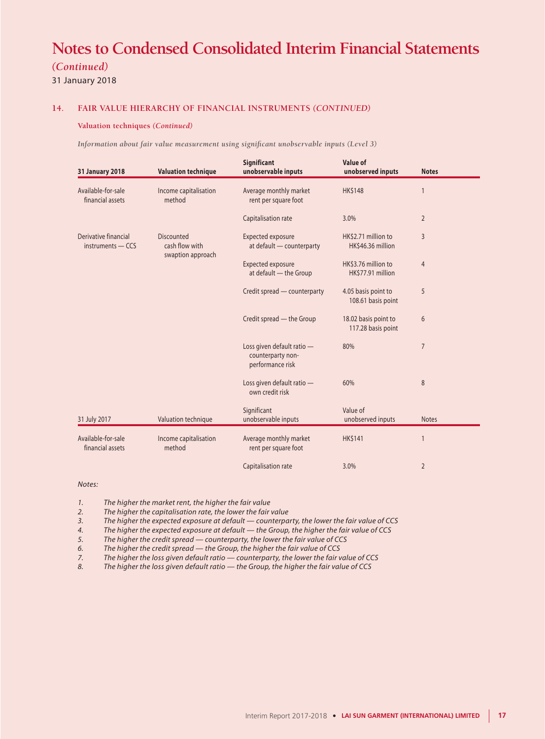### *(Continued)*

31 January 2018

#### **14. FAIR VALUE HIERARCHY OF FINANCIAL INSTRUMENTS** *(CONTINUED)*

#### **Valuation techniques** *(Continued)*

*Information about fair value measurement using significant unobservable inputs (Level 3)*

| <b>31 January 2018</b>                        | <b>Valuation technique</b>                               | Significant<br>unobservable inputs                                  | Value of<br>unobserved inputs              | <b>Notes</b>   |
|-----------------------------------------------|----------------------------------------------------------|---------------------------------------------------------------------|--------------------------------------------|----------------|
| Available-for-sale<br>financial assets        | Income capitalisation<br>method                          | Average monthly market<br>rent per square foot                      | <b>HK\$148</b>                             | $\mathbf{1}$   |
|                                               |                                                          | Capitalisation rate                                                 | 3.0%                                       | $\overline{2}$ |
| Derivative financial<br>$in$ struments $-CCS$ | <b>Discounted</b><br>cash flow with<br>swaption approach | <b>Expected exposure</b><br>at default - counterparty               | HK\$2.71 million to<br>HK\$46.36 million   | $\overline{3}$ |
|                                               |                                                          | <b>Expected exposure</b><br>at default - the Group                  | HK\$3.76 million to<br>HK\$77.91 million   | $\overline{4}$ |
|                                               |                                                          | Credit spread - counterparty                                        | 4.05 basis point to<br>108.61 basis point  | 5              |
|                                               |                                                          | Credit spread - the Group                                           | 18.02 basis point to<br>117.28 basis point | 6              |
|                                               |                                                          | Loss given default ratio -<br>counterparty non-<br>performance risk | 80%                                        | $\overline{7}$ |
|                                               |                                                          | Loss given default ratio -<br>own credit risk                       | 60%                                        | 8              |
| 31 July 2017                                  | Valuation technique                                      | Significant<br>unobservable inputs                                  | Value of<br>unobserved inputs              | <b>Notes</b>   |
| Available-for-sale<br>financial assets        | Income capitalisation<br>method                          | Average monthly market<br>rent per square foot                      | <b>HK\$141</b>                             | $\mathbf{1}$   |
|                                               |                                                          | Capitalisation rate                                                 | 3.0%                                       | $\overline{2}$ |

#### *Notes:*

*1. The higher the market rent, the higher the fair value*

*2. The higher the capitalisation rate, the lower the fair value*

*3. The higher the expected exposure at default — counterparty, the lower the fair value of CCS*

*4. The higher the expected exposure at default — the Group, the higher the fair value of CCS*

*5. The higher the credit spread — counterparty, the lower the fair value of CCS*

*6. The higher the credit spread — the Group, the higher the fair value of CCS*

*7. The higher the loss given default ratio — counterparty, the lower the fair value of CCS*

*8. The higher the loss given default ratio — the Group, the higher the fair value of CCS*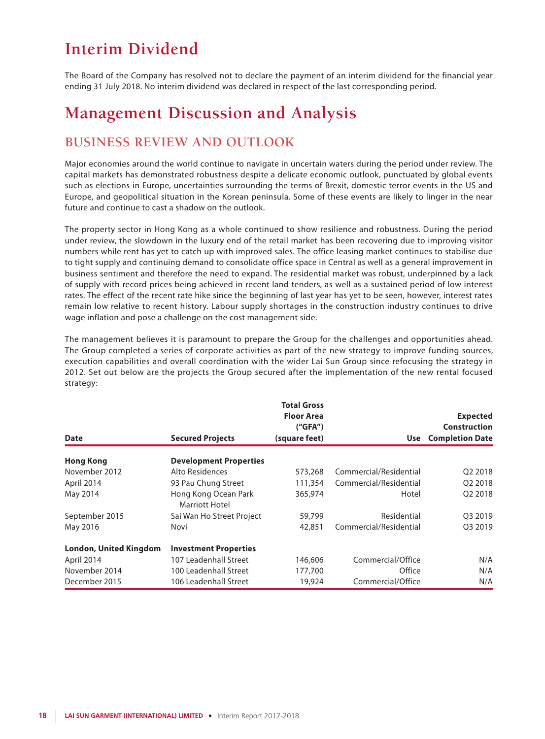# **Interim Dividend**

The Board of the Company has resolved not to declare the payment of an interim dividend for the financial year ending 31 July 2018. No interim dividend was declared in respect of the last corresponding period.

## **Management Discussion and Analysis**

## **BUSINESS REVIEW AND OUTLOOK**

Major economies around the world continue to navigate in uncertain waters during the period under review. The capital markets has demonstrated robustness despite a delicate economic outlook, punctuated by global events such as elections in Europe, uncertainties surrounding the terms of Brexit, domestic terror events in the US and Europe, and geopolitical situation in the Korean peninsula. Some of these events are likely to linger in the near future and continue to cast a shadow on the outlook.

The property sector in Hong Kong as a whole continued to show resilience and robustness. During the period under review, the slowdown in the luxury end of the retail market has been recovering due to improving visitor numbers while rent has yet to catch up with improved sales. The office leasing market continues to stabilise due to tight supply and continuing demand to consolidate office space in Central as well as a general improvement in business sentiment and therefore the need to expand. The residential market was robust, underpinned by a lack of supply with record prices being achieved in recent land tenders, as well as a sustained period of low interest rates. The effect of the recent rate hike since the beginning of last year has yet to be seen, however, interest rates remain low relative to recent history. Labour supply shortages in the construction industry continues to drive wage inflation and pose a challenge on the cost management side.

The management believes it is paramount to prepare the Group for the challenges and opportunities ahead. The Group completed a series of corporate activities as part of the new strategy to improve funding sources, execution capabilities and overall coordination with the wider Lai Sun Group since refocusing the strategy in 2012. Set out below are the projects the Group secured after the implementation of the new rental focused strategy:

| <b>Date</b>                   | <b>Secured Projects</b>                | <b>Total Gross</b><br><b>Floor Area</b><br>(''GFA'')<br>(square feet) | Use                    | <b>Expected</b><br><b>Construction</b><br><b>Completion Date</b> |
|-------------------------------|----------------------------------------|-----------------------------------------------------------------------|------------------------|------------------------------------------------------------------|
| <b>Hong Kong</b>              | <b>Development Properties</b>          |                                                                       |                        |                                                                  |
| November 2012                 | Alto Residences                        | 573,268                                                               | Commercial/Residential | Q2 2018                                                          |
| April 2014                    | 93 Pau Chung Street                    | 111,354                                                               | Commercial/Residential | Q <sub>2</sub> 2018                                              |
| May 2014                      | Hong Kong Ocean Park<br>Marriott Hotel | 365,974                                                               | Hotel                  | O <sub>2</sub> 2018                                              |
| September 2015                | Sai Wan Ho Street Project              | 59,799                                                                | Residential            | Q3 2019                                                          |
| May 2016                      | Novi                                   | 42,851                                                                | Commercial/Residential | O3 2019                                                          |
| <b>London, United Kingdom</b> | <b>Investment Properties</b>           |                                                                       |                        |                                                                  |
| April 2014                    | 107 Leadenhall Street                  | 146,606                                                               | Commercial/Office      | N/A                                                              |
| November 2014                 | 100 Leadenhall Street                  | 177,700                                                               | Office                 | N/A                                                              |
| December 2015                 | 106 Leadenhall Street                  | 19,924                                                                | Commercial/Office      | N/A                                                              |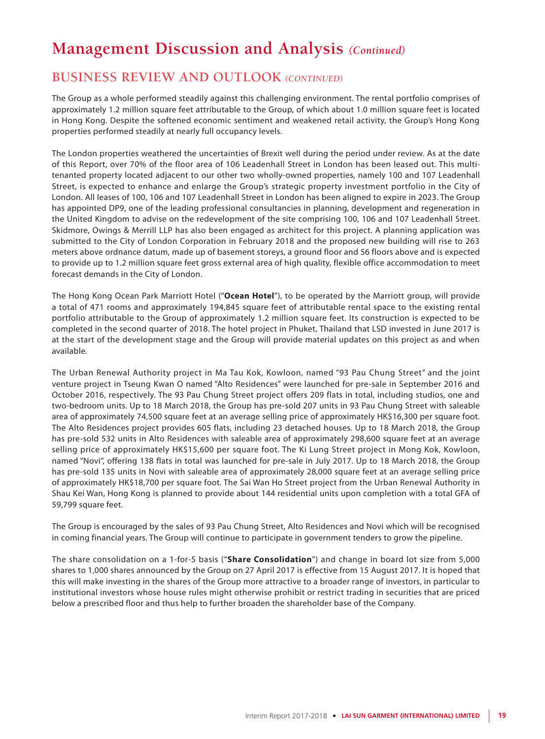## **BUSINESS REVIEW AND OUTLOOK** *(CONTINUED)*

The Group as a whole performed steadily against this challenging environment. The rental portfolio comprises of approximately 1.2 million square feet attributable to the Group, of which about 1.0 million square feet is located in Hong Kong. Despite the softened economic sentiment and weakened retail activity, the Group's Hong Kong properties performed steadily at nearly full occupancy levels.

The London properties weathered the uncertainties of Brexit well during the period under review. As at the date of this Report, over 70% of the floor area of 106 Leadenhall Street in London has been leased out. This multitenanted property located adjacent to our other two wholly-owned properties, namely 100 and 107 Leadenhall Street, is expected to enhance and enlarge the Group's strategic property investment portfolio in the City of London. All leases of 100, 106 and 107 Leadenhall Street in London has been aligned to expire in 2023. The Group has appointed DP9, one of the leading professional consultancies in planning, development and regeneration in the United Kingdom to advise on the redevelopment of the site comprising 100, 106 and 107 Leadenhall Street. Skidmore, Owings & Merrill LLP has also been engaged as architect for this project. A planning application was submitted to the City of London Corporation in February 2018 and the proposed new building will rise to 263 meters above ordnance datum, made up of basement storeys, a ground floor and 56 floors above and is expected to provide up to 1.2 million square feet gross external area of high quality, flexible office accommodation to meet forecast demands in the City of London.

The Hong Kong Ocean Park Marriott Hotel ("**Ocean Hotel**"), to be operated by the Marriott group, will provide a total of 471 rooms and approximately 194,845 square feet of attributable rental space to the existing rental portfolio attributable to the Group of approximately 1.2 million square feet. Its construction is expected to be completed in the second quarter of 2018. The hotel project in Phuket, Thailand that LSD invested in June 2017 is at the start of the development stage and the Group will provide material updates on this project as and when available.

The Urban Renewal Authority project in Ma Tau Kok, Kowloon, named "93 Pau Chung Street" and the joint venture project in Tseung Kwan O named "Alto Residences" were launched for pre-sale in September 2016 and October 2016, respectively. The 93 Pau Chung Street project offers 209 flats in total, including studios, one and two-bedroom units. Up to 18 March 2018, the Group has pre-sold 207 units in 93 Pau Chung Street with saleable area of approximately 74,500 square feet at an average selling price of approximately HK\$16,300 per square foot. The Alto Residences project provides 605 flats, including 23 detached houses. Up to 18 March 2018, the Group has pre-sold 532 units in Alto Residences with saleable area of approximately 298,600 square feet at an average selling price of approximately HK\$15,600 per square foot. The Ki Lung Street project in Mong Kok, Kowloon, named "Novi", offering 138 flats in total was launched for pre-sale in July 2017. Up to 18 March 2018, the Group has pre-sold 135 units in Novi with saleable area of approximately 28,000 square feet at an average selling price of approximately HK\$18,700 per square foot. The Sai Wan Ho Street project from the Urban Renewal Authority in Shau Kei Wan, Hong Kong is planned to provide about 144 residential units upon completion with a total GFA of 59,799 square feet.

The Group is encouraged by the sales of 93 Pau Chung Street, Alto Residences and Novi which will be recognised in coming financial years. The Group will continue to participate in government tenders to grow the pipeline.

The share consolidation on a 1-for-5 basis ("**Share Consolidation**") and change in board lot size from 5,000 shares to 1,000 shares announced by the Group on 27 April 2017 is effective from 15 August 2017. It is hoped that this will make investing in the shares of the Group more attractive to a broader range of investors, in particular to institutional investors whose house rules might otherwise prohibit or restrict trading in securities that are priced below a prescribed floor and thus help to further broaden the shareholder base of the Company.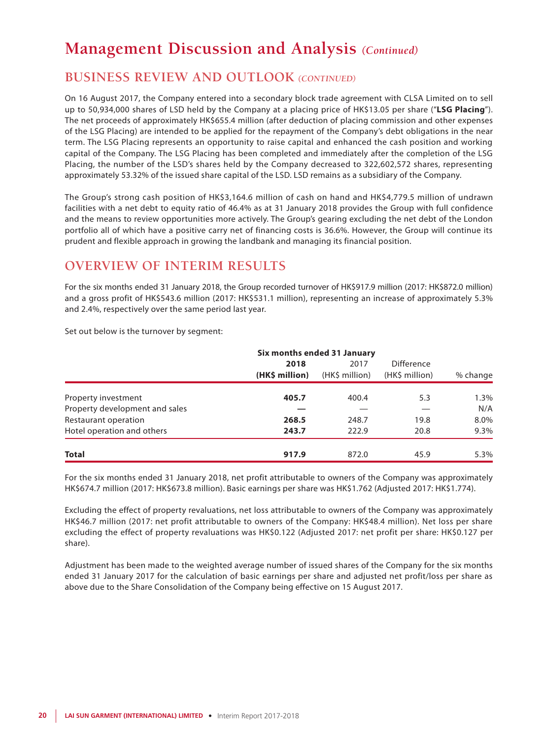## **BUSINESS REVIEW AND OUTLOOK** *(CONTINUED)*

On 16 August 2017, the Company entered into a secondary block trade agreement with CLSA Limited on to sell up to 50,934,000 shares of LSD held by the Company at a placing price of HK\$13.05 per share ("**LSG Placing**"). The net proceeds of approximately HK\$655.4 million (after deduction of placing commission and other expenses of the LSG Placing) are intended to be applied for the repayment of the Company's debt obligations in the near term. The LSG Placing represents an opportunity to raise capital and enhanced the cash position and working capital of the Company. The LSG Placing has been completed and immediately after the completion of the LSG Placing, the number of the LSD's shares held by the Company decreased to 322,602,572 shares, representing approximately 53.32% of the issued share capital of the LSD. LSD remains as a subsidiary of the Company.

The Group's strong cash position of HK\$3,164.6 million of cash on hand and HK\$4,779.5 million of undrawn facilities with a net debt to equity ratio of 46.4% as at 31 January 2018 provides the Group with full confidence and the means to review opportunities more actively. The Group's gearing excluding the net debt of the London portfolio all of which have a positive carry net of financing costs is 36.6%. However, the Group will continue its prudent and flexible approach in growing the landbank and managing its financial position.

## **OVERVIEW OF INTERIM RESULTS**

For the six months ended 31 January 2018, the Group recorded turnover of HK\$917.9 million (2017: HK\$872.0 million) and a gross profit of HK\$543.6 million (2017: HK\$531.1 million), representing an increase of approximately 5.3% and 2.4%, respectively over the same period last year.

Set out below is the turnover by segment:

|                                | Six months ended 31 January |                        |                                     |          |
|--------------------------------|-----------------------------|------------------------|-------------------------------------|----------|
|                                | 2018<br>(HK\$ million)      | 2017<br>(HK\$ million) | <b>Difference</b><br>(HK\$ million) | % change |
|                                |                             |                        |                                     |          |
| Property investment            | 405.7                       | 400.4                  | 5.3                                 | 1.3%     |
| Property development and sales |                             |                        |                                     | N/A      |
| Restaurant operation           | 268.5                       | 248.7                  | 19.8                                | 8.0%     |
| Hotel operation and others     | 243.7                       | 222.9                  | 20.8                                | 9.3%     |
| <b>Total</b>                   | 917.9                       | 872.0                  | 45.9                                | 5.3%     |

For the six months ended 31 January 2018, net profit attributable to owners of the Company was approximately HK\$674.7 million (2017: HK\$673.8 million). Basic earnings per share was HK\$1.762 (Adjusted 2017: HK\$1.774).

Excluding the effect of property revaluations, net loss attributable to owners of the Company was approximately HK\$46.7 million (2017: net profit attributable to owners of the Company: HK\$48.4 million). Net loss per share excluding the effect of property revaluations was HK\$0.122 (Adjusted 2017: net profit per share: HK\$0.127 per share).

Adjustment has been made to the weighted average number of issued shares of the Company for the six months ended 31 January 2017 for the calculation of basic earnings per share and adjusted net profit/loss per share as above due to the Share Consolidation of the Company being effective on 15 August 2017.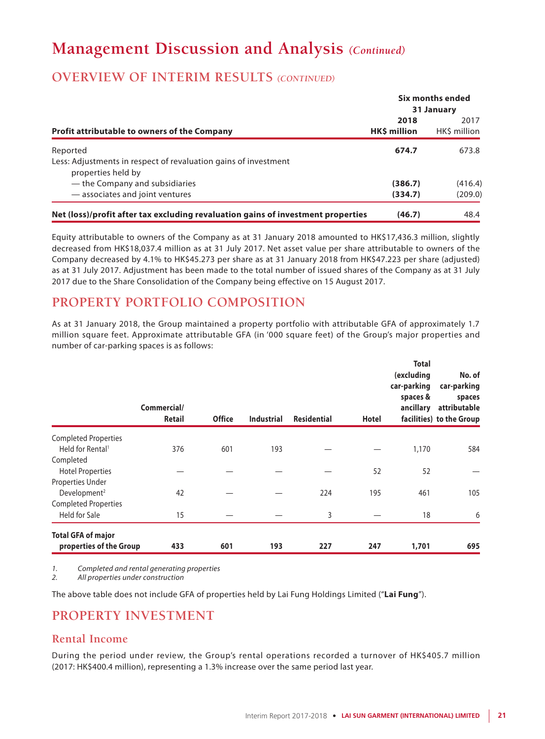## **OVERVIEW OF INTERIM RESULTS** *(CONTINUED)*

|                                                                                  |              | Six months ended |  |
|----------------------------------------------------------------------------------|--------------|------------------|--|
|                                                                                  |              | 31 January       |  |
|                                                                                  | 2018         | 2017             |  |
| <b>Profit attributable to owners of the Company</b>                              | HK\$ million | HK\$ million     |  |
| Reported                                                                         | 674.7        | 673.8            |  |
| Less: Adjustments in respect of revaluation gains of investment                  |              |                  |  |
| properties held by                                                               |              |                  |  |
| — the Company and subsidiaries                                                   | (386.7)      | (416.4)          |  |
| - associates and joint ventures                                                  | (334.7)      | (209.0)          |  |
| Net (loss)/profit after tax excluding revaluation gains of investment properties | (46.7)       | 48.4             |  |

Equity attributable to owners of the Company as at 31 January 2018 amounted to HK\$17,436.3 million, slightly decreased from HK\$18,037.4 million as at 31 July 2017. Net asset value per share attributable to owners of the Company decreased by 4.1% to HK\$45.273 per share as at 31 January 2018 from HK\$47.223 per share (adjusted) as at 31 July 2017. Adjustment has been made to the total number of issued shares of the Company as at 31 July 2017 due to the Share Consolidation of the Company being effective on 15 August 2017.

## **PROPERTY PORTFOLIO COMPOSITION**

As at 31 January 2018, the Group maintained a property portfolio with attributable GFA of approximately 1.7 million square feet. Approximate attributable GFA (in '000 square feet) of the Group's major properties and number of car-parking spaces is as follows:

|                              | Commercial/<br><b>Retail</b> | <b>Office</b> | <b>Industrial</b> | <b>Residential</b> | Hotel | <b>Total</b><br>(excluding<br>car-parking<br>spaces &<br>ancillary | No. of<br>car-parking<br>spaces<br>attributable<br>facilities) to the Group |
|------------------------------|------------------------------|---------------|-------------------|--------------------|-------|--------------------------------------------------------------------|-----------------------------------------------------------------------------|
| <b>Completed Properties</b>  |                              |               |                   |                    |       |                                                                    |                                                                             |
| Held for Rental <sup>1</sup> | 376                          | 601           | 193               |                    |       | 1,170                                                              | 584                                                                         |
| Completed                    |                              |               |                   |                    |       |                                                                    |                                                                             |
| <b>Hotel Properties</b>      |                              |               |                   |                    | 52    | 52                                                                 |                                                                             |
| Properties Under             |                              |               |                   |                    |       |                                                                    |                                                                             |
| Development <sup>2</sup>     | 42                           |               |                   | 224                | 195   | 461                                                                | 105                                                                         |
| <b>Completed Properties</b>  |                              |               |                   |                    |       |                                                                    |                                                                             |
| Held for Sale                | 15                           |               |                   | 3                  |       | 18                                                                 | 6                                                                           |
| <b>Total GFA of major</b>    |                              |               |                   |                    |       |                                                                    |                                                                             |
| properties of the Group      | 433                          | 601           | 193               | 227                | 247   | 1,701                                                              | 695                                                                         |

*1. Completed and rental generating properties*

*2. All properties under construction*

The above table does not include GFA of properties held by Lai Fung Holdings Limited ("**Lai Fung**").

## **PROPERTY INVESTMENT**

### **Rental Income**

During the period under review, the Group's rental operations recorded a turnover of HK\$405.7 million (2017: HK\$400.4 million), representing a 1.3% increase over the same period last year.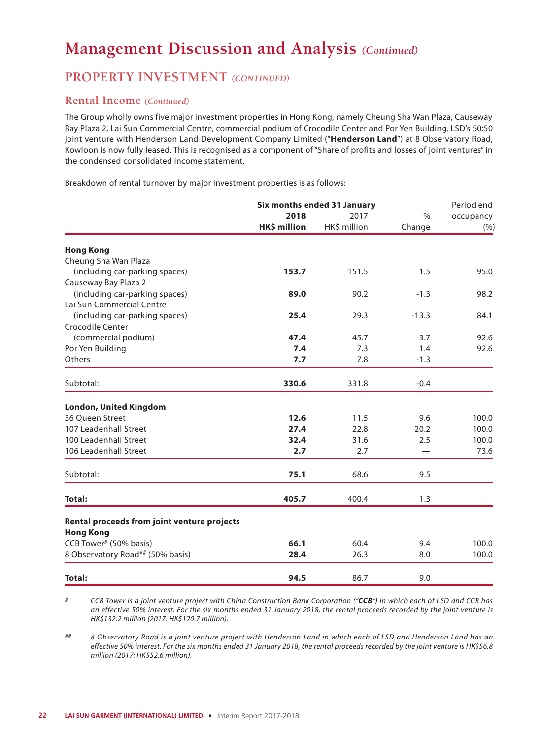### **PROPERTY INVESTMENT** *(CONTINUED)*

### **Rental Income** *(Continued)*

The Group wholly owns five major investment properties in Hong Kong, namely Cheung Sha Wan Plaza, Causeway Bay Plaza 2, Lai Sun Commercial Centre, commercial podium of Crocodile Center and Por Yen Building. LSD's 50:50 joint venture with Henderson Land Development Company Limited ("**Henderson Land**") at 8 Observatory Road, Kowloon is now fully leased. This is recognised as a component of "Share of profits and losses of joint ventures" in the condensed consolidated income statement.

Breakdown of rental turnover by major investment properties is as follows:

|                                             |              | Six months ended 31 January | Period end    |           |  |
|---------------------------------------------|--------------|-----------------------------|---------------|-----------|--|
|                                             | 2018         | 2017                        | $\frac{0}{0}$ | occupancy |  |
|                                             | HK\$ million | HK\$ million                | Change        | (%)       |  |
| <b>Hong Kong</b>                            |              |                             |               |           |  |
| Cheung Sha Wan Plaza                        |              |                             |               |           |  |
| (including car-parking spaces)              | 153.7        | 151.5                       | 1.5           | 95.0      |  |
| Causeway Bay Plaza 2                        |              |                             |               |           |  |
| (including car-parking spaces)              | 89.0         | 90.2                        | $-1.3$        | 98.2      |  |
| Lai Sun Commercial Centre                   |              |                             |               |           |  |
| (including car-parking spaces)              | 25.4         | 29.3                        | $-13.3$       | 84.1      |  |
| Crocodile Center                            |              |                             |               |           |  |
| (commercial podium)                         | 47.4         | 45.7                        | 3.7           | 92.6      |  |
| Por Yen Building                            | 7.4          | 7.3                         | 1.4           | 92.6      |  |
| Others                                      | 7.7          | 7.8                         | $-1.3$        |           |  |
| Subtotal:                                   | 330.6        | 331.8                       | $-0.4$        |           |  |
| <b>London, United Kingdom</b>               |              |                             |               |           |  |
| 36 Queen Street                             | 12.6         | 11.5                        | 9.6           | 100.0     |  |
| 107 Leadenhall Street                       | 27.4         | 22.8                        | 20.2          | 100.0     |  |
| 100 Leadenhall Street                       | 32.4         | 31.6                        | 2.5           | 100.0     |  |
| 106 Leadenhall Street                       | 2.7          | 2.7                         |               | 73.6      |  |
| Subtotal:                                   | 75.1         | 68.6                        | 9.5           |           |  |
| <b>Total:</b>                               | 405.7        | 400.4                       | 1.3           |           |  |
|                                             |              |                             |               |           |  |
| Rental proceeds from joint venture projects |              |                             |               |           |  |
| <b>Hong Kong</b>                            |              |                             |               |           |  |
| CCB Tower# (50% basis)                      | 66.1         | 60.4                        | 9.4           | 100.0     |  |
| 8 Observatory Road## (50% basis)            | 28.4         | 26.3                        | 8.0           | 100.0     |  |
| <b>Total:</b>                               | 94.5         | 86.7                        | 9.0           |           |  |

*# CCB Tower is a joint venture project with China Construction Bank Corporation ("CCB") in which each of LSD and CCB has an effective 50% interest. For the six months ended 31 January 2018, the rental proceeds recorded by the joint venture is HK\$132.2 million (2017: HK\$120.7 million).*

*## 8 Observatory Road is a joint venture project with Henderson Land in which each of LSD and Henderson Land has an effective 50% interest. For the six months ended 31 January 2018, the rental proceeds recorded by the joint venture is HK\$56.8 million (2017: HK\$52.6 million).*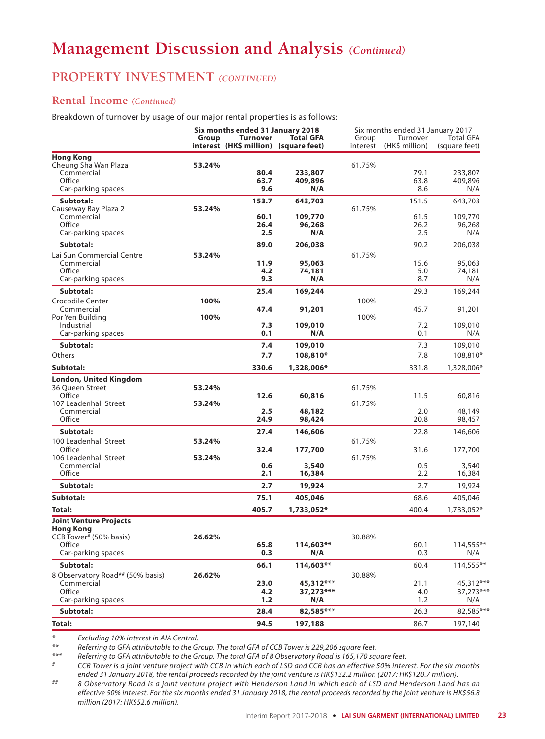## **PROPERTY INVESTMENT** *(CONTINUED)*

### **Rental Income** *(Continued)*

Breakdown of turnover by usage of our major rental properties is as follows:

|                                                            |        | Six months ended 31 January 2018                         |                    |                   |                            | Six months ended 31 January 2017  |  |
|------------------------------------------------------------|--------|----------------------------------------------------------|--------------------|-------------------|----------------------------|-----------------------------------|--|
|                                                            | Group  | <b>Turnover</b><br>interest (HK\$ million) (square feet) | <b>Total GFA</b>   | Group<br>interest | Turnover<br>(HK\$ million) | <b>Total GFA</b><br>(square feet) |  |
| <b>Hong Kong</b>                                           |        |                                                          |                    |                   |                            |                                   |  |
| Cheung Sha Wan Plaza                                       | 53.24% |                                                          |                    | 61.75%            |                            |                                   |  |
| Commercial                                                 |        | 80.4                                                     | 233,807            |                   | 79.1                       | 233,807                           |  |
| Office                                                     |        | 63.7                                                     | 409,896            |                   | 63.8                       | 409,896                           |  |
| Car-parking spaces                                         |        | 9.6                                                      | N/A                |                   | 8.6                        | N/A                               |  |
| Subtotal:                                                  |        | 153.7                                                    | 643,703            |                   | 151.5                      | 643,703                           |  |
| Causeway Bay Plaza 2                                       | 53.24% |                                                          |                    | 61.75%            |                            |                                   |  |
| Commercial<br>Office                                       |        | 60.1<br>26.4                                             | 109,770<br>96,268  |                   | 61.5<br>26.2               | 109,770<br>96,268                 |  |
| Car-parking spaces                                         |        | 2.5                                                      | N/A                |                   | 2.5                        | N/A                               |  |
| Subtotal:                                                  |        | 89.0                                                     |                    |                   | 90.2                       | 206,038                           |  |
|                                                            |        |                                                          | 206,038            |                   |                            |                                   |  |
| Lai Sun Commercial Centre<br>Commercial                    | 53.24% | 11.9                                                     | 95,063             | 61.75%            | 15.6                       | 95,063                            |  |
| Office                                                     |        | 4.2                                                      | 74,181             |                   | 5.0                        | 74,181                            |  |
| Car-parking spaces                                         |        | 9.3                                                      | N/A                |                   | 8.7                        | N/A                               |  |
| Subtotal:                                                  |        | 25.4                                                     | 169,244            |                   | 29.3                       | 169,244                           |  |
| Crocodile Center                                           | 100%   |                                                          |                    | 100%              |                            |                                   |  |
| Commercial                                                 |        | 47.4                                                     | 91,201             |                   | 45.7                       | 91,201                            |  |
| Por Yen Building                                           | 100%   |                                                          |                    | 100%              |                            |                                   |  |
| Industrial                                                 |        | 7.3                                                      | 109,010            |                   | 7.2                        | 109,010                           |  |
| Car-parking spaces                                         |        | 0.1                                                      | N/A                |                   | 0.1                        | N/A                               |  |
| Subtotal:                                                  |        | 7.4                                                      | 109,010            |                   | 7.3                        | 109,010                           |  |
| <b>Others</b>                                              |        | 7.7                                                      | 108,810*           |                   | 7.8                        | 108,810*                          |  |
| Subtotal:                                                  |        | 330.6                                                    | 1,328,006*         |                   | 331.8                      | 1,328,006*                        |  |
| <b>London, United Kingdom</b>                              |        |                                                          |                    |                   |                            |                                   |  |
| 36 Queen Street                                            | 53.24% |                                                          |                    | 61.75%            |                            |                                   |  |
| Office                                                     |        | 12.6                                                     | 60,816             |                   | 11.5                       | 60,816                            |  |
| 107 Leadenhall Street                                      | 53.24% |                                                          |                    | 61.75%            |                            |                                   |  |
| Commercial                                                 |        | 2.5                                                      | 48,182             |                   | 2.0                        | 48,149                            |  |
| Office                                                     |        | 24.9                                                     | 98,424             |                   | 20.8                       | 98,457                            |  |
| Subtotal:                                                  |        | 27.4                                                     | 146,606            |                   | 22.8                       | 146,606                           |  |
| 100 Leadenhall Street                                      | 53.24% |                                                          |                    | 61.75%            |                            |                                   |  |
| Office                                                     |        | 32.4                                                     | 177,700            |                   | 31.6                       | 177,700                           |  |
| 106 Leadenhall Street                                      | 53.24% |                                                          |                    | 61.75%            |                            |                                   |  |
| Commercial                                                 |        | 0.6                                                      | 3,540              |                   | 0.5                        | 3,540                             |  |
| Office                                                     |        | 2.1                                                      | 16,384             |                   | 2.2                        | 16,384                            |  |
| Subtotal:                                                  |        | 2.7                                                      | 19,924             |                   | 2.7                        | 19,924                            |  |
| Subtotal:                                                  |        | 75.1                                                     | 405,046            |                   | 68.6                       | 405,046                           |  |
| Total:                                                     |        | 405.7                                                    | 1,733,052*         |                   | 400.4                      | 1,733,052*                        |  |
| <b>Joint Venture Projects</b>                              |        |                                                          |                    |                   |                            |                                   |  |
| <b>Hong Kong</b>                                           |        |                                                          |                    |                   |                            |                                   |  |
| CCB Tower <sup><math>\overline{t}</math></sup> (50% basis) | 26.62% |                                                          |                    | 30.88%            |                            |                                   |  |
| Office<br>Car-parking spaces                               |        | 65.8<br>0.3                                              | $114,603**$<br>N/A |                   | 60.1<br>0.3                | $114,555***$<br>N/A               |  |
| Subtotal:                                                  |        |                                                          | 114,603**          |                   |                            | 114,555**                         |  |
|                                                            |        | 66.1                                                     |                    |                   | 60.4                       |                                   |  |
| 8 Observatory Road## (50% basis)<br>Commercial             | 26.62% | 23.0                                                     | 45,312***          | 30.88%            | 21.1                       | 45,312***                         |  |
| Office                                                     |        | 4.2                                                      | 37,273***          |                   | 4.0                        | 37,273***                         |  |
| Car-parking spaces                                         |        | 1.2                                                      | N/A                |                   | 1.2                        | N/A                               |  |
| Subtotal:                                                  |        | 28.4                                                     | 82,585***          |                   | 26.3                       | 82,585***                         |  |
| <b>Total:</b>                                              |        | 94.5                                                     | 197,188            |                   | 86.7                       | 197,140                           |  |
|                                                            |        |                                                          |                    |                   |                            |                                   |  |

*\* Excluding 10% interest in AIA Central.*

*\*\* Referring to GFA attributable to the Group. The total GFA of CCB Tower is 229,206 square feet.*

*\*\*\* Referring to GFA attributable to the Group. The total GFA of 8 Observatory Road is 165,170 square feet.*

*# CCB Tower is a joint venture project with CCB in which each of LSD and CCB has an effective 50% interest. For the six months ended 31 January 2018, the rental proceeds recorded by the joint venture is HK\$132.2 million (2017: HK\$120.7 million).*

*## 8 Observatory Road is a joint venture project with Henderson Land in which each of LSD and Henderson Land has an effective 50% interest. For the six months ended 31 January 2018, the rental proceeds recorded by the joint venture is HK\$56.8 million (2017: HK\$52.6 million).*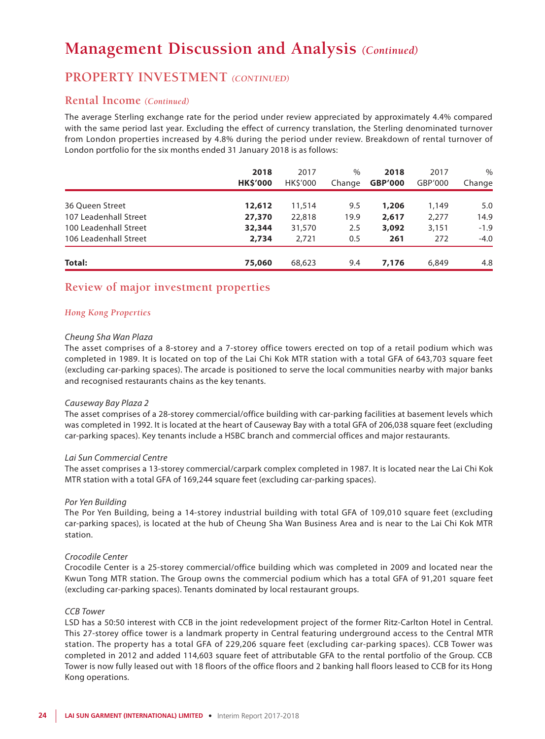### **PROPERTY INVESTMENT** *(CONTINUED)*

### **Rental Income** *(Continued)*

The average Sterling exchange rate for the period under review appreciated by approximately 4.4% compared with the same period last year. Excluding the effect of currency translation, the Sterling denominated turnover from London properties increased by 4.8% during the period under review. Breakdown of rental turnover of London portfolio for the six months ended 31 January 2018 is as follows:

|                       | 2018<br><b>HK\$'000</b> | 2017<br><b>HKS'000</b> | $\%$<br>Change | 2018<br><b>GBP'000</b> | 2017<br>GBP'000 | $\%$<br>Change |
|-----------------------|-------------------------|------------------------|----------------|------------------------|-----------------|----------------|
| 36 Oueen Street       | 12,612                  | 11,514                 | 9.5            | 1,206                  | 1,149           | 5.0            |
| 107 Leadenhall Street | 27,370                  | 22,818                 | 19.9           | 2,617                  | 2,277           | 14.9           |
| 100 Leadenhall Street | 32,344                  | 31,570                 | 2.5            | 3,092                  | 3,151           | $-1.9$         |
| 106 Leadenhall Street | 2,734                   | 2.721                  | 0.5            | 261                    | 272             | $-4.0$         |
| Total:                | 75,060                  | 68,623                 | 9.4            | 7.176                  | 6,849           | 4.8            |

### **Review of major investment properties**

### *Hong Kong Properties*

#### *Cheung Sha Wan Plaza*

The asset comprises of a 8-storey and a 7-storey office towers erected on top of a retail podium which was completed in 1989. It is located on top of the Lai Chi Kok MTR station with a total GFA of 643,703 square feet (excluding car-parking spaces). The arcade is positioned to serve the local communities nearby with major banks and recognised restaurants chains as the key tenants.

#### *Causeway Bay Plaza 2*

The asset comprises of a 28-storey commercial/office building with car-parking facilities at basement levels which was completed in 1992. It is located at the heart of Causeway Bay with a total GFA of 206,038 square feet (excluding car-parking spaces). Key tenants include a HSBC branch and commercial offices and major restaurants.

#### *Lai Sun Commercial Centre*

The asset comprises a 13-storey commercial/carpark complex completed in 1987. It is located near the Lai Chi Kok MTR station with a total GFA of 169,244 square feet (excluding car-parking spaces).

#### *Por Yen Building*

The Por Yen Building, being a 14-storey industrial building with total GFA of 109,010 square feet (excluding car-parking spaces), is located at the hub of Cheung Sha Wan Business Area and is near to the Lai Chi Kok MTR station.

#### *Crocodile Center*

Crocodile Center is a 25-storey commercial/office building which was completed in 2009 and located near the Kwun Tong MTR station. The Group owns the commercial podium which has a total GFA of 91,201 square feet (excluding car-parking spaces). Tenants dominated by local restaurant groups.

### *CCB Tower*

LSD has a 50:50 interest with CCB in the joint redevelopment project of the former Ritz-Carlton Hotel in Central. This 27-storey office tower is a landmark property in Central featuring underground access to the Central MTR station. The property has a total GFA of 229,206 square feet (excluding car-parking spaces). CCB Tower was completed in 2012 and added 114,603 square feet of attributable GFA to the rental portfolio of the Group. CCB Tower is now fully leased out with 18 floors of the office floors and 2 banking hall floors leased to CCB for its Hong Kong operations.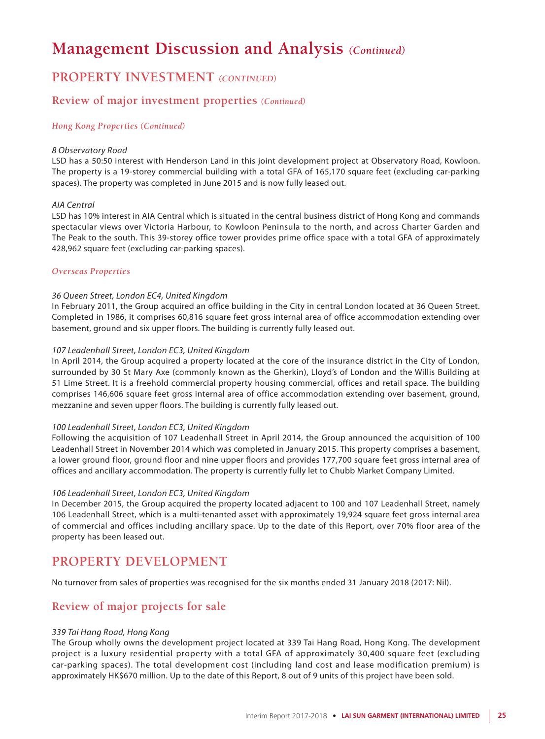## **PROPERTY INVESTMENT** *(CONTINUED)*

### **Review of major investment properties** *(Continued)*

### *Hong Kong Properties (Continued)*

#### *8 Observatory Road*

LSD has a 50:50 interest with Henderson Land in this joint development project at Observatory Road, Kowloon. The property is a 19-storey commercial building with a total GFA of 165,170 square feet (excluding car-parking spaces). The property was completed in June 2015 and is now fully leased out.

#### *AIA Central*

LSD has 10% interest in AIA Central which is situated in the central business district of Hong Kong and commands spectacular views over Victoria Harbour, to Kowloon Peninsula to the north, and across Charter Garden and The Peak to the south. This 39-storey office tower provides prime office space with a total GFA of approximately 428,962 square feet (excluding car-parking spaces).

### *Overseas Properties*

### *36 Queen Street, London EC4, United Kingdom*

In February 2011, the Group acquired an office building in the City in central London located at 36 Queen Street. Completed in 1986, it comprises 60,816 square feet gross internal area of office accommodation extending over basement, ground and six upper floors. The building is currently fully leased out.

### *107 Leadenhall Street, London EC3, United Kingdom*

In April 2014, the Group acquired a property located at the core of the insurance district in the City of London, surrounded by 30 St Mary Axe (commonly known as the Gherkin), Lloyd's of London and the Willis Building at 51 Lime Street. It is a freehold commercial property housing commercial, offices and retail space. The building comprises 146,606 square feet gross internal area of office accommodation extending over basement, ground, mezzanine and seven upper floors. The building is currently fully leased out.

#### *100 Leadenhall Street, London EC3, United Kingdom*

Following the acquisition of 107 Leadenhall Street in April 2014, the Group announced the acquisition of 100 Leadenhall Street in November 2014 which was completed in January 2015. This property comprises a basement, a lower ground floor, ground floor and nine upper floors and provides 177,700 square feet gross internal area of offices and ancillary accommodation. The property is currently fully let to Chubb Market Company Limited.

#### *106 Leadenhall Street, London EC3, United Kingdom*

In December 2015, the Group acquired the property located adjacent to 100 and 107 Leadenhall Street, namely 106 Leadenhall Street, which is a multi-tenanted asset with approximately 19,924 square feet gross internal area of commercial and offices including ancillary space. Up to the date of this Report, over 70% floor area of the property has been leased out.

## **PROPERTY DEVELOPMENT**

No turnover from sales of properties was recognised for the six months ended 31 January 2018 (2017: Nil).

### **Review of major projects for sale**

### *339 Tai Hang Road, Hong Kong*

The Group wholly owns the development project located at 339 Tai Hang Road, Hong Kong. The development project is a luxury residential property with a total GFA of approximately 30,400 square feet (excluding car-parking spaces). The total development cost (including land cost and lease modification premium) is approximately HK\$670 million. Up to the date of this Report, 8 out of 9 units of this project have been sold.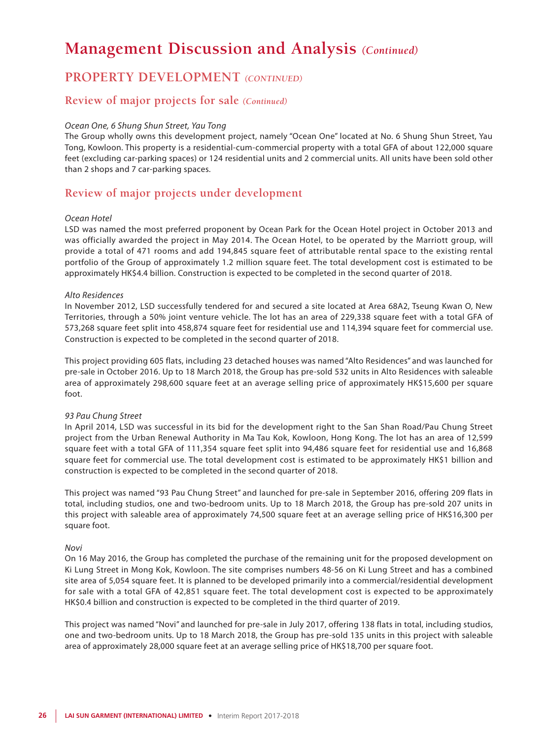## **PROPERTY DEVELOPMENT** *(CONTINUED)*

### **Review of major projects for sale** *(Continued)*

### *Ocean One, 6 Shung Shun Street, Yau Tong*

The Group wholly owns this development project, namely "Ocean One" located at No. 6 Shung Shun Street, Yau Tong, Kowloon. This property is a residential-cum-commercial property with a total GFA of about 122,000 square feet (excluding car-parking spaces) or 124 residential units and 2 commercial units. All units have been sold other than 2 shops and 7 car-parking spaces.

### **Review of major projects under development**

#### *Ocean Hotel*

LSD was named the most preferred proponent by Ocean Park for the Ocean Hotel project in October 2013 and was officially awarded the project in May 2014. The Ocean Hotel, to be operated by the Marriott group, will provide a total of 471 rooms and add 194,845 square feet of attributable rental space to the existing rental portfolio of the Group of approximately 1.2 million square feet. The total development cost is estimated to be approximately HK\$4.4 billion. Construction is expected to be completed in the second quarter of 2018.

#### *Alto Residences*

In November 2012, LSD successfully tendered for and secured a site located at Area 68A2, Tseung Kwan O, New Territories, through a 50% joint venture vehicle. The lot has an area of 229,338 square feet with a total GFA of 573,268 square feet split into 458,874 square feet for residential use and 114,394 square feet for commercial use. Construction is expected to be completed in the second quarter of 2018.

This project providing 605 flats, including 23 detached houses was named "Alto Residences" and was launched for pre-sale in October 2016. Up to 18 March 2018, the Group has pre-sold 532 units in Alto Residences with saleable area of approximately 298,600 square feet at an average selling price of approximately HK\$15,600 per square foot.

#### *93 Pau Chung Street*

In April 2014, LSD was successful in its bid for the development right to the San Shan Road/Pau Chung Street project from the Urban Renewal Authority in Ma Tau Kok, Kowloon, Hong Kong. The lot has an area of 12,599 square feet with a total GFA of 111,354 square feet split into 94,486 square feet for residential use and 16,868 square feet for commercial use. The total development cost is estimated to be approximately HK\$1 billion and construction is expected to be completed in the second quarter of 2018.

This project was named "93 Pau Chung Street" and launched for pre-sale in September 2016, offering 209 flats in total, including studios, one and two-bedroom units. Up to 18 March 2018, the Group has pre-sold 207 units in this project with saleable area of approximately 74,500 square feet at an average selling price of HK\$16,300 per square foot.

#### *Novi*

On 16 May 2016, the Group has completed the purchase of the remaining unit for the proposed development on Ki Lung Street in Mong Kok, Kowloon. The site comprises numbers 48-56 on Ki Lung Street and has a combined site area of 5,054 square feet. It is planned to be developed primarily into a commercial/residential development for sale with a total GFA of 42,851 square feet. The total development cost is expected to be approximately HK\$0.4 billion and construction is expected to be completed in the third quarter of 2019.

This project was named "Novi" and launched for pre-sale in July 2017, offering 138 flats in total, including studios, one and two-bedroom units. Up to 18 March 2018, the Group has pre-sold 135 units in this project with saleable area of approximately 28,000 square feet at an average selling price of HK\$18,700 per square foot.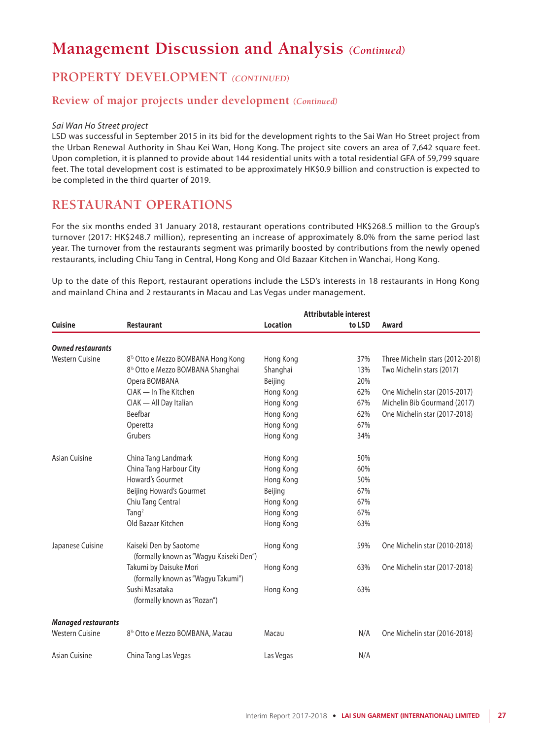## **PROPERTY DEVELOPMENT** *(CONTINUED)*

### **Review of major projects under development** *(Continued)*

#### *Sai Wan Ho Street project*

LSD was successful in September 2015 in its bid for the development rights to the Sai Wan Ho Street project from the Urban Renewal Authority in Shau Kei Wan, Hong Kong. The project site covers an area of 7,642 square feet. Upon completion, it is planned to provide about 144 residential units with a total residential GFA of 59,799 square feet. The total development cost is estimated to be approximately HK\$0.9 billion and construction is expected to be completed in the third quarter of 2019.

### **RESTAURANT OPERATIONS**

For the six months ended 31 January 2018, restaurant operations contributed HK\$268.5 million to the Group's turnover (2017: HK\$248.7 million), representing an increase of approximately 8.0% from the same period last year. The turnover from the restaurants segment was primarily boosted by contributions from the newly opened restaurants, including Chiu Tang in Central, Hong Kong and Old Bazaar Kitchen in Wanchai, Hong Kong.

Up to the date of this Report, restaurant operations include the LSD's interests in 18 restaurants in Hong Kong and mainland China and 2 restaurants in Macau and Las Vegas under management.

|                            | Attributable interest                                             |                 |        |                                  |  |  |  |  |  |  |
|----------------------------|-------------------------------------------------------------------|-----------------|--------|----------------------------------|--|--|--|--|--|--|
| <b>Cuisine</b>             | <b>Restaurant</b>                                                 | <b>Location</b> | to LSD | Award                            |  |  |  |  |  |  |
| <b>Owned restaurants</b>   |                                                                   |                 |        |                                  |  |  |  |  |  |  |
| <b>Western Cuisine</b>     | 8 <sup>1/2</sup> Otto e Mezzo BOMBANA Hong Kong                   | Hong Kong       | 37%    | Three Michelin stars (2012-2018) |  |  |  |  |  |  |
|                            | 8 <sup>1/2</sup> Otto e Mezzo BOMBANA Shanghai                    | Shanghai        | 13%    | Two Michelin stars (2017)        |  |  |  |  |  |  |
|                            | Opera BOMBANA                                                     | Beijing         | 20%    |                                  |  |  |  |  |  |  |
|                            | CIAK - In The Kitchen                                             | Hong Kong       | 62%    | One Michelin star (2015-2017)    |  |  |  |  |  |  |
|                            | CIAK - All Day Italian                                            | Hong Kong       | 67%    | Michelin Bib Gourmand (2017)     |  |  |  |  |  |  |
|                            | Beefbar                                                           | Hong Kong       | 62%    | One Michelin star (2017-2018)    |  |  |  |  |  |  |
|                            | Operetta                                                          | Hong Kong       | 67%    |                                  |  |  |  |  |  |  |
|                            | Grubers                                                           | Hong Kong       | 34%    |                                  |  |  |  |  |  |  |
| Asian Cuisine              | China Tang Landmark                                               | Hong Kong       | 50%    |                                  |  |  |  |  |  |  |
|                            | China Tang Harbour City                                           | Hong Kong       | 60%    |                                  |  |  |  |  |  |  |
|                            | Howard's Gourmet                                                  | Hong Kong       | 50%    |                                  |  |  |  |  |  |  |
|                            | Beijing Howard's Gourmet                                          | Beijing         | 67%    |                                  |  |  |  |  |  |  |
|                            | Chiu Tang Central                                                 | Hong Kong       | 67%    |                                  |  |  |  |  |  |  |
|                            | Tang $2$                                                          | Hong Kong       | 67%    |                                  |  |  |  |  |  |  |
|                            | Old Bazaar Kitchen                                                | Hong Kong       | 63%    |                                  |  |  |  |  |  |  |
| Japanese Cuisine           | Kaiseki Den by Saotome<br>(formally known as "Wagyu Kaiseki Den") | Hong Kong       | 59%    | One Michelin star (2010-2018)    |  |  |  |  |  |  |
|                            | Takumi by Daisuke Mori<br>(formally known as "Wagyu Takumi")      | Hong Kong       | 63%    | One Michelin star (2017-2018)    |  |  |  |  |  |  |
|                            | Sushi Masataka<br>(formally known as "Rozan")                     | Hong Kong       | 63%    |                                  |  |  |  |  |  |  |
| <b>Managed restaurants</b> |                                                                   |                 |        |                                  |  |  |  |  |  |  |
| <b>Western Cuisine</b>     | 8 <sup>1/2</sup> Otto e Mezzo BOMBANA, Macau                      | Macau           | N/A    | One Michelin star (2016-2018)    |  |  |  |  |  |  |
| Asian Cuisine              | China Tang Las Vegas                                              | Las Vegas       | N/A    |                                  |  |  |  |  |  |  |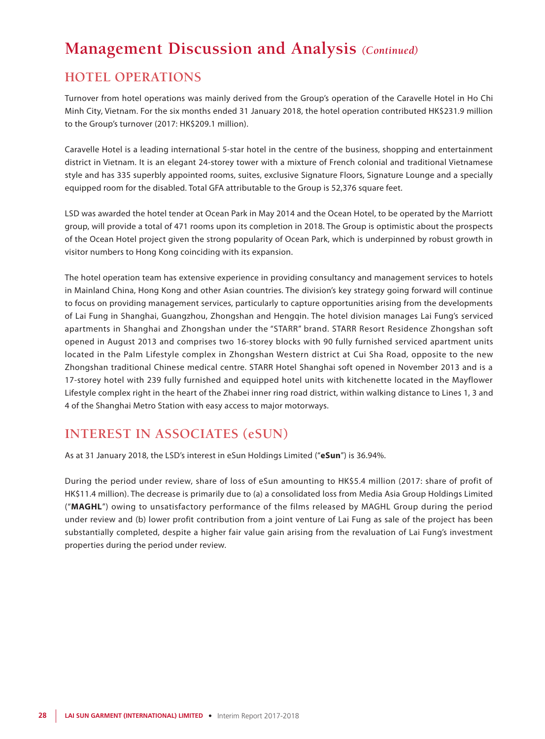## **HOTEL OPERATIONS**

Turnover from hotel operations was mainly derived from the Group's operation of the Caravelle Hotel in Ho Chi Minh City, Vietnam. For the six months ended 31 January 2018, the hotel operation contributed HK\$231.9 million to the Group's turnover (2017: HK\$209.1 million).

Caravelle Hotel is a leading international 5-star hotel in the centre of the business, shopping and entertainment district in Vietnam. It is an elegant 24-storey tower with a mixture of French colonial and traditional Vietnamese style and has 335 superbly appointed rooms, suites, exclusive Signature Floors, Signature Lounge and a specially equipped room for the disabled. Total GFA attributable to the Group is 52,376 square feet.

LSD was awarded the hotel tender at Ocean Park in May 2014 and the Ocean Hotel, to be operated by the Marriott group, will provide a total of 471 rooms upon its completion in 2018. The Group is optimistic about the prospects of the Ocean Hotel project given the strong popularity of Ocean Park, which is underpinned by robust growth in visitor numbers to Hong Kong coinciding with its expansion.

The hotel operation team has extensive experience in providing consultancy and management services to hotels in Mainland China, Hong Kong and other Asian countries. The division's key strategy going forward will continue to focus on providing management services, particularly to capture opportunities arising from the developments of Lai Fung in Shanghai, Guangzhou, Zhongshan and Hengqin. The hotel division manages Lai Fung's serviced apartments in Shanghai and Zhongshan under the "STARR" brand. STARR Resort Residence Zhongshan soft opened in August 2013 and comprises two 16-storey blocks with 90 fully furnished serviced apartment units located in the Palm Lifestyle complex in Zhongshan Western district at Cui Sha Road, opposite to the new Zhongshan traditional Chinese medical centre. STARR Hotel Shanghai soft opened in November 2013 and is a 17-storey hotel with 239 fully furnished and equipped hotel units with kitchenette located in the Mayflower Lifestyle complex right in the heart of the Zhabei inner ring road district, within walking distance to Lines 1, 3 and 4 of the Shanghai Metro Station with easy access to major motorways.

## **INTEREST IN ASSOCIATES (eSUN)**

As at 31 January 2018, the LSD's interest in eSun Holdings Limited ("**eSun**") is 36.94%.

During the period under review, share of loss of eSun amounting to HK\$5.4 million (2017: share of profit of HK\$11.4 million). The decrease is primarily due to (a) a consolidated loss from Media Asia Group Holdings Limited ("**MAGHL**") owing to unsatisfactory performance of the films released by MAGHL Group during the period under review and (b) lower profit contribution from a joint venture of Lai Fung as sale of the project has been substantially completed, despite a higher fair value gain arising from the revaluation of Lai Fung's investment properties during the period under review.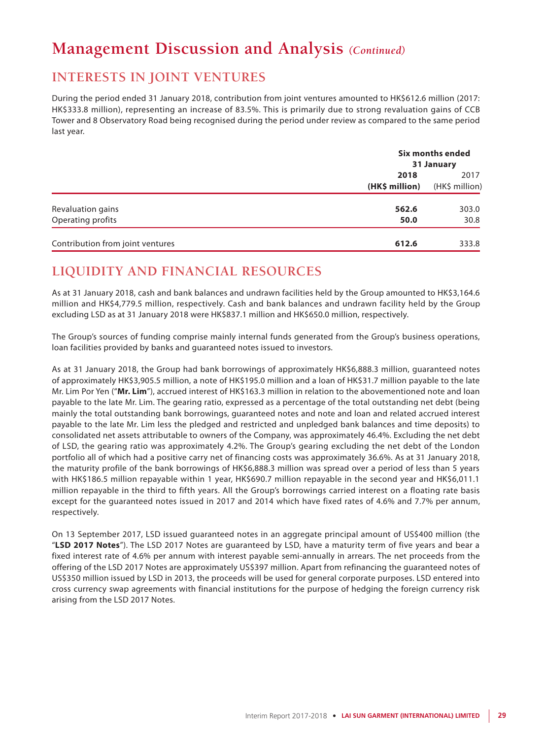## **INTERESTS IN JOINT VENTURES**

During the period ended 31 January 2018, contribution from joint ventures amounted to HK\$612.6 million (2017: HK\$333.8 million), representing an increase of 83.5%. This is primarily due to strong revaluation gains of CCB Tower and 8 Observatory Road being recognised during the period under review as compared to the same period last year.

|                                  |                        | Six months ended<br>31 January |  |  |
|----------------------------------|------------------------|--------------------------------|--|--|
|                                  | 2018<br>(HK\$ million) | 2017<br>(HK\$ million)         |  |  |
| Revaluation gains                | 562.6                  | 303.0                          |  |  |
| Operating profits                | 50.0                   | 30.8                           |  |  |
| Contribution from joint ventures | 612.6                  | 333.8                          |  |  |

## **LIQUIDITY AND FINANCIAL RESOURCES**

As at 31 January 2018, cash and bank balances and undrawn facilities held by the Group amounted to HK\$3,164.6 million and HK\$4,779.5 million, respectively. Cash and bank balances and undrawn facility held by the Group excluding LSD as at 31 January 2018 were HK\$837.1 million and HK\$650.0 million, respectively.

The Group's sources of funding comprise mainly internal funds generated from the Group's business operations, loan facilities provided by banks and guaranteed notes issued to investors.

As at 31 January 2018, the Group had bank borrowings of approximately HK\$6,888.3 million, guaranteed notes of approximately HK\$3,905.5 million, a note of HK\$195.0 million and a loan of HK\$31.7 million payable to the late Mr. Lim Por Yen ("**Mr. Lim**"), accrued interest of HK\$163.3 million in relation to the abovementioned note and loan payable to the late Mr. Lim. The gearing ratio, expressed as a percentage of the total outstanding net debt (being mainly the total outstanding bank borrowings, guaranteed notes and note and loan and related accrued interest payable to the late Mr. Lim less the pledged and restricted and unpledged bank balances and time deposits) to consolidated net assets attributable to owners of the Company, was approximately 46.4%. Excluding the net debt of LSD, the gearing ratio was approximately 4.2%. The Group's gearing excluding the net debt of the London portfolio all of which had a positive carry net of financing costs was approximately 36.6%. As at 31 January 2018, the maturity profile of the bank borrowings of HK\$6,888.3 million was spread over a period of less than 5 years with HK\$186.5 million repayable within 1 year, HK\$690.7 million repayable in the second year and HK\$6,011.1 million repayable in the third to fifth years. All the Group's borrowings carried interest on a floating rate basis except for the guaranteed notes issued in 2017 and 2014 which have fixed rates of 4.6% and 7.7% per annum, respectively.

On 13 September 2017, LSD issued guaranteed notes in an aggregate principal amount of US\$400 million (the "**LSD 2017 Notes**"). The LSD 2017 Notes are guaranteed by LSD, have a maturity term of five years and bear a fixed interest rate of 4.6% per annum with interest payable semi-annually in arrears. The net proceeds from the offering of the LSD 2017 Notes are approximately US\$397 million. Apart from refinancing the guaranteed notes of US\$350 million issued by LSD in 2013, the proceeds will be used for general corporate purposes. LSD entered into cross currency swap agreements with financial institutions for the purpose of hedging the foreign currency risk arising from the LSD 2017 Notes.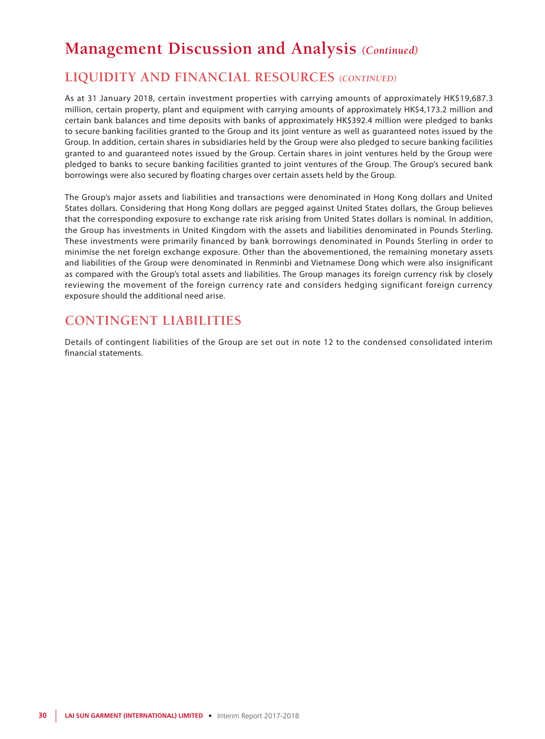## **LIQUIDITY AND FINANCIAL RESOURCES** *(CONTINUED)*

As at 31 January 2018, certain investment properties with carrying amounts of approximately HK\$19,687.3 million, certain property, plant and equipment with carrying amounts of approximately HK\$4,173.2 million and certain bank balances and time deposits with banks of approximately HK\$392.4 million were pledged to banks to secure banking facilities granted to the Group and its joint venture as well as guaranteed notes issued by the Group. In addition, certain shares in subsidiaries held by the Group were also pledged to secure banking facilities granted to and guaranteed notes issued by the Group. Certain shares in joint ventures held by the Group were pledged to banks to secure banking facilities granted to joint ventures of the Group. The Group's secured bank borrowings were also secured by floating charges over certain assets held by the Group.

The Group's major assets and liabilities and transactions were denominated in Hong Kong dollars and United States dollars. Considering that Hong Kong dollars are pegged against United States dollars, the Group believes that the corresponding exposure to exchange rate risk arising from United States dollars is nominal. In addition, the Group has investments in United Kingdom with the assets and liabilities denominated in Pounds Sterling. These investments were primarily financed by bank borrowings denominated in Pounds Sterling in order to minimise the net foreign exchange exposure. Other than the abovementioned, the remaining monetary assets and liabilities of the Group were denominated in Renminbi and Vietnamese Dong which were also insignificant as compared with the Group's total assets and liabilities. The Group manages its foreign currency risk by closely reviewing the movement of the foreign currency rate and considers hedging significant foreign currency exposure should the additional need arise.

## **CONTINGENT LIABILITIES**

Details of contingent liabilities of the Group are set out in note 12 to the condensed consolidated interim financial statements.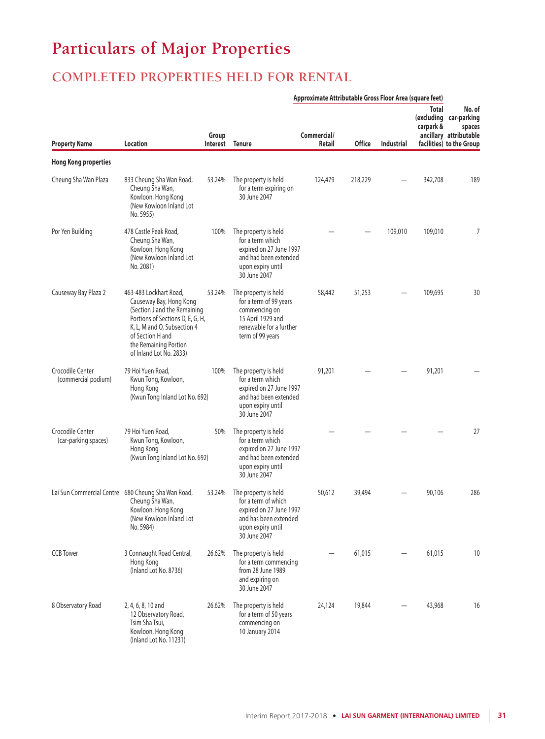# **Particulars of Major Properties**

## **COMPLETED PROPERTIES HELD FOR RENTAL**

|                                          | Approximate Attributable Gross Floor Area (square feet)                                                                                                                                                                      |        |                                                                                                                                      |                       |               |                   |                    |                                                                                                  |
|------------------------------------------|------------------------------------------------------------------------------------------------------------------------------------------------------------------------------------------------------------------------------|--------|--------------------------------------------------------------------------------------------------------------------------------------|-----------------------|---------------|-------------------|--------------------|--------------------------------------------------------------------------------------------------|
| <b>Property Name</b>                     | Location                                                                                                                                                                                                                     | Group  | Interest Tenure                                                                                                                      | Commercial/<br>Retail | <b>Office</b> | <b>Industrial</b> | Total<br>carpark & | No. of<br>(excluding car-parking<br>spaces<br>ancillary attributable<br>facilities) to the Group |
| <b>Hong Kong properties</b>              |                                                                                                                                                                                                                              |        |                                                                                                                                      |                       |               |                   |                    |                                                                                                  |
| Cheung Sha Wan Plaza                     | 833 Cheung Sha Wan Road,<br>Cheung Sha Wan,<br>Kowloon, Hong Kong<br>(New Kowloon Inland Lot<br>No. 5955)                                                                                                                    | 53.24% | The property is held<br>for a term expiring on<br>30 June 2047                                                                       | 124,479               | 218,229       |                   | 342,708            | 189                                                                                              |
| Por Yen Building                         | 478 Castle Peak Road,<br>Cheung Sha Wan,<br>Kowloon, Hong Kong<br>(New Kowloon Inland Lot)<br>No. 2081)                                                                                                                      | 100%   | The property is held<br>for a term which<br>expired on 27 June 1997<br>and had been extended<br>upon expiry until<br>30 June 2047    |                       |               | 109,010           | 109,010            | 7                                                                                                |
| Causeway Bay Plaza 2                     | 463-483 Lockhart Road,<br>Causeway Bay, Hong Kong<br>(Section J and the Remaining<br>Portions of Sections D, E, G, H,<br>K, L, M and O, Subsection 4<br>of Section H and<br>the Remaining Portion<br>of Inland Lot No. 2833) | 53.24% | The property is held<br>for a term of 99 years<br>commencing on<br>15 April 1929 and<br>renewable for a further<br>term of 99 years  | 58,442                | 51,253        |                   | 109,695            | 30                                                                                               |
| Crocodile Center<br>(commercial podium)  | 79 Hoi Yuen Road,<br>Kwun Tong, Kowloon,<br>Hong Kong<br>(Kwun Tong Inland Lot No. 692)                                                                                                                                      | 100%   | The property is held<br>for a term which<br>expired on 27 June 1997<br>and had been extended<br>upon expiry until<br>30 June 2047    | 91,201                |               |                   | 91,201             |                                                                                                  |
| Crocodile Center<br>(car-parking spaces) | 79 Hoi Yuen Road,<br>Kwun Tong, Kowloon,<br>Hong Kong<br>(Kwun Tong Inland Lot No. 692)                                                                                                                                      | 50%    | The property is held<br>for a term which<br>expired on 27 June 1997<br>and had been extended<br>upon expiry until<br>30 June 2047    |                       |               |                   |                    | 27                                                                                               |
|                                          | Lai Sun Commercial Centre 680 Cheung Sha Wan Road,<br>Cheung Sha Wan,<br>Kowloon, Hong Kong<br>(New Kowloon Inland Lot<br>No. 5984)                                                                                          | 53.24% | The property is held<br>for a term of which<br>expired on 27 June 1997<br>and has been extended<br>upon expiry until<br>30 June 2047 | 50,612                | 39,494        |                   | 90,106             | 286                                                                                              |
| <b>CCB</b> Tower                         | 3 Connaught Road Central,<br>Hong Kong<br>(Inland Lot No. 8736)                                                                                                                                                              | 26.62% | The property is held<br>for a term commencing<br>from 28 June 1989<br>and expiring on<br>30 June 2047                                |                       | 61,015        |                   | 61,015             | 10                                                                                               |
| 8 Observatory Road                       | 2, 4, 6, 8, 10 and<br>12 Observatory Road,<br>Tsim Sha Tsui,<br>Kowloon, Hong Kong<br>(Inland Lot No. 11231)                                                                                                                 | 26.62% | The property is held<br>for a term of 50 years<br>commencing on<br>10 January 2014                                                   | 24,124                | 19,844        |                   | 43,968             | 16                                                                                               |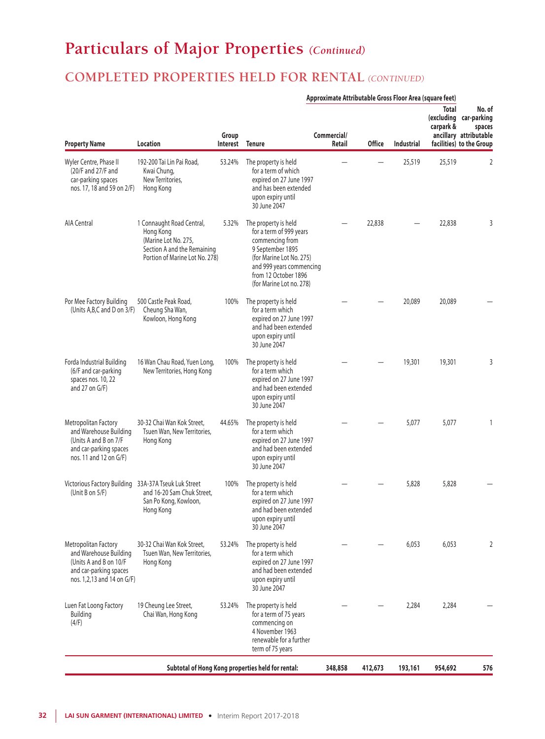# **Particulars of Major Properties** *(Continued)*

## **COMPLETED PROPERTIES HELD FOR RENTAL** *(CONTINUED)*

| Approximate Attributable Gross Floor Area (square feet)                                                                          |                                                                                                                                 |                   |                                                                                                                                                                                                    |                       |               |                   |                           |                                                                                                  |
|----------------------------------------------------------------------------------------------------------------------------------|---------------------------------------------------------------------------------------------------------------------------------|-------------------|----------------------------------------------------------------------------------------------------------------------------------------------------------------------------------------------------|-----------------------|---------------|-------------------|---------------------------|--------------------------------------------------------------------------------------------------|
| <b>Property Name</b>                                                                                                             | Location                                                                                                                        | Group<br>Interest | <b>Tenure</b>                                                                                                                                                                                      | Commercial/<br>Retail | <b>Office</b> | <b>Industrial</b> | <b>Total</b><br>carpark & | No. of<br>(excluding car-parking<br>spaces<br>ancillary attributable<br>facilities) to the Group |
| Wyler Centre, Phase II<br>(20/F and 27/F and<br>car-parking spaces<br>nos. 17, 18 and 59 on 2/F)                                 | 192-200 Tai Lin Pai Road,<br>Kwai Chung,<br>New Territories,<br>Hong Kong                                                       | 53.24%            | The property is held<br>for a term of which<br>expired on 27 June 1997<br>and has been extended<br>upon expiry until<br>30 June 2047                                                               |                       |               | 25,519            | 25,519                    | 2                                                                                                |
| <b>AIA Central</b>                                                                                                               | 1 Connaught Road Central,<br>Hong Kong<br>(Marine Lot No. 275,<br>Section A and the Remaining<br>Portion of Marine Lot No. 278) | 5.32%             | The property is held<br>for a term of 999 years<br>commencing from<br>9 September 1895<br>(for Marine Lot No. 275)<br>and 999 years commencing<br>from 12 October 1896<br>(for Marine Lot no. 278) |                       | 22,838        |                   | 22,838                    | 3                                                                                                |
| Por Mee Factory Building<br>(Units A, B, C and D on 3/F)                                                                         | 500 Castle Peak Road,<br>Cheung Sha Wan,<br>Kowloon, Hong Kong                                                                  | 100%              | The property is held<br>for a term which<br>expired on 27 June 1997<br>and had been extended<br>upon expiry until<br>30 June 2047                                                                  |                       |               | 20,089            | 20,089                    |                                                                                                  |
| Forda Industrial Building<br>(6/F and car-parking<br>spaces nos. 10, 22<br>and 27 on $G/F$ )                                     | 16 Wan Chau Road, Yuen Long,<br>New Territories, Hong Kong                                                                      | 100%              | The property is held<br>for a term which<br>expired on 27 June 1997<br>and had been extended<br>upon expiry until<br>30 June 2047                                                                  |                       |               | 19,301            | 19,301                    | 3                                                                                                |
| Metropolitan Factory<br>and Warehouse Building<br>(Units A and B on 7/F<br>and car-parking spaces<br>nos. 11 and 12 on G/F)      | 30-32 Chai Wan Kok Street,<br>Tsuen Wan, New Territories,<br>Hong Kong                                                          | 44.65%            | The property is held<br>for a term which<br>expired on 27 June 1997<br>and had been extended<br>upon expiry until<br>30 June 2047                                                                  |                       |               | 5,077             | 5,077                     |                                                                                                  |
| Victorious Factory Building 33A-37A Tseuk Luk Street<br>(Unit B on $5/F$ )                                                       | and 16-20 Sam Chuk Street,<br>San Po Kong, Kowloon,<br>Hong Kong                                                                | 100%              | The property is held<br>for a term which<br>expired on 27 June 1997<br>and had been extended<br>upon expiry until<br>30 June 2047                                                                  |                       |               | 5,828             | 5,828                     |                                                                                                  |
| Metropolitan Factory<br>and Warehouse Building<br>(Units A and B on 10/F<br>and car-parking spaces<br>nos. 1,2,13 and 14 on G/F) | 30-32 Chai Wan Kok Street.<br>Tsuen Wan, New Territories,<br>Hong Kong                                                          | 53.24%            | The property is held<br>for a term which<br>expired on 27 June 1997<br>and had been extended<br>upon expiry until<br>30 June 2047                                                                  |                       |               | 6,053             | 6,053                     | 2                                                                                                |
| Luen Fat Loong Factory<br>Building<br>(4/F)                                                                                      | 19 Cheung Lee Street,<br>Chai Wan, Hong Kong                                                                                    | 53.24%            | The property is held<br>for a term of 75 years<br>commencing on<br>4 November 1963<br>renewable for a further<br>term of 75 years                                                                  |                       |               | 2,284             | 2,284                     |                                                                                                  |
|                                                                                                                                  |                                                                                                                                 |                   | Subtotal of Hong Kong properties held for rental:                                                                                                                                                  | 348,858               | 412,673       | 193,161           | 954,692                   | 576                                                                                              |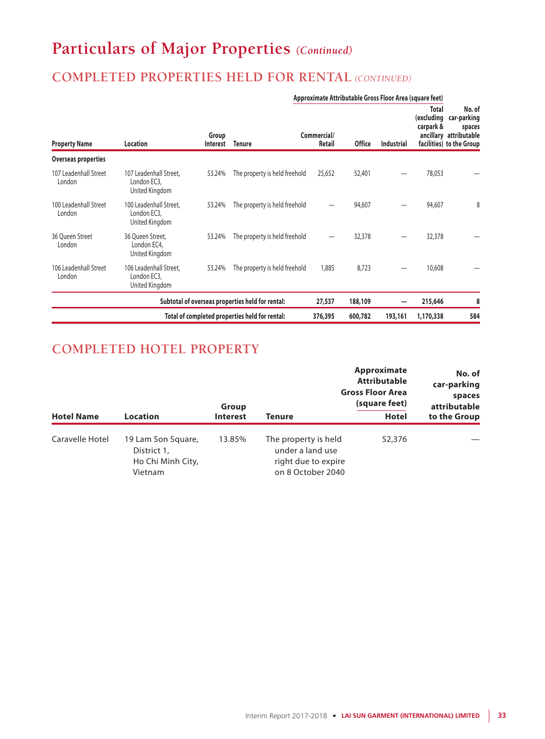# **Particulars of Major Properties** *(Continued)*

## **COMPLETED PROPERTIES HELD FOR RENTAL** *(CONTINUED)*

| Approximate Attributable Gross Floor Area (square feet) |                                                         |                          |                                                  |                              |               |                   |                                         |                                                                                       |
|---------------------------------------------------------|---------------------------------------------------------|--------------------------|--------------------------------------------------|------------------------------|---------------|-------------------|-----------------------------------------|---------------------------------------------------------------------------------------|
| <b>Property Name</b>                                    | Location                                                | Group<br><b>Interest</b> | <b>Tenure</b>                                    | Commercial/<br><b>Retail</b> | <b>Office</b> | <b>Industrial</b> | <b>Total</b><br>(excluding<br>carpark & | No. of<br>car-parking<br>spaces<br>ancillary attributable<br>facilities) to the Group |
| Overseas properties                                     |                                                         |                          |                                                  |                              |               |                   |                                         |                                                                                       |
| 107 Leadenhall Street<br>London                         | 107 Leadenhall Street,<br>London EC3,<br>United Kingdom | 53.24%                   | The property is held freehold                    | 25,652                       | 52,401        |                   | 78,053                                  |                                                                                       |
| 100 Leadenhall Street<br>London                         | 100 Leadenhall Street,<br>London EC3,<br>United Kingdom | 53.24%                   | The property is held freehold                    |                              | 94,607        |                   | 94,607                                  | 8                                                                                     |
| 36 Oueen Street<br>London                               | 36 Oueen Street.<br>London EC4,<br>United Kingdom       | 53.24%                   | The property is held freehold                    |                              | 32,378        |                   | 32,378                                  |                                                                                       |
| 106 Leadenhall Street<br>London                         | 106 Leadenhall Street,<br>London EC3.<br>United Kingdom | 53.24%                   | The property is held freehold                    | 1,885                        | 8,723         |                   | 10,608                                  |                                                                                       |
|                                                         |                                                         |                          | Subtotal of overseas properties held for rental: | 27,537                       | 188,109       |                   | 215,646                                 | 8                                                                                     |
|                                                         |                                                         |                          | Total of completed properties held for rental:   | 376,395                      | 600,782       | 193,161           | 1,170,338                               | 584                                                                                   |

## **COMPLETED HOTEL PROPERTY**

|                   |                                                                   | Group           |                                                                                      | Approximate<br><b>Attributable</b><br><b>Gross Floor Area</b><br>(square feet) | No. of<br>car-parking<br>spaces<br>attributable |
|-------------------|-------------------------------------------------------------------|-----------------|--------------------------------------------------------------------------------------|--------------------------------------------------------------------------------|-------------------------------------------------|
| <b>Hotel Name</b> | Location                                                          | <b>Interest</b> | Tenure                                                                               | <b>Hotel</b>                                                                   | to the Group                                    |
| Caravelle Hotel   | 19 Lam Son Square,<br>District 1,<br>Ho Chi Minh City,<br>Vietnam | 13.85%          | The property is held<br>under a land use<br>right due to expire<br>on 8 October 2040 | 52,376                                                                         |                                                 |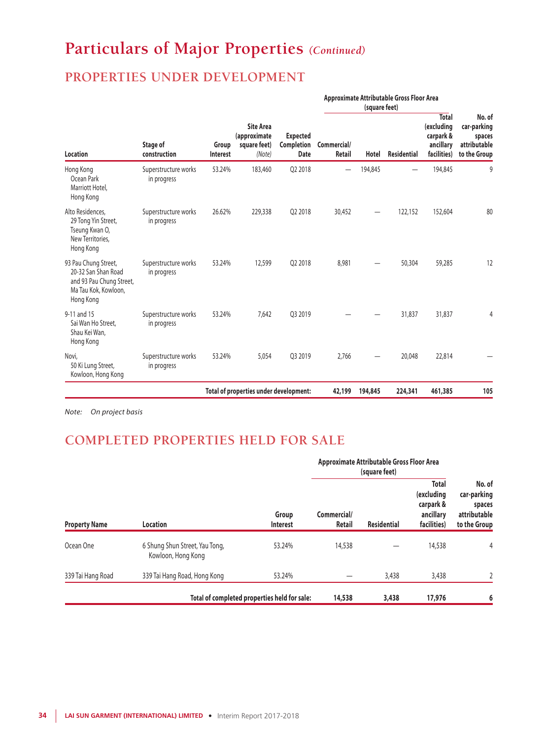# **Particulars of Major Properties** *(Continued)*

## **PROPERTIES UNDER DEVELOPMENT**

|                                                                                                              |                                     |                          | <b>Site Area</b><br>(approximate<br>square feet)<br>(Note) | <b>Expected</b><br><b>Completion</b><br><b>Date</b> | Approximate Attributable Gross Floor Area<br>(square feet) |         |                    |                                                                     |                                                                 |
|--------------------------------------------------------------------------------------------------------------|-------------------------------------|--------------------------|------------------------------------------------------------|-----------------------------------------------------|------------------------------------------------------------|---------|--------------------|---------------------------------------------------------------------|-----------------------------------------------------------------|
| <b>Location</b>                                                                                              | Stage of<br>construction            | Group<br><b>Interest</b> |                                                            |                                                     | Commercial/<br>Retail                                      | Hotel   | <b>Residential</b> | <b>Total</b><br>(excluding<br>carpark &<br>ancillary<br>facilities) | No. of<br>car-parking<br>spaces<br>attributable<br>to the Group |
| Hong Kong<br>Ocean Park<br>Marriott Hotel,<br>Hong Kong                                                      | Superstructure works<br>in progress | 53.24%                   | 183,460                                                    | 02 2018                                             |                                                            | 194,845 |                    | 194,845                                                             | 9                                                               |
| Alto Residences,<br>29 Tong Yin Street,<br>Tseung Kwan O,<br>New Territories.<br>Hong Kong                   | Superstructure works<br>in progress | 26.62%                   | 229,338                                                    | Q2 2018                                             | 30,452                                                     |         | 122,152            | 152,604                                                             | 80                                                              |
| 93 Pau Chung Street,<br>20-32 San Shan Road<br>and 93 Pau Chung Street,<br>Ma Tau Kok, Kowloon,<br>Hong Kong | Superstructure works<br>in progress | 53.24%                   | 12,599                                                     | 02 2018                                             | 8.981                                                      |         | 50,304             | 59,285                                                              | 12                                                              |
| 9-11 and 15<br>Sai Wan Ho Street,<br>Shau Kei Wan,<br>Hong Kong                                              | Superstructure works<br>in progress | 53.24%                   | 7.642                                                      | 03 2019                                             |                                                            |         | 31,837             | 31,837                                                              | 4                                                               |
| Novi.<br>50 Ki Lung Street,<br>Kowloon, Hong Kong                                                            | Superstructure works<br>in progress | 53.24%                   | 5,054                                                      | 03 2019                                             | 2.766                                                      |         | 20,048             | 22,814                                                              |                                                                 |
|                                                                                                              |                                     |                          | Total of properties under development:                     |                                                     | 42,199                                                     | 194,845 | 224,341            | 461,385                                                             | 105                                                             |

*Note: On project basis*

## **COMPLETED PROPERTIES HELD FOR SALE**

| <b>Property Name</b> |                                                      |                                              | Approximate Attributable Gross Floor Area |                    |                                                                     |                                                                 |
|----------------------|------------------------------------------------------|----------------------------------------------|-------------------------------------------|--------------------|---------------------------------------------------------------------|-----------------------------------------------------------------|
|                      | Location                                             | Group<br>Interest                            | Commercial/<br>Retail                     | <b>Residential</b> | <b>Total</b><br>(excluding<br>carpark &<br>ancillary<br>facilities) | No. of<br>car-parking<br>spaces<br>attributable<br>to the Group |
| Ocean One            | 6 Shung Shun Street, Yau Tong,<br>Kowloon, Hong Kong | 53.24%                                       | 14,538                                    |                    | 14,538                                                              | 4                                                               |
| 339 Tai Hang Road    | 339 Tai Hang Road, Hong Kong                         | 53.24%                                       |                                           | 3,438              | 3,438                                                               | 2                                                               |
|                      |                                                      | Total of completed properties held for sale: | 14,538                                    | 3,438              | 17,976                                                              | 6                                                               |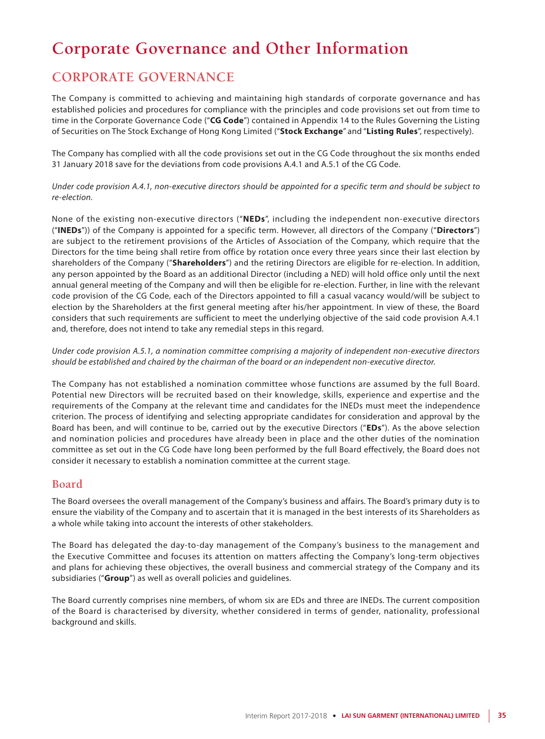# **Corporate Governance and Other Information**

## **CORPORATE GOVERNANCE**

The Company is committed to achieving and maintaining high standards of corporate governance and has established policies and procedures for compliance with the principles and code provisions set out from time to time in the Corporate Governance Code ("**CG Code**") contained in Appendix 14 to the Rules Governing the Listing of Securities on The Stock Exchange of Hong Kong Limited ("**Stock Exchange**" and "**Listing Rules**", respectively).

The Company has complied with all the code provisions set out in the CG Code throughout the six months ended 31 January 2018 save for the deviations from code provisions A.4.1 and A.5.1 of the CG Code.

*Under code provision A.4.1, non-executive directors should be appointed for a specific term and should be subject to re-election.*

None of the existing non-executive directors ("**NEDs**", including the independent non-executive directors ("**INEDs**")) of the Company is appointed for a specific term. However, all directors of the Company ("**Directors**") are subject to the retirement provisions of the Articles of Association of the Company, which require that the Directors for the time being shall retire from office by rotation once every three years since their last election by shareholders of the Company ("**Shareholders**") and the retiring Directors are eligible for re-election. In addition, any person appointed by the Board as an additional Director (including a NED) will hold office only until the next annual general meeting of the Company and will then be eligible for re-election. Further, in line with the relevant code provision of the CG Code, each of the Directors appointed to fill a casual vacancy would/will be subject to election by the Shareholders at the first general meeting after his/her appointment. In view of these, the Board considers that such requirements are sufficient to meet the underlying objective of the said code provision A.4.1 and, therefore, does not intend to take any remedial steps in this regard.

*Under code provision A.5.1, a nomination committee comprising a majority of independent non-executive directors should be established and chaired by the chairman of the board or an independent non-executive director.*

The Company has not established a nomination committee whose functions are assumed by the full Board. Potential new Directors will be recruited based on their knowledge, skills, experience and expertise and the requirements of the Company at the relevant time and candidates for the INEDs must meet the independence criterion. The process of identifying and selecting appropriate candidates for consideration and approval by the Board has been, and will continue to be, carried out by the executive Directors ("**EDs**"). As the above selection and nomination policies and procedures have already been in place and the other duties of the nomination committee as set out in the CG Code have long been performed by the full Board effectively, the Board does not consider it necessary to establish a nomination committee at the current stage.

### **Board**

The Board oversees the overall management of the Company's business and affairs. The Board's primary duty is to ensure the viability of the Company and to ascertain that it is managed in the best interests of its Shareholders as a whole while taking into account the interests of other stakeholders.

The Board has delegated the day-to-day management of the Company's business to the management and the Executive Committee and focuses its attention on matters affecting the Company's long-term objectives and plans for achieving these objectives, the overall business and commercial strategy of the Company and its subsidiaries ("**Group**") as well as overall policies and guidelines.

The Board currently comprises nine members, of whom six are EDs and three are INEDs. The current composition of the Board is characterised by diversity, whether considered in terms of gender, nationality, professional background and skills.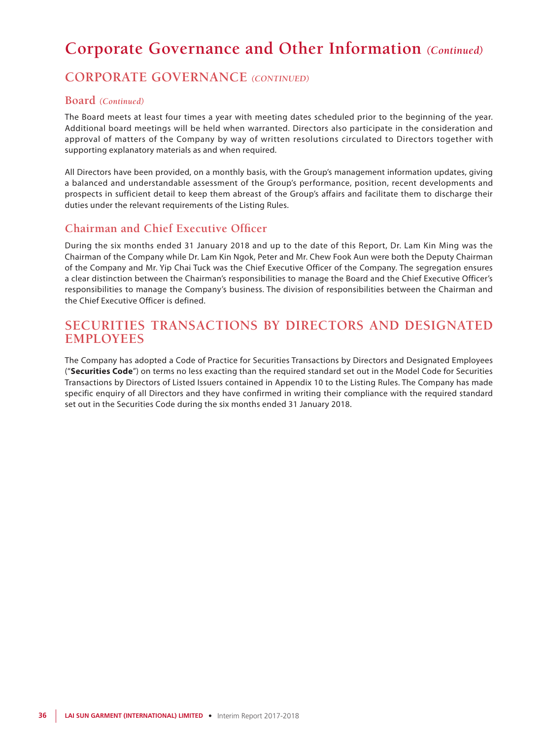## **CORPORATE GOVERNANCE** *(CONTINUED)*

### **Board** *(Continued)*

The Board meets at least four times a year with meeting dates scheduled prior to the beginning of the year. Additional board meetings will be held when warranted. Directors also participate in the consideration and approval of matters of the Company by way of written resolutions circulated to Directors together with supporting explanatory materials as and when required.

All Directors have been provided, on a monthly basis, with the Group's management information updates, giving a balanced and understandable assessment of the Group's performance, position, recent developments and prospects in sufficient detail to keep them abreast of the Group's affairs and facilitate them to discharge their duties under the relevant requirements of the Listing Rules.

### **Chairman and Chief Executive Officer**

During the six months ended 31 January 2018 and up to the date of this Report, Dr. Lam Kin Ming was the Chairman of the Company while Dr. Lam Kin Ngok, Peter and Mr. Chew Fook Aun were both the Deputy Chairman of the Company and Mr. Yip Chai Tuck was the Chief Executive Officer of the Company. The segregation ensures a clear distinction between the Chairman's responsibilities to manage the Board and the Chief Executive Officer's responsibilities to manage the Company's business. The division of responsibilities between the Chairman and the Chief Executive Officer is defined.

## **SECURITIES TRANSACTIONS BY DIRECTORS AND DESIGNATED EMPLOYEES**

The Company has adopted a Code of Practice for Securities Transactions by Directors and Designated Employees ("**Securities Code**") on terms no less exacting than the required standard set out in the Model Code for Securities Transactions by Directors of Listed Issuers contained in Appendix 10 to the Listing Rules. The Company has made specific enquiry of all Directors and they have confirmed in writing their compliance with the required standard set out in the Securities Code during the six months ended 31 January 2018.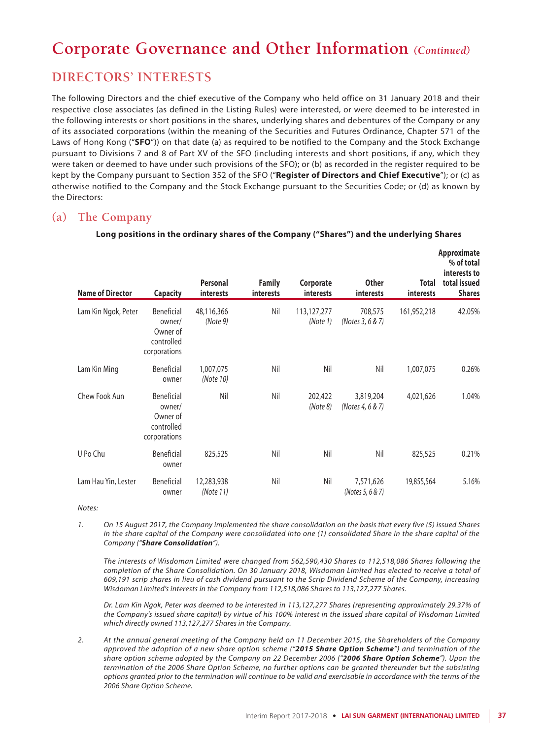## **DIRECTORS' INTERESTS**

The following Directors and the chief executive of the Company who held office on 31 January 2018 and their respective close associates (as defined in the Listing Rules) were interested, or were deemed to be interested in the following interests or short positions in the shares, underlying shares and debentures of the Company or any of its associated corporations (within the meaning of the Securities and Futures Ordinance, Chapter 571 of the Laws of Hong Kong ("**SFO**")) on that date (a) as required to be notified to the Company and the Stock Exchange pursuant to Divisions 7 and 8 of Part XV of the SFO (including interests and short positions, if any, which they were taken or deemed to have under such provisions of the SFO); or (b) as recorded in the register required to be kept by the Company pursuant to Section 352 of the SFO ("**Register of Directors and Chief Executive**"); or (c) as otherwise notified to the Company and the Stock Exchange pursuant to the Securities Code; or (d) as known by the Directors:

### **(a) The Company**

| <b>Name of Director</b> | <b>Capacity</b>                                                | Personal<br>interests   | <b>Family</b><br>interests | Corporate<br>interests  | <b>Other</b><br><i>interests</i> | Total<br>interests | Approximate<br>% of total<br>interests to<br>total issued<br><b>Shares</b> |
|-------------------------|----------------------------------------------------------------|-------------------------|----------------------------|-------------------------|----------------------------------|--------------------|----------------------------------------------------------------------------|
| Lam Kin Ngok, Peter     | Beneficial<br>owner/<br>Owner of<br>controlled<br>corporations | 48,116,366<br>(Note 9)  | Nil                        | 113,127,277<br>(Note 1) | 708,575<br>(Notes 3, 6 & 7)      | 161,952,218        | 42.05%                                                                     |
| Lam Kin Ming            | Beneficial<br>owner                                            | 1,007,075<br>(Note 10)  | Nil                        | Nil                     | Nil                              | 1,007,075          | 0.26%                                                                      |
| Chew Fook Aun           | Beneficial<br>owner/<br>Owner of<br>controlled<br>corporations | Nil                     | Nil                        | 202,422<br>(Note 8)     | 3,819,204<br>(Notes 4, 6 & 7)    | 4,021,626          | 1.04%                                                                      |
| U Po Chu                | Beneficial<br>owner                                            | 825,525                 | Nil                        | Nil                     | Nil                              | 825,525            | 0.21%                                                                      |
| Lam Hau Yin, Lester     | Beneficial<br>owner                                            | 12,283,938<br>(Note 11) | Nil                        | Nil                     | 7,571,626<br>(Notes 5, 6 & 7)    | 19,855,564         | 5.16%                                                                      |

#### **Long positions in the ordinary shares of the Company ("Shares") and the underlying Shares**

*Notes:*

*1. On 15 August 2017, the Company implemented the share consolidation on the basis that every five (5) issued Shares in the share capital of the Company were consolidated into one (1) consolidated Share in the share capital of the Company ("Share Consolidation").* 

*The interests of Wisdoman Limited were changed from 562,590,430 Shares to 112,518,086 Shares following the completion of the Share Consolidation. On 30 January 2018, Wisdoman Limited has elected to receive a total of 609,191 scrip shares in lieu of cash dividend pursuant to the Scrip Dividend Scheme of the Company, increasing Wisdoman Limited's interests in the Company from 112,518,086 Shares to 113,127,277 Shares.*

*Dr. Lam Kin Ngok, Peter was deemed to be interested in 113,127,277 Shares (representing approximately 29.37% of the Company's issued share capital) by virtue of his 100% interest in the issued share capital of Wisdoman Limited which directly owned 113,127,277 Shares in the Company.*

*2. At the annual general meeting of the Company held on 11 December 2015, the Shareholders of the Company approved the adoption of a new share option scheme ("2015 Share Option Scheme") and termination of the share option scheme adopted by the Company on 22 December 2006 ("2006 Share Option Scheme"). Upon the termination of the 2006 Share Option Scheme, no further options can be granted thereunder but the subsisting options granted prior to the termination will continue to be valid and exercisable in accordance with the terms of the 2006 Share Option Scheme.*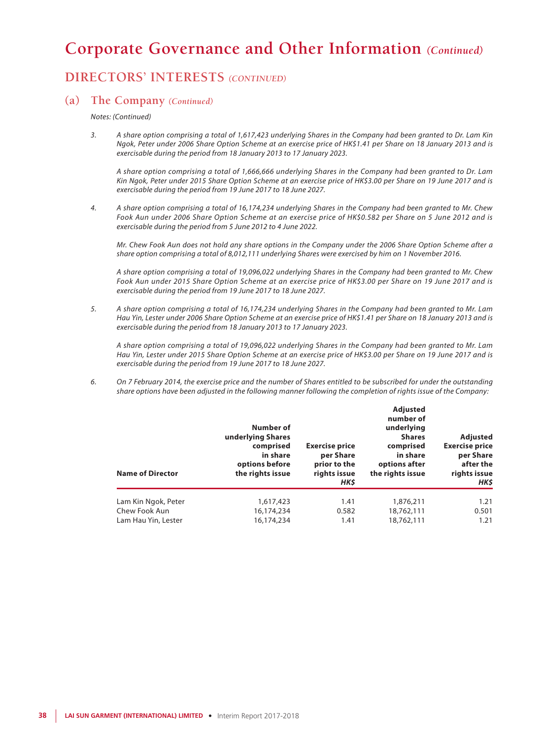## **DIRECTORS' INTERESTS** *(CONTINUED)*

### **(a) The Company** *(Continued)*

*Notes: (Continued)*

*3. A share option comprising a total of 1,617,423 underlying Shares in the Company had been granted to Dr. Lam Kin Ngok, Peter under 2006 Share Option Scheme at an exercise price of HK\$1.41 per Share on 18 January 2013 and is exercisable during the period from 18 January 2013 to 17 January 2023.*

*A share option comprising a total of 1,666,666 underlying Shares in the Company had been granted to Dr. Lam Kin Ngok, Peter under 2015 Share Option Scheme at an exercise price of HK\$3.00 per Share on 19 June 2017 and is exercisable during the period from 19 June 2017 to 18 June 2027.*

*4. A share option comprising a total of 16,174,234 underlying Shares in the Company had been granted to Mr. Chew Fook Aun under 2006 Share Option Scheme at an exercise price of HK\$0.582 per Share on 5 June 2012 and is exercisable during the period from 5 June 2012 to 4 June 2022.*

*Mr. Chew Fook Aun does not hold any share options in the Company under the 2006 Share Option Scheme after a share option comprising a total of 8,012,111 underlying Shares were exercised by him on 1 November 2016.*

*A share option comprising a total of 19,096,022 underlying Shares in the Company had been granted to Mr. Chew Fook Aun under 2015 Share Option Scheme at an exercise price of HK\$3.00 per Share on 19 June 2017 and is exercisable during the period from 19 June 2017 to 18 June 2027.*

*5. A share option comprising a total of 16,174,234 underlying Shares in the Company had been granted to Mr. Lam Hau Yin, Lester under 2006 Share Option Scheme at an exercise price of HK\$1.41 per Share on 18 January 2013 and is exercisable during the period from 18 January 2013 to 17 January 2023.*

*A share option comprising a total of 19,096,022 underlying Shares in the Company had been granted to Mr. Lam Hau Yin, Lester under 2015 Share Option Scheme at an exercise price of HK\$3.00 per Share on 19 June 2017 and is exercisable during the period from 19 June 2017 to 18 June 2027.*

*6. On 7 February 2014, the exercise price and the number of Shares entitled to be subscribed for under the outstanding share options have been adjusted in the following manner following the completion of rights issue of the Company:*

| <b>Name of Director</b> | Number of<br>underlying Shares<br>comprised<br>in share<br>options before<br>the rights issue | <b>Exercise price</b><br>per Share<br>prior to the<br>rights issue<br>HK\$ | <b>Adjusted</b><br>number of<br>underlying<br><b>Shares</b><br>comprised<br>in share<br>options after<br>the rights issue | <b>Adjusted</b><br><b>Exercise price</b><br>per Share<br>after the<br>rights issue<br>HK\$ |
|-------------------------|-----------------------------------------------------------------------------------------------|----------------------------------------------------------------------------|---------------------------------------------------------------------------------------------------------------------------|--------------------------------------------------------------------------------------------|
| Lam Kin Ngok, Peter     | 1,617,423                                                                                     | 1.41                                                                       | 1,876,211                                                                                                                 | 1.21                                                                                       |
| Chew Fook Aun           | 16,174,234                                                                                    | 0.582                                                                      | 18,762,111                                                                                                                | 0.501                                                                                      |
| Lam Hau Yin, Lester     | 16,174,234                                                                                    | 1.41                                                                       | 18,762,111                                                                                                                | 1.21                                                                                       |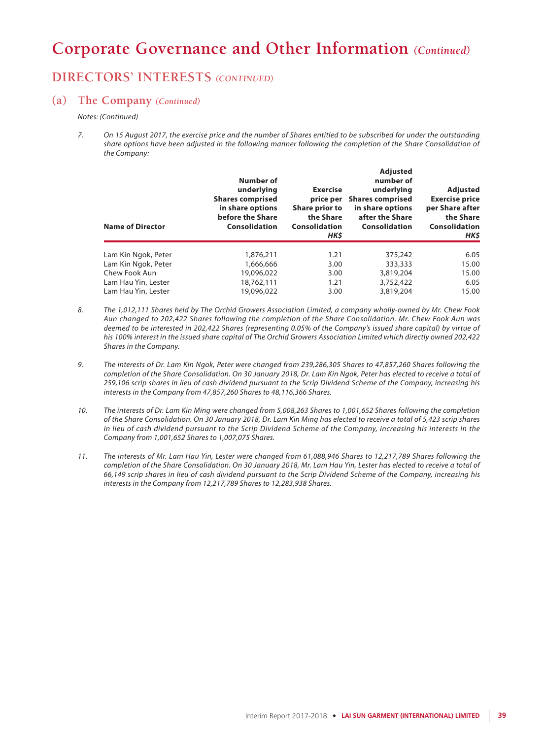## **DIRECTORS' INTERESTS** *(CONTINUED)*

### **(a) The Company** *(Continued)*

*Notes: (Continued)*

*7. On 15 August 2017, the exercise price and the number of Shares entitled to be subscribed for under the outstanding*  share options have been adjusted in the following manner following the completion of the Share Consolidation of *the Company:*

| <b>Name of Director</b> | Number of<br>underlying<br><b>Shares comprised</b><br>in share options<br>before the Share<br>Consolidation | <b>Exercise</b><br>price per<br>Share prior to<br>the Share<br>Consolidation<br>HK\$ | <b>Adjusted</b><br>number of<br>underlying<br><b>Shares comprised</b><br>in share options<br>after the Share<br>Consolidation | <b>Adjusted</b><br><b>Exercise price</b><br>per Share after<br>the Share<br>Consolidation<br>HK\$ |
|-------------------------|-------------------------------------------------------------------------------------------------------------|--------------------------------------------------------------------------------------|-------------------------------------------------------------------------------------------------------------------------------|---------------------------------------------------------------------------------------------------|
| Lam Kin Ngok, Peter     | 1,876,211                                                                                                   | 1.21                                                                                 | 375,242                                                                                                                       | 6.05                                                                                              |
| Lam Kin Ngok, Peter     | 1,666,666                                                                                                   | 3.00                                                                                 | 333,333                                                                                                                       | 15.00                                                                                             |
| Chew Fook Aun           | 19,096,022                                                                                                  | 3.00                                                                                 | 3,819,204                                                                                                                     | 15.00                                                                                             |
| Lam Hau Yin, Lester     | 18,762,111                                                                                                  | 1.21                                                                                 | 3,752,422                                                                                                                     | 6.05                                                                                              |
| Lam Hau Yin, Lester     | 19,096,022                                                                                                  | 3.00                                                                                 | 3,819,204                                                                                                                     | 15.00                                                                                             |

- *8. The 1,012,111 Shares held by The Orchid Growers Association Limited, a company wholly-owned by Mr. Chew Fook Aun changed to 202,422 Shares following the completion of the Share Consolidation. Mr. Chew Fook Aun was deemed to be interested in 202,422 Shares (representing 0.05% of the Company's issued share capital) by virtue of his 100% interest in the issued share capital of The Orchid Growers Association Limited which directly owned 202,422 Shares in the Company.*
- *9. The interests of Dr. Lam Kin Ngok, Peter were changed from 239,286,305 Shares to 47,857,260 Shares following the completion of the Share Consolidation. On 30 January 2018, Dr. Lam Kin Ngok, Peter has elected to receive a total of 259,106 scrip shares in lieu of cash dividend pursuant to the Scrip Dividend Scheme of the Company, increasing his interests in the Company from 47,857,260 Shares to 48,116,366 Shares.*
- *10. The interests of Dr. Lam Kin Ming were changed from 5,008,263 Shares to 1,001,652 Shares following the completion of the Share Consolidation. On 30 January 2018, Dr. Lam Kin Ming has elected to receive a total of 5,423 scrip shares in lieu of cash dividend pursuant to the Scrip Dividend Scheme of the Company, increasing his interests in the Company from 1,001,652 Shares to 1,007,075 Shares.*
- *11. The interests of Mr. Lam Hau Yin, Lester were changed from 61,088,946 Shares to 12,217,789 Shares following the completion of the Share Consolidation. On 30 January 2018, Mr. Lam Hau Yin, Lester has elected to receive a total of 66,149 scrip shares in lieu of cash dividend pursuant to the Scrip Dividend Scheme of the Company, increasing his interests in the Company from 12,217,789 Shares to 12,283,938 Shares.*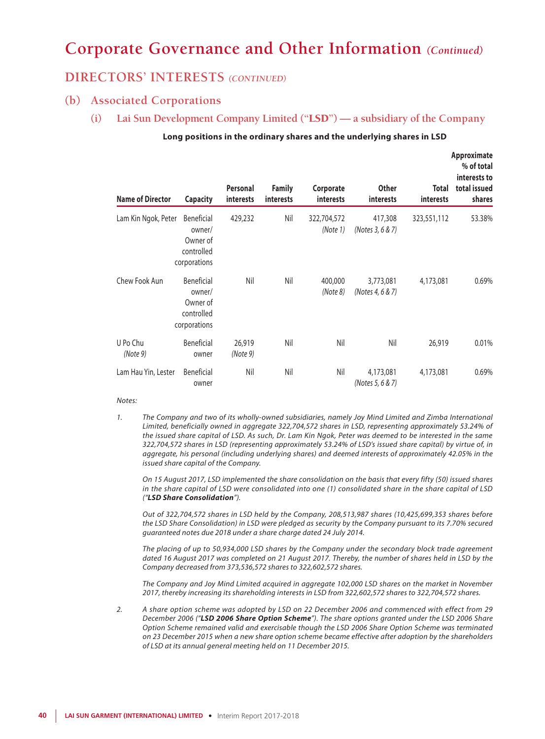### **DIRECTORS' INTERESTS** *(CONTINUED)*

### **(b) Associated Corporations**

**(i) Lai Sun Development Company Limited ("**LSD**") — a subsidiary of the Company**

### **Long positions in the ordinary shares and the underlying shares in LSD**

**Approximate** 

| <b>Name of Director</b> | <b>Capacity</b>                                                | Personal<br>interests | <b>Family</b><br>interests | Corporate<br><i>interests</i> | Other<br><i>interests</i>     | Total<br>interests | % of total<br>interests to<br>total issued<br>shares |
|-------------------------|----------------------------------------------------------------|-----------------------|----------------------------|-------------------------------|-------------------------------|--------------------|------------------------------------------------------|
| Lam Kin Ngok, Peter     | Beneficial<br>owner/<br>Owner of<br>controlled<br>corporations | 429,232               | Nil                        | 322,704,572<br>(Note 1)       | 417,308<br>(Notes 3, 6 & 7)   | 323,551,112        | 53.38%                                               |
| Chew Fook Aun           | Beneficial<br>owner/<br>Owner of<br>controlled<br>corporations | Nil                   | Nil                        | 400,000<br>(Note 8)           | 3,773,081<br>(Notes 4, 6 & 7) | 4,173,081          | $0.69\%$                                             |
| U Po Chu<br>(Note 9)    | Beneficial<br>owner                                            | 26,919<br>(Note 9)    | Nil                        | Nil                           | Nil                           | 26,919             | 0.01%                                                |
| Lam Hau Yin, Lester     | <b>Beneficial</b><br>owner                                     | Nil                   | Nil                        | Nil                           | 4,173,081<br>(Notes 5, 6 & 7) | 4,173,081          | $0.69\%$                                             |

#### *Notes:*

*1. The Company and two of its wholly-owned subsidiaries, namely Joy Mind Limited and Zimba International Limited, beneficially owned in aggregate 322,704,572 shares in LSD, representing approximately 53.24% of the issued share capital of LSD. As such, Dr. Lam Kin Ngok, Peter was deemed to be interested in the same 322,704,572 shares in LSD (representing approximately 53.24% of LSD's issued share capital) by virtue of, in aggregate, his personal (including underlying shares) and deemed interests of approximately 42.05% in the issued share capital of the Company.*

*On 15 August 2017, LSD implemented the share consolidation on the basis that every fifty (50) issued shares in the share capital of LSD were consolidated into one (1) consolidated share in the share capital of LSD ("LSD Share Consolidation").*

*Out of 322,704,572 shares in LSD held by the Company, 208,513,987 shares (10,425,699,353 shares before the LSD Share Consolidation) in LSD were pledged as security by the Company pursuant to its 7.70% secured guaranteed notes due 2018 under a share charge dated 24 July 2014.*

*The placing of up to 50,934,000 LSD shares by the Company under the secondary block trade agreement dated 16 August 2017 was completed on 21 August 2017. Thereby, the number of shares held in LSD by the Company decreased from 373,536,572 shares to 322,602,572 shares.*

*The Company and Joy Mind Limited acquired in aggregate 102,000 LSD shares on the market in November 2017, thereby increasing its shareholding interests in LSD from 322,602,572 shares to 322,704,572 shares.*

*2. A share option scheme was adopted by LSD on 22 December 2006 and commenced with effect from 29 December 2006 ("LSD 2006 Share Option Scheme"). The share options granted under the LSD 2006 Share Option Scheme remained valid and exercisable though the LSD 2006 Share Option Scheme was terminated on 23 December 2015 when a new share option scheme became effective after adoption by the shareholders of LSD at its annual general meeting held on 11 December 2015.*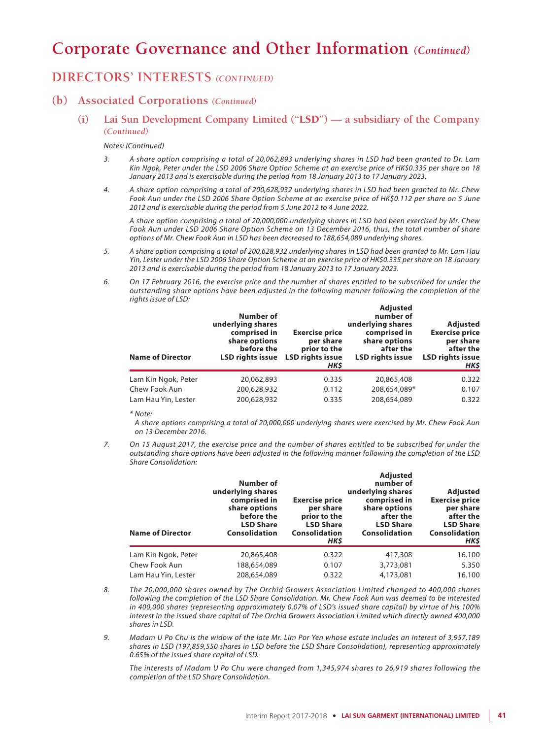### **DIRECTORS' INTERESTS** *(CONTINUED)*

### **(b) Associated Corporations** *(Continued)*

**(i) Lai Sun Development Company Limited ("**LSD**") — a subsidiary of the Company** *(Continued)*

#### *Notes: (Continued)*

- *3. A share option comprising a total of 20,062,893 underlying shares in LSD had been granted to Dr. Lam Kin Ngok, Peter under the LSD 2006 Share Option Scheme at an exercise price of HK\$0.335 per share on 18 January 2013 and is exercisable during the period from 18 January 2013 to 17 January 2023.*
- *4. A share option comprising a total of 200,628,932 underlying shares in LSD had been granted to Mr. Chew Fook Aun under the LSD 2006 Share Option Scheme at an exercise price of HK\$0.112 per share on 5 June 2012 and is exercisable during the period from 5 June 2012 to 4 June 2022.*

*A share option comprising a total of 20,000,000 underlying shares in LSD had been exercised by Mr. Chew Fook Aun under LSD 2006 Share Option Scheme on 13 December 2016, thus, the total number of share options of Mr. Chew Fook Aun in LSD has been decreased to 188,654,089 underlying shares.*

- *5. A share option comprising a total of 200,628,932 underlying shares in LSD had been granted to Mr. Lam Hau Yin, Lester under the LSD 2006 Share Option Scheme at an exercise price of HK\$0.335 per share on 18 January 2013 and is exercisable during the period from 18 January 2013 to 17 January 2023.*
- *6. On 17 February 2016, the exercise price and the number of shares entitled to be subscribed for under the outstanding share options have been adjusted in the following manner following the completion of the rights issue of LSD:*

| <b>Name of Director</b> | Number of<br>underlying shares<br>comprised in<br>share options<br>before the<br>LSD rights issue | <b>Exercise price</b><br>per share<br>prior to the<br><b>LSD rights issue</b><br>HK\$ | <b>Adjusted</b><br>number of<br>underlying shares<br>comprised in<br>share options<br>after the<br><b>LSD rights issue</b> | <b>Adjusted</b><br><b>Exercise price</b><br>per share<br>after the<br><b>LSD rights issue</b><br>HK\$ |
|-------------------------|---------------------------------------------------------------------------------------------------|---------------------------------------------------------------------------------------|----------------------------------------------------------------------------------------------------------------------------|-------------------------------------------------------------------------------------------------------|
| Lam Kin Ngok, Peter     | 20,062,893                                                                                        | 0.335                                                                                 | 20,865,408                                                                                                                 | 0.322                                                                                                 |
| Chew Fook Aun           | 200,628,932                                                                                       | 0.112                                                                                 | 208,654,089*                                                                                                               | 0.107                                                                                                 |
| Lam Hau Yin, Lester     | 200,628,932                                                                                       | 0.335                                                                                 | 208,654,089                                                                                                                | 0.322                                                                                                 |

*\* Note:*

*A share options comprising a total of 20,000,000 underlying shares were exercised by Mr. Chew Fook Aun on 13 December 2016.*

*7. On 15 August 2017, the exercise price and the number of shares entitled to be subscribed for under the outstanding share options have been adjusted in the following manner following the completion of the LSD Share Consolidation:*

| <b>Name of Director</b> | Number of<br>underlying shares<br>comprised in<br>share options<br>before the<br><b>LSD Share</b><br><b>Consolidation</b> | <b>Exercise price</b><br>per share<br>prior to the<br><b>LSD Share</b><br><b>Consolidation</b><br>HK\$ | <b>Adjusted</b><br>number of<br>underlying shares<br>comprised in<br>share options<br>after the<br><b>LSD Share</b><br><b>Consolidation</b> | Adjusted<br><b>Exercise price</b><br>per share<br>after the<br><b>LSD Share</b><br><b>Consolidation</b><br>HK\$ |
|-------------------------|---------------------------------------------------------------------------------------------------------------------------|--------------------------------------------------------------------------------------------------------|---------------------------------------------------------------------------------------------------------------------------------------------|-----------------------------------------------------------------------------------------------------------------|
| Lam Kin Ngok, Peter     | 20,865,408                                                                                                                | 0.322                                                                                                  | 417,308                                                                                                                                     | 16.100                                                                                                          |
| Chew Fook Aun           | 188,654,089                                                                                                               | 0.107                                                                                                  | 3,773,081                                                                                                                                   | 5.350                                                                                                           |
| Lam Hau Yin, Lester     | 208,654,089                                                                                                               | 0.322                                                                                                  | 4,173,081                                                                                                                                   | 16.100                                                                                                          |

- *8. The 20,000,000 shares owned by The Orchid Growers Association Limited changed to 400,000 shares following the completion of the LSD Share Consolidation. Mr. Chew Fook Aun was deemed to be interested in 400,000 shares (representing approximately 0.07% of LSD's issued share capital) by virtue of his 100% interest in the issued share capital of The Orchid Growers Association Limited which directly owned 400,000 shares in LSD.*
- *9. Madam U Po Chu is the widow of the late Mr. Lim Por Yen whose estate includes an interest of 3,957,189 shares in LSD (197,859,550 shares in LSD before the LSD Share Consolidation), representing approximately 0.65% of the issued share capital of LSD.*

*The interests of Madam U Po Chu were changed from 1,345,974 shares to 26,919 shares following the completion of the LSD Share Consolidation.*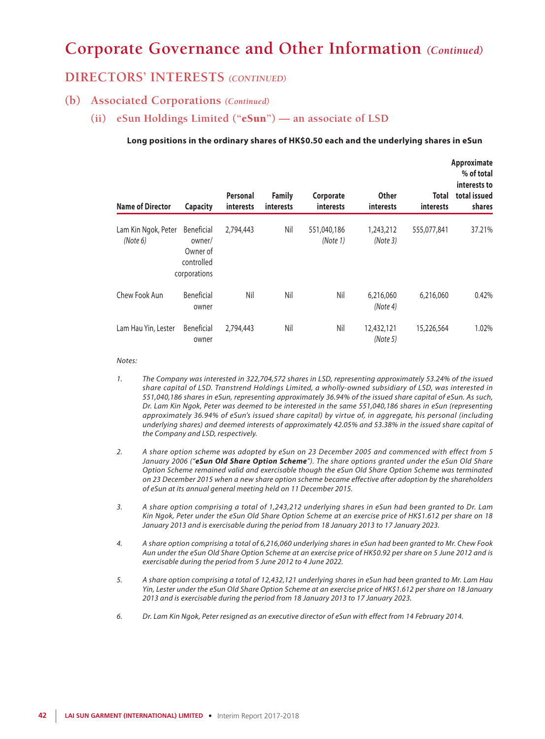### **DIRECTORS' INTERESTS** *(CONTINUED)*

### **(b) Associated Corporations** *(Continued)*

**(ii) eSun Holdings Limited ("**eSun**") — an associate of LSD**

#### **Long positions in the ordinary shares of HK\$0.50 each and the underlying shares in eSun**

| <b>Name of Director</b>         | <b>Capacity</b>                                                       | Personal<br><i>interests</i> | <b>Family</b><br><i>interests</i> | Corporate<br>interests  | <b>Other</b><br><b>interests</b> | <b>Total</b><br><i>interests</i> | Approximate<br>% of total<br>interests to<br>total issued<br>shares |
|---------------------------------|-----------------------------------------------------------------------|------------------------------|-----------------------------------|-------------------------|----------------------------------|----------------------------------|---------------------------------------------------------------------|
| Lam Kin Ngok, Peter<br>(Note 6) | <b>Beneficial</b><br>owner/<br>Owner of<br>controlled<br>corporations | 2,794,443                    | Nil                               | 551,040,186<br>(Note 1) | 1,243,212<br>(Note 3)            | 555,077,841                      | 37.21%                                                              |
| Chew Fook Aun                   | Beneficial<br>owner                                                   | Nil                          | Nil                               | Nil                     | 6,216,060<br>(Note 4)            | 6,216,060                        | 0.42%                                                               |
| Lam Hau Yin, Lester             | Beneficial<br>owner                                                   | 2,794,443                    | Nil                               | Nil                     | 12,432,121<br>(Note 5)           | 15,226,564                       | 1.02%                                                               |

#### *Notes:*

- *1. The Company was interested in 322,704,572 shares in LSD, representing approximately 53.24% of the issued share capital of LSD. Transtrend Holdings Limited, a wholly-owned subsidiary of LSD, was interested in 551,040,186 shares in eSun, representing approximately 36.94% of the issued share capital of eSun. As such, Dr. Lam Kin Ngok, Peter was deemed to be interested in the same 551,040,186 shares in eSun (representing approximately 36.94% of eSun's issued share capital) by virtue of, in aggregate, his personal (including underlying shares) and deemed interests of approximately 42.05% and 53.38% in the issued share capital of the Company and LSD, respectively.*
- *2. A share option scheme was adopted by eSun on 23 December 2005 and commenced with effect from 5 January 2006 ("eSun Old Share Option Scheme"). The share options granted under the eSun Old Share Option Scheme remained valid and exercisable though the eSun Old Share Option Scheme was terminated on 23 December 2015 when a new share option scheme became effective after adoption by the shareholders of eSun at its annual general meeting held on 11 December 2015.*
- *3. A share option comprising a total of 1,243,212 underlying shares in eSun had been granted to Dr. Lam Kin Ngok, Peter under the eSun Old Share Option Scheme at an exercise price of HK\$1.612 per share on 18 January 2013 and is exercisable during the period from 18 January 2013 to 17 January 2023.*
- *4. A share option comprising a total of 6,216,060 underlying shares in eSun had been granted to Mr. Chew Fook Aun under the eSun Old Share Option Scheme at an exercise price of HK\$0.92 per share on 5 June 2012 and is exercisable during the period from 5 June 2012 to 4 June 2022.*
- *5. A share option comprising a total of 12,432,121 underlying shares in eSun had been granted to Mr. Lam Hau Yin, Lester under the eSun Old Share Option Scheme at an exercise price of HK\$1.612 per share on 18 January 2013 and is exercisable during the period from 18 January 2013 to 17 January 2023.*
- *6. Dr. Lam Kin Ngok, Peter resigned as an executive director of eSun with effect from 14 February 2014.*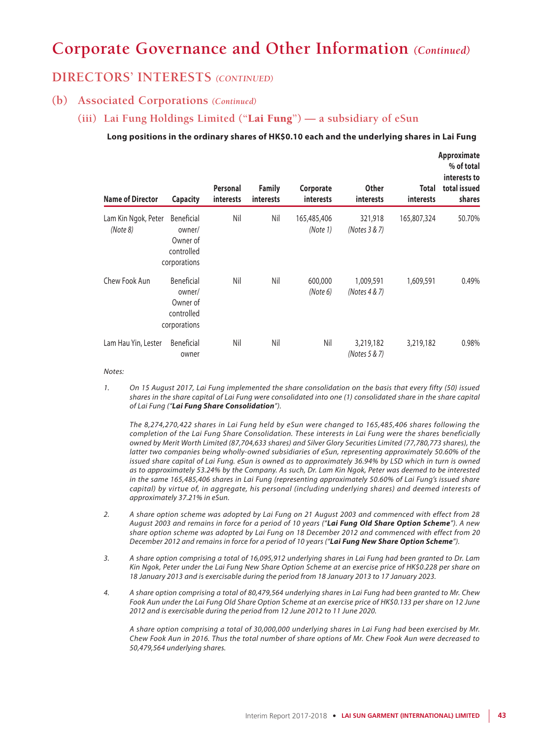### **DIRECTORS' INTERESTS** *(CONTINUED)*

### **(b) Associated Corporations** *(Continued)*

### **(iii) Lai Fung Holdings Limited ("**Lai Fung**") — a subsidiary of eSun**

#### **Long positions in the ordinary shares of HK\$0.10 each and the underlying shares in Lai Fung**

| <b>Name of Director</b>         | <b>Capacity</b>                                                       | Personal<br>interests | <b>Family</b><br><i>interests</i> | Corporate<br><b>interests</b> | <b>Other</b><br>interests  | Total<br><i>interests</i> | Approximate<br>% of total<br>interests to<br>total issued<br>shares |
|---------------------------------|-----------------------------------------------------------------------|-----------------------|-----------------------------------|-------------------------------|----------------------------|---------------------------|---------------------------------------------------------------------|
| Lam Kin Ngok, Peter<br>(Note 8) | <b>Beneficial</b><br>owner/<br>Owner of<br>controlled<br>corporations | Nil                   | Nil                               | 165,485,406<br>(Note 1)       | 321,918<br>(Notes 3 & 7)   | 165,807,324               | 50.70%                                                              |
| Chew Fook Aun                   | Beneficial<br>owner/<br>Owner of<br>controlled<br>corporations        | Nil                   | Nil                               | 600,000<br>(Note 6)           | 1,009,591<br>(Notes 4 & 7) | 1,609,591                 | 0.49%                                                               |
| Lam Hau Yin, Lester             | <b>Beneficial</b><br>owner                                            | Nil                   | Nil                               | Nil                           | 3,219,182<br>(Notes 5 & 7) | 3,219,182                 | 0.98%                                                               |

*Notes:*

*1. On 15 August 2017, Lai Fung implemented the share consolidation on the basis that every fifty (50) issued shares in the share capital of Lai Fung were consolidated into one (1) consolidated share in the share capital of Lai Fung ("Lai Fung Share Consolidation").*

*The 8,274,270,422 shares in Lai Fung held by eSun were changed to 165,485,406 shares following the completion of the Lai Fung Share Consolidation. These interests in Lai Fung were the shares beneficially owned by Merit Worth Limited (87,704,633 shares) and Silver Glory Securities Limited (77,780,773 shares), the latter two companies being wholly-owned subsidiaries of eSun, representing approximately 50.60% of the issued share capital of Lai Fung. eSun is owned as to approximately 36.94% by LSD which in turn is owned as to approximately 53.24% by the Company. As such, Dr. Lam Kin Ngok, Peter was deemed to be interested in the same 165,485,406 shares in Lai Fung (representing approximately 50.60% of Lai Fung's issued share capital) by virtue of, in aggregate, his personal (including underlying shares) and deemed interests of approximately 37.21% in eSun.*

- *2. A share option scheme was adopted by Lai Fung on 21 August 2003 and commenced with effect from 28 August 2003 and remains in force for a period of 10 years ("Lai Fung Old Share Option Scheme"). A new share option scheme was adopted by Lai Fung on 18 December 2012 and commenced with effect from 20 December 2012 and remains in force for a period of 10 years ("Lai Fung New Share Option Scheme").*
- *3. A share option comprising a total of 16,095,912 underlying shares in Lai Fung had been granted to Dr. Lam Kin Ngok, Peter under the Lai Fung New Share Option Scheme at an exercise price of HK\$0.228 per share on 18 January 2013 and is exercisable during the period from 18 January 2013 to 17 January 2023.*
- *4. A share option comprising a total of 80,479,564 underlying shares in Lai Fung had been granted to Mr. Chew Fook Aun under the Lai Fung Old Share Option Scheme at an exercise price of HK\$0.133 per share on 12 June 2012 and is exercisable during the period from 12 June 2012 to 11 June 2020.*

*A share option comprising a total of 30,000,000 underlying shares in Lai Fung had been exercised by Mr. Chew Fook Aun in 2016. Thus the total number of share options of Mr. Chew Fook Aun were decreased to 50,479,564 underlying shares.*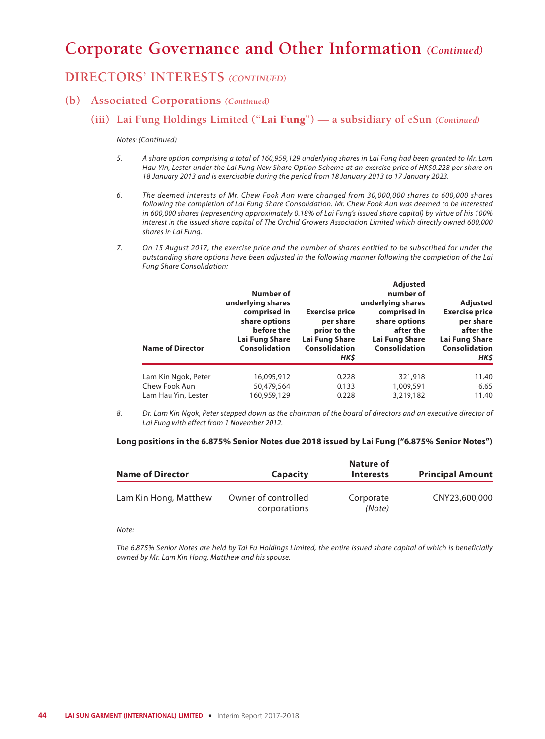## **DIRECTORS' INTERESTS** *(CONTINUED)*

### **(b) Associated Corporations** *(Continued)*

### **(iii) Lai Fung Holdings Limited ("**Lai Fung**") — a subsidiary of eSun** *(Continued)*

#### *Notes: (Continued)*

- *5. A share option comprising a total of 160,959,129 underlying shares in Lai Fung had been granted to Mr. Lam Hau Yin, Lester under the Lai Fung New Share Option Scheme at an exercise price of HK\$0.228 per share on 18 January 2013 and is exercisable during the period from 18 January 2013 to 17 January 2023.*
- *6. The deemed interests of Mr. Chew Fook Aun were changed from 30,000,000 shares to 600,000 shares following the completion of Lai Fung Share Consolidation. Mr. Chew Fook Aun was deemed to be interested in 600,000 shares (representing approximately 0.18% of Lai Fung's issued share capital) by virtue of his 100% interest in the issued share capital of The Orchid Growers Association Limited which directly owned 600,000 shares in Lai Fung.*
- *7. On 15 August 2017, the exercise price and the number of shares entitled to be subscribed for under the outstanding share options have been adjusted in the following manner following the completion of the Lai Fung Share Consolidation:*

| Number of<br>underlying shares<br>comprised in<br>share options<br>before the<br>Lai Fung Share<br>Consolidation | <b>Exercise price</b><br>per share<br>prior to the<br>Lai Fung Share<br><b>Consolidation</b><br>HK\$ | <b>Adjusted</b><br>number of<br>underlying shares<br>comprised in<br>share options<br>after the<br>Lai Fung Share<br><b>Consolidation</b> | <b>Adjusted</b><br><b>Exercise price</b><br>per share<br>after the<br>Lai Fung Share<br><b>Consolidation</b><br>HK\$ |
|------------------------------------------------------------------------------------------------------------------|------------------------------------------------------------------------------------------------------|-------------------------------------------------------------------------------------------------------------------------------------------|----------------------------------------------------------------------------------------------------------------------|
| 16,095,912                                                                                                       | 0.228                                                                                                | 321,918                                                                                                                                   | 11.40                                                                                                                |
| 160,959,129                                                                                                      | 0.228                                                                                                | 3,219,182                                                                                                                                 | 6.65<br>11.40                                                                                                        |
|                                                                                                                  | 50,479,564                                                                                           | 0.133                                                                                                                                     | 1,009,591                                                                                                            |

*8. Dr. Lam Kin Ngok, Peter stepped down as the chairman of the board of directors and an executive director of Lai Fung with effect from 1 November 2012.*

#### **Long positions in the 6.875% Senior Notes due 2018 issued by Lai Fung ("6.875% Senior Notes")**

|                         |                     | Nature of        |                         |
|-------------------------|---------------------|------------------|-------------------------|
| <b>Name of Director</b> | <b>Capacity</b>     | <b>Interests</b> | <b>Principal Amount</b> |
| Lam Kin Hong, Matthew   | Owner of controlled | Corporate        | CNY23,600,000           |
|                         | corporations        | (Note)           |                         |

*Note:*

*The 6.875% Senior Notes are held by Tai Fu Holdings Limited, the entire issued share capital of which is beneficially owned by Mr. Lam Kin Hong, Matthew and his spouse.*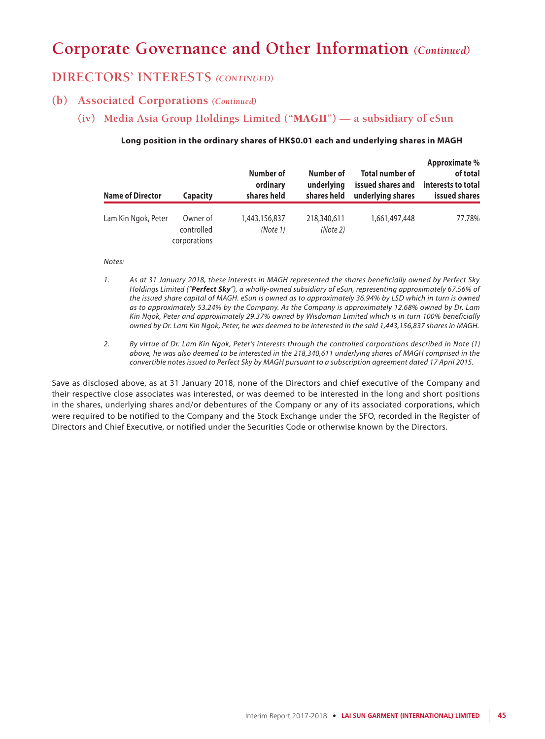### **DIRECTORS' INTERESTS** *(CONTINUED)*

### **(b) Associated Corporations** *(Continued)*

**(iv) Media Asia Group Holdings Limited ("**MAGH**") — a subsidiary of eSun**

#### **Long position in the ordinary shares of HK\$0.01 each and underlying shares in MAGH**

| <b>Name of Director</b> | <b>Capacity</b>                        | Number of<br>ordinary<br>shares held | Number of<br>underlying<br>shares held | <b>Total number of</b><br>issued shares and<br>underlying shares | Approximate %<br>of total<br>interests to total<br>issued shares |
|-------------------------|----------------------------------------|--------------------------------------|----------------------------------------|------------------------------------------------------------------|------------------------------------------------------------------|
| Lam Kin Ngok, Peter     | Owner of<br>controlled<br>corporations | 1,443,156,837<br>(Note 1)            | 218,340,611<br>(Note 2)                | 1,661,497,448                                                    | 77.78%                                                           |

#### *Notes:*

- *1. As at 31 January 2018, these interests in MAGH represented the shares beneficially owned by Perfect Sky Holdings Limited ("Perfect Sky"), a wholly-owned subsidiary of eSun, representing approximately 67.56% of the issued share capital of MAGH. eSun is owned as to approximately 36.94% by LSD which in turn is owned as to approximately 53.24% by the Company. As the Company is approximately 12.68% owned by Dr. Lam Kin Ngok, Peter and approximately 29.37% owned by Wisdoman Limited which is in turn 100% beneficially owned by Dr. Lam Kin Ngok, Peter, he was deemed to be interested in the said 1,443,156,837 shares in MAGH.*
- *2. By virtue of Dr. Lam Kin Ngok, Peter's interests through the controlled corporations described in Note (1) above, he was also deemed to be interested in the 218,340,611 underlying shares of MAGH comprised in the convertible notes issued to Perfect Sky by MAGH pursuant to a subscription agreement dated 17 April 2015.*

Save as disclosed above, as at 31 January 2018, none of the Directors and chief executive of the Company and their respective close associates was interested, or was deemed to be interested in the long and short positions in the shares, underlying shares and/or debentures of the Company or any of its associated corporations, which were required to be notified to the Company and the Stock Exchange under the SFO, recorded in the Register of Directors and Chief Executive, or notified under the Securities Code or otherwise known by the Directors.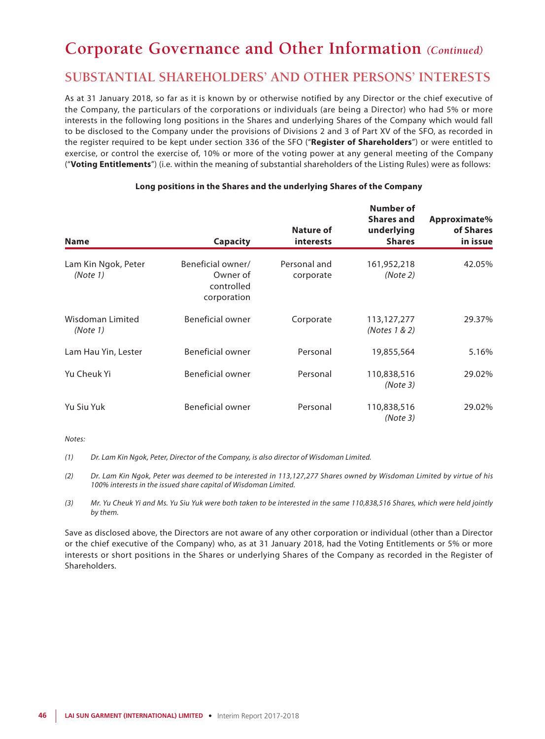## **SUBSTANTIAL SHAREHOLDERS' AND OTHER PERSONS' INTERESTS**

As at 31 January 2018, so far as it is known by or otherwise notified by any Director or the chief executive of the Company, the particulars of the corporations or individuals (are being a Director) who had 5% or more interests in the following long positions in the Shares and underlying Shares of the Company which would fall to be disclosed to the Company under the provisions of Divisions 2 and 3 of Part XV of the SFO, as recorded in the register required to be kept under section 336 of the SFO ("**Register of Shareholders**") or were entitled to exercise, or control the exercise of, 10% or more of the voting power at any general meeting of the Company ("**Voting Entitlements**") (i.e. within the meaning of substantial shareholders of the Listing Rules) were as follows:

| <b>Name</b>                     | <b>Capacity</b>                                            | <b>Nature of</b><br><b>interests</b> | Number of<br>Shares and<br>underlying<br><b>Shares</b> | Approximate%<br>of Shares<br>in issue |
|---------------------------------|------------------------------------------------------------|--------------------------------------|--------------------------------------------------------|---------------------------------------|
| Lam Kin Ngok, Peter<br>(Note 1) | Beneficial owner/<br>Owner of<br>controlled<br>corporation | Personal and<br>corporate            | 161,952,218<br>(Note 2)                                | 42.05%                                |
| Wisdoman Limited<br>(Note 1)    | <b>Beneficial owner</b>                                    | Corporate                            | 113,127,277<br>(Notes 1 & 2)                           | 29.37%                                |
| Lam Hau Yin, Lester             | Beneficial owner                                           | Personal                             | 19,855,564                                             | 5.16%                                 |
| Yu Cheuk Yi                     | Beneficial owner                                           | Personal                             | 110,838,516<br>(Note 3)                                | 29.02%                                |
| Yu Siu Yuk                      | Beneficial owner                                           | Personal                             | 110,838,516<br>(Note 3)                                | 29.02%                                |

### **Long positions in the Shares and the underlying Shares of the Company**

*Notes:*

*(1) Dr. Lam Kin Ngok, Peter, Director of the Company, is also director of Wisdoman Limited.*

*(2) Dr. Lam Kin Ngok, Peter was deemed to be interested in 113,127,277 Shares owned by Wisdoman Limited by virtue of his 100% interests in the issued share capital of Wisdoman Limited.*

*(3) Mr. Yu Cheuk Yi and Ms. Yu Siu Yuk were both taken to be interested in the same 110,838,516 Shares, which were held jointly by them.*

Save as disclosed above, the Directors are not aware of any other corporation or individual (other than a Director or the chief executive of the Company) who, as at 31 January 2018, had the Voting Entitlements or 5% or more interests or short positions in the Shares or underlying Shares of the Company as recorded in the Register of Shareholders.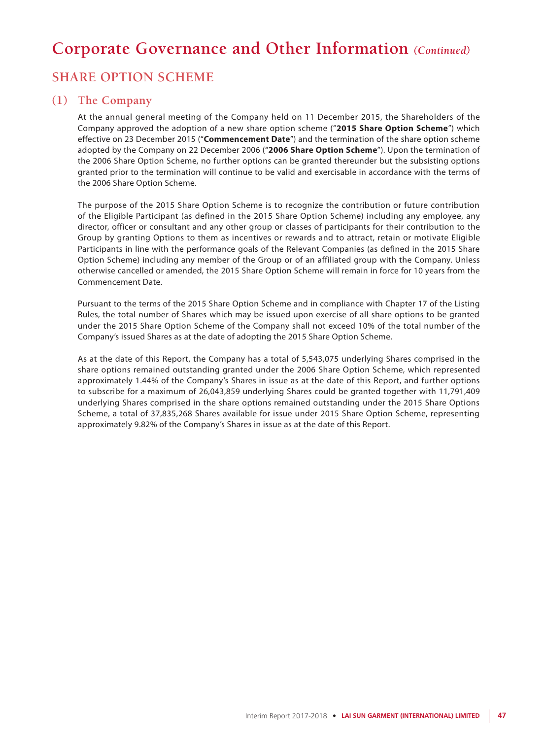## **SHARE OPTION SCHEME**

### **(1) The Company**

At the annual general meeting of the Company held on 11 December 2015, the Shareholders of the Company approved the adoption of a new share option scheme ("**2015 Share Option Scheme**") which effective on 23 December 2015 ("**Commencement Date**") and the termination of the share option scheme adopted by the Company on 22 December 2006 ("**2006 Share Option Scheme**"). Upon the termination of the 2006 Share Option Scheme, no further options can be granted thereunder but the subsisting options granted prior to the termination will continue to be valid and exercisable in accordance with the terms of the 2006 Share Option Scheme.

The purpose of the 2015 Share Option Scheme is to recognize the contribution or future contribution of the Eligible Participant (as defined in the 2015 Share Option Scheme) including any employee, any director, officer or consultant and any other group or classes of participants for their contribution to the Group by granting Options to them as incentives or rewards and to attract, retain or motivate Eligible Participants in line with the performance goals of the Relevant Companies (as defined in the 2015 Share Option Scheme) including any member of the Group or of an affiliated group with the Company. Unless otherwise cancelled or amended, the 2015 Share Option Scheme will remain in force for 10 years from the Commencement Date.

Pursuant to the terms of the 2015 Share Option Scheme and in compliance with Chapter 17 of the Listing Rules, the total number of Shares which may be issued upon exercise of all share options to be granted under the 2015 Share Option Scheme of the Company shall not exceed 10% of the total number of the Company's issued Shares as at the date of adopting the 2015 Share Option Scheme.

As at the date of this Report, the Company has a total of 5,543,075 underlying Shares comprised in the share options remained outstanding granted under the 2006 Share Option Scheme, which represented approximately 1.44% of the Company's Shares in issue as at the date of this Report, and further options to subscribe for a maximum of 26,043,859 underlying Shares could be granted together with 11,791,409 underlying Shares comprised in the share options remained outstanding under the 2015 Share Options Scheme, a total of 37,835,268 Shares available for issue under 2015 Share Option Scheme, representing approximately 9.82% of the Company's Shares in issue as at the date of this Report.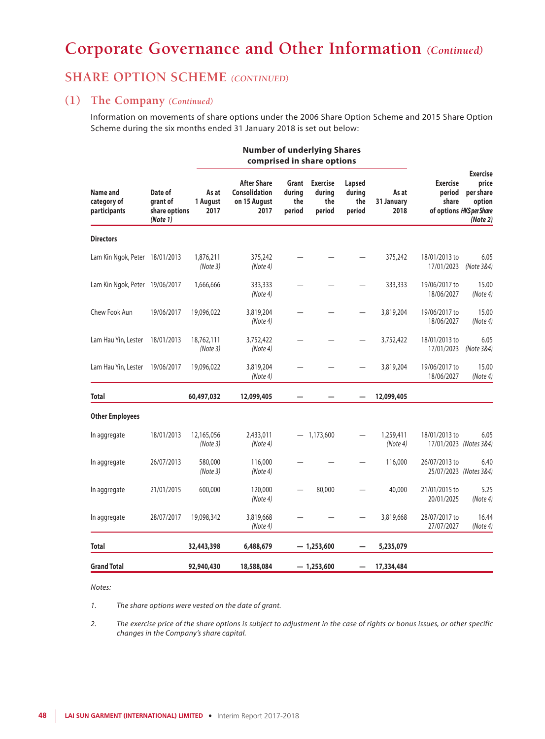## **SHARE OPTION SCHEME** *(CONTINUED)*

### **(1) The Company** *(Continued)*

Information on movements of share options under the 2006 Share Option Scheme and 2015 Share Option Scheme during the six months ended 31 January 2018 is set out below:

|                                         |                                                  |                           | <b>Number of underlying Shares</b><br>comprised in share options |                                  |                                            |                                   |                             |                                                                 |                                                             |
|-----------------------------------------|--------------------------------------------------|---------------------------|------------------------------------------------------------------|----------------------------------|--------------------------------------------|-----------------------------------|-----------------------------|-----------------------------------------------------------------|-------------------------------------------------------------|
| Name and<br>category of<br>participants | Date of<br>grant of<br>share options<br>(Note 1) | As at<br>1 August<br>2017 | <b>After Share</b><br>Consolidation<br>on 15 August<br>2017      | Grant<br>during<br>the<br>period | <b>Exercise</b><br>during<br>the<br>period | Lapsed<br>during<br>the<br>period | As at<br>31 January<br>2018 | <b>Exercise</b><br>period<br>share<br>of options HK\$ per Share | <b>Exercise</b><br>price<br>per share<br>option<br>(Note 2) |
| <b>Directors</b>                        |                                                  |                           |                                                                  |                                  |                                            |                                   |                             |                                                                 |                                                             |
| Lam Kin Ngok, Peter 18/01/2013          |                                                  | 1,876,211<br>(Note 3)     | 375,242<br>(Note 4)                                              |                                  |                                            |                                   | 375,242                     | 18/01/2013 to<br>17/01/2023                                     | 6.05<br>(Note 3&4)                                          |
| Lam Kin Ngok, Peter 19/06/2017          |                                                  | 1,666,666                 | 333,333<br>(Note 4)                                              |                                  |                                            |                                   | 333,333                     | 19/06/2017 to<br>18/06/2027                                     | 15.00<br>(Note 4)                                           |
| Chew Fook Aun                           | 19/06/2017                                       | 19,096,022                | 3,819,204<br>(Note 4)                                            |                                  |                                            |                                   | 3,819,204                   | 19/06/2017 to<br>18/06/2027                                     | 15.00<br>(Note 4)                                           |
| Lam Hau Yin, Lester                     | 18/01/2013                                       | 18,762,111<br>(Note 3)    | 3,752,422<br>(Note 4)                                            |                                  |                                            |                                   | 3,752,422                   | 18/01/2013 to<br>17/01/2023                                     | 6.05<br>(Note 3&4)                                          |
| Lam Hau Yin, Lester 19/06/2017          |                                                  | 19,096,022                | 3,819,204<br>(Note 4)                                            |                                  |                                            |                                   | 3,819,204                   | 19/06/2017 to<br>18/06/2027                                     | 15.00<br>(Note 4)                                           |
| <b>Total</b>                            |                                                  | 60,497,032                | 12,099,405                                                       |                                  |                                            |                                   | 12,099,405                  |                                                                 |                                                             |
| <b>Other Employees</b>                  |                                                  |                           |                                                                  |                                  |                                            |                                   |                             |                                                                 |                                                             |
| In aggregate                            | 18/01/2013                                       | 12,165,056<br>(Note 3)    | 2,433,011<br>(Note 4)                                            |                                  | $-1,173,600$                               |                                   | 1,259,411<br>(Note 4)       | 18/01/2013 to                                                   | 6.05<br>17/01/2023 (Notes 3&4)                              |
| In aggregate                            | 26/07/2013                                       | 580,000<br>(Note3)        | 116,000<br>(Note 4)                                              |                                  |                                            |                                   | 116,000                     | 26/07/2013 to                                                   | 6.40<br>25/07/2023 (Notes 3&4)                              |
| In aggregate                            | 21/01/2015                                       | 600,000                   | 120,000<br>(Note 4)                                              |                                  | 80,000                                     |                                   | 40,000                      | 21/01/2015 to<br>20/01/2025                                     | 5.25<br>(Note 4)                                            |
| In aggregate                            | 28/07/2017                                       | 19,098,342                | 3,819,668<br>(Note 4)                                            |                                  |                                            |                                   | 3,819,668                   | 28/07/2017 to<br>27/07/2027                                     | 16.44<br>(Note 4)                                           |
| <b>Total</b>                            |                                                  | 32,443,398                | 6,488,679                                                        |                                  | $-1,253,600$                               |                                   | 5,235,079                   |                                                                 |                                                             |
| <b>Grand Total</b>                      |                                                  | 92,940,430                | 18,588,084                                                       |                                  | $-1,253,600$                               |                                   | 17,334,484                  |                                                                 |                                                             |

#### *Notes:*

*1. The share options were vested on the date of grant.*

*2. The exercise price of the share options is subject to adjustment in the case of rights or bonus issues, or other specific changes in the Company's share capital.*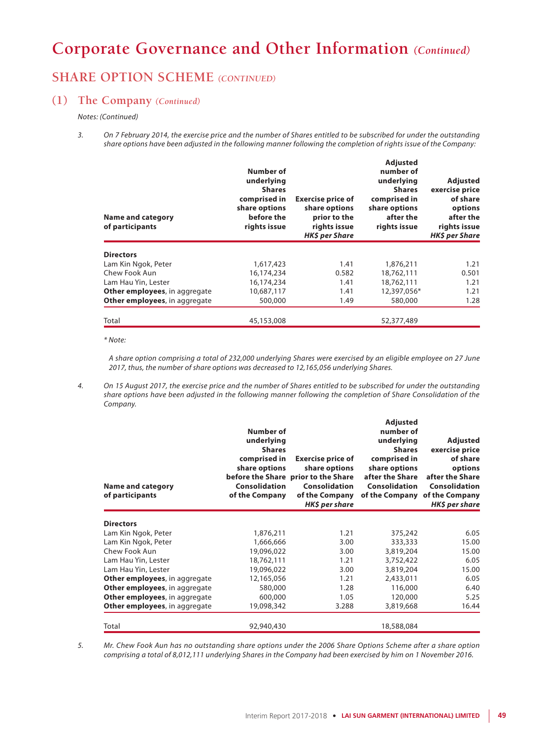## **SHARE OPTION SCHEME** *(CONTINUED)*

### **(1) The Company** *(Continued)*

#### *Notes: (Continued)*

*3. On 7 February 2014, the exercise price and the number of Shares entitled to be subscribed for under the outstanding share options have been adjusted in the following manner following the completion of rights issue of the Company:*

| <b>Name and category</b><br>of participants | <b>Number of</b><br>underlying<br><b>Shares</b><br>comprised in<br>share options<br>before the<br>rights issue | <b>Exercise price of</b><br>share options<br>prior to the<br>rights issue<br><b>HK\$</b> per Share | <b>Adjusted</b><br>number of<br>underlying<br><b>Shares</b><br>comprised in<br>share options<br>after the<br>rights issue | Adjusted<br>exercise price<br>of share<br>options<br>after the<br>rights issue<br><b>HK\$</b> per Share |
|---------------------------------------------|----------------------------------------------------------------------------------------------------------------|----------------------------------------------------------------------------------------------------|---------------------------------------------------------------------------------------------------------------------------|---------------------------------------------------------------------------------------------------------|
| <b>Directors</b>                            |                                                                                                                |                                                                                                    |                                                                                                                           |                                                                                                         |
| Lam Kin Ngok, Peter                         | 1,617,423                                                                                                      | 1.41                                                                                               | 1,876,211                                                                                                                 | 1.21                                                                                                    |
| Chew Fook Aun                               | 16,174,234                                                                                                     | 0.582                                                                                              | 18,762,111                                                                                                                | 0.501                                                                                                   |
| Lam Hau Yin, Lester                         | 16,174,234                                                                                                     | 1.41                                                                                               | 18,762,111                                                                                                                | 1.21                                                                                                    |
| <b>Other employees, in aggregate</b>        | 10,687,117                                                                                                     | 1.41                                                                                               | 12,397,056*                                                                                                               | 1.21                                                                                                    |
| Other employees, in aggregate               | 500,000                                                                                                        | 1.49                                                                                               | 580,000                                                                                                                   | 1.28                                                                                                    |
| Total                                       | 45,153,008                                                                                                     |                                                                                                    | 52,377,489                                                                                                                |                                                                                                         |

*\* Note:*

*A share option comprising a total of 232,000 underlying Shares were exercised by an eligible employee on 27 June 2017, thus, the number of share options was decreased to 12,165,056 underlying Shares.*

*4. On 15 August 2017, the exercise price and the number of Shares entitled to be subscribed for under the outstanding share options have been adjusted in the following manner following the completion of Share Consolidation of the Company.*

| <b>Name and category</b><br>of participants | Number of<br>underlying<br><b>Shares</b><br>comprised in<br>share options<br>Consolidation<br>of the Company | <b>Exercise price of</b><br>share options<br>before the Share prior to the Share<br>Consolidation<br>of the Company<br>HK\$ per share | <b>Adjusted</b><br>number of<br>underlying<br><b>Shares</b><br>comprised in<br>share options<br>after the Share<br>Consolidation<br>of the Company | <b>Adjusted</b><br>exercise price<br>of share<br>options<br>after the Share<br>Consolidation<br>of the Company<br>HK\$ per share |
|---------------------------------------------|--------------------------------------------------------------------------------------------------------------|---------------------------------------------------------------------------------------------------------------------------------------|----------------------------------------------------------------------------------------------------------------------------------------------------|----------------------------------------------------------------------------------------------------------------------------------|
| <b>Directors</b>                            |                                                                                                              |                                                                                                                                       |                                                                                                                                                    |                                                                                                                                  |
| Lam Kin Ngok, Peter                         | 1,876,211                                                                                                    | 1.21                                                                                                                                  | 375,242                                                                                                                                            | 6.05                                                                                                                             |
| Lam Kin Ngok, Peter                         | 1,666,666                                                                                                    | 3.00                                                                                                                                  | 333,333                                                                                                                                            | 15.00                                                                                                                            |
| Chew Fook Aun                               | 19,096,022                                                                                                   | 3.00                                                                                                                                  | 3,819,204                                                                                                                                          | 15.00                                                                                                                            |
| Lam Hau Yin, Lester                         | 18,762,111                                                                                                   | 1.21                                                                                                                                  | 3,752,422                                                                                                                                          | 6.05                                                                                                                             |
| Lam Hau Yin, Lester                         | 19,096,022                                                                                                   | 3.00                                                                                                                                  | 3,819,204                                                                                                                                          | 15.00                                                                                                                            |
| Other employees, in aggregate               | 12,165,056                                                                                                   | 1.21                                                                                                                                  | 2,433,011                                                                                                                                          | 6.05                                                                                                                             |
| Other employees, in aggregate               | 580,000                                                                                                      | 1.28                                                                                                                                  | 116,000                                                                                                                                            | 6.40                                                                                                                             |
| Other employees, in aggregate               | 600,000                                                                                                      | 1.05                                                                                                                                  | 120,000                                                                                                                                            | 5.25                                                                                                                             |
| Other employees, in aggregate               | 19,098,342                                                                                                   | 3.288                                                                                                                                 | 3,819,668                                                                                                                                          | 16.44                                                                                                                            |
| Total                                       | 92,940,430                                                                                                   |                                                                                                                                       | 18,588,084                                                                                                                                         |                                                                                                                                  |

*5. Mr. Chew Fook Aun has no outstanding share options under the 2006 Share Options Scheme after a share option comprising a total of 8,012,111 underlying Shares in the Company had been exercised by him on 1 November 2016.*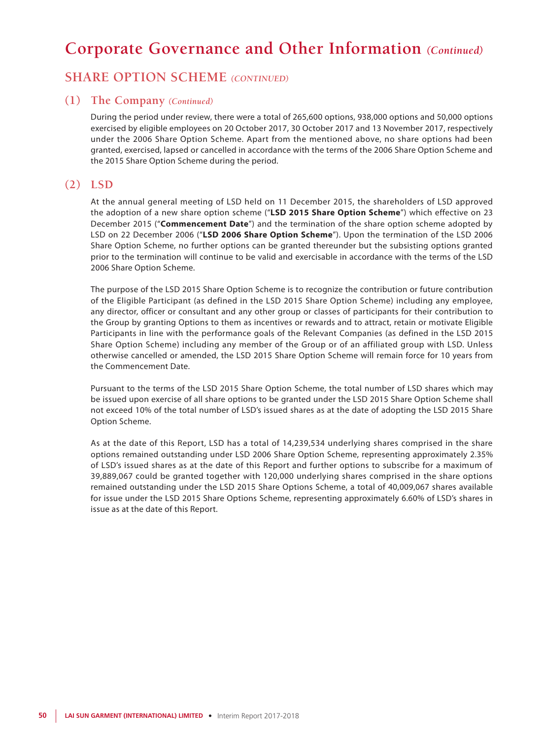## **SHARE OPTION SCHEME** *(CONTINUED)*

### **(1) The Company** *(Continued)*

During the period under review, there were a total of 265,600 options, 938,000 options and 50,000 options exercised by eligible employees on 20 October 2017, 30 October 2017 and 13 November 2017, respectively under the 2006 Share Option Scheme. Apart from the mentioned above, no share options had been granted, exercised, lapsed or cancelled in accordance with the terms of the 2006 Share Option Scheme and the 2015 Share Option Scheme during the period.

### **(2) LSD**

At the annual general meeting of LSD held on 11 December 2015, the shareholders of LSD approved the adoption of a new share option scheme ("**LSD 2015 Share Option Scheme**") which effective on 23 December 2015 ("**Commencement Date**") and the termination of the share option scheme adopted by LSD on 22 December 2006 ("**LSD 2006 Share Option Scheme**"). Upon the termination of the LSD 2006 Share Option Scheme, no further options can be granted thereunder but the subsisting options granted prior to the termination will continue to be valid and exercisable in accordance with the terms of the LSD 2006 Share Option Scheme.

The purpose of the LSD 2015 Share Option Scheme is to recognize the contribution or future contribution of the Eligible Participant (as defined in the LSD 2015 Share Option Scheme) including any employee, any director, officer or consultant and any other group or classes of participants for their contribution to the Group by granting Options to them as incentives or rewards and to attract, retain or motivate Eligible Participants in line with the performance goals of the Relevant Companies (as defined in the LSD 2015 Share Option Scheme) including any member of the Group or of an affiliated group with LSD. Unless otherwise cancelled or amended, the LSD 2015 Share Option Scheme will remain force for 10 years from the Commencement Date.

Pursuant to the terms of the LSD 2015 Share Option Scheme, the total number of LSD shares which may be issued upon exercise of all share options to be granted under the LSD 2015 Share Option Scheme shall not exceed 10% of the total number of LSD's issued shares as at the date of adopting the LSD 2015 Share Option Scheme.

As at the date of this Report, LSD has a total of 14,239,534 underlying shares comprised in the share options remained outstanding under LSD 2006 Share Option Scheme, representing approximately 2.35% of LSD's issued shares as at the date of this Report and further options to subscribe for a maximum of 39,889,067 could be granted together with 120,000 underlying shares comprised in the share options remained outstanding under the LSD 2015 Share Options Scheme, a total of 40,009,067 shares available for issue under the LSD 2015 Share Options Scheme, representing approximately 6.60% of LSD's shares in issue as at the date of this Report.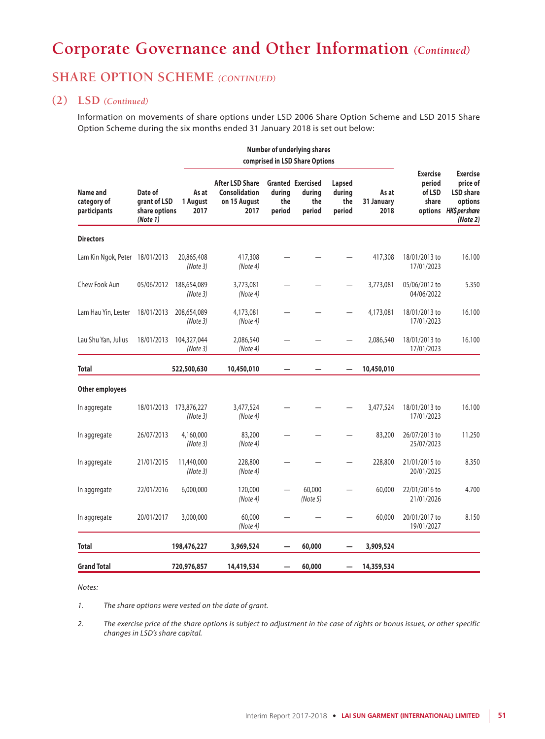## **SHARE OPTION SCHEME** *(CONTINUED)*

### **(2) LSD** *(Continued)*

Information on movements of share options under LSD 2006 Share Option Scheme and LSD 2015 Share Option Scheme during the six months ended 31 January 2018 is set out below:

|                                         |                                                      | <b>Number of underlying shares</b><br>comprised in LSD Share Options |                                                                        |                         |                                                     |                                   |                             |                                              |                                                                                                 |
|-----------------------------------------|------------------------------------------------------|----------------------------------------------------------------------|------------------------------------------------------------------------|-------------------------|-----------------------------------------------------|-----------------------------------|-----------------------------|----------------------------------------------|-------------------------------------------------------------------------------------------------|
| Name and<br>category of<br>participants | Date of<br>grant of LSD<br>share options<br>(Note 1) | As at<br>1 August<br>2017                                            | <b>After LSD Share</b><br><b>Consolidation</b><br>on 15 August<br>2017 | during<br>the<br>period | <b>Granted Exercised</b><br>during<br>the<br>period | Lapsed<br>during<br>the<br>period | As at<br>31 January<br>2018 | <b>Exercise</b><br>period<br>of LSD<br>share | <b>Exercise</b><br>price of<br><b>LSD</b> share<br>options<br>options HK\$ pershare<br>(Note 2) |
| <b>Directors</b>                        |                                                      |                                                                      |                                                                        |                         |                                                     |                                   |                             |                                              |                                                                                                 |
| Lam Kin Ngok, Peter 18/01/2013          |                                                      | 20,865,408<br>(Note 3)                                               | 417,308<br>(Note 4)                                                    |                         |                                                     |                                   | 417,308                     | 18/01/2013 to<br>17/01/2023                  | 16.100                                                                                          |
| Chew Fook Aun                           | 05/06/2012                                           | 188,654,089<br>(Note 3)                                              | 3,773,081<br>(Note 4)                                                  |                         |                                                     |                                   | 3,773,081                   | 05/06/2012 to<br>04/06/2022                  | 5.350                                                                                           |
| Lam Hau Yin, Lester                     | 18/01/2013                                           | 208,654,089<br>(Note3)                                               | 4,173,081<br>(Note 4)                                                  |                         |                                                     |                                   | 4,173,081                   | 18/01/2013 to<br>17/01/2023                  | 16.100                                                                                          |
| Lau Shu Yan, Julius                     | 18/01/2013                                           | 104,327,044<br>(Note 3)                                              | 2,086,540<br>(Note 4)                                                  |                         |                                                     |                                   | 2,086,540                   | 18/01/2013 to<br>17/01/2023                  | 16.100                                                                                          |
| <b>Total</b>                            |                                                      | 522,500,630                                                          | 10,450,010                                                             |                         |                                                     |                                   | 10,450,010                  |                                              |                                                                                                 |
| Other employees                         |                                                      |                                                                      |                                                                        |                         |                                                     |                                   |                             |                                              |                                                                                                 |
| In aggregate                            | 18/01/2013                                           | 173,876,227<br>(Note3)                                               | 3,477,524<br>(Note 4)                                                  |                         |                                                     |                                   | 3,477,524                   | 18/01/2013 to<br>17/01/2023                  | 16.100                                                                                          |
| In aggregate                            | 26/07/2013                                           | 4,160,000<br>(Note 3)                                                | 83,200<br>(Note4)                                                      |                         |                                                     |                                   | 83,200                      | 26/07/2013 to<br>25/07/2023                  | 11.250                                                                                          |
| In aggregate                            | 21/01/2015                                           | 11,440,000<br>(Note 3)                                               | 228,800<br>(Note 4)                                                    |                         |                                                     |                                   | 228,800                     | 21/01/2015 to<br>20/01/2025                  | 8.350                                                                                           |
| In aggregate                            | 22/01/2016                                           | 6,000,000                                                            | 120,000<br>(Note 4)                                                    |                         | 60,000<br>(Note 5)                                  |                                   | 60,000                      | 22/01/2016 to<br>21/01/2026                  | 4.700                                                                                           |
| In aggregate                            | 20/01/2017                                           | 3,000,000                                                            | 60,000<br>(Note4)                                                      |                         |                                                     |                                   | 60,000                      | 20/01/2017 to<br>19/01/2027                  | 8.150                                                                                           |
| <b>Total</b>                            |                                                      | 198,476,227                                                          | 3,969,524                                                              |                         | 60,000                                              |                                   | 3,909,524                   |                                              |                                                                                                 |
| <b>Grand Total</b>                      |                                                      | 720,976,857                                                          | 14,419,534                                                             |                         | 60,000                                              |                                   | 14,359,534                  |                                              |                                                                                                 |

*Notes:*

*1. The share options were vested on the date of grant.*

*2. The exercise price of the share options is subject to adjustment in the case of rights or bonus issues, or other specific changes in LSD's share capital.*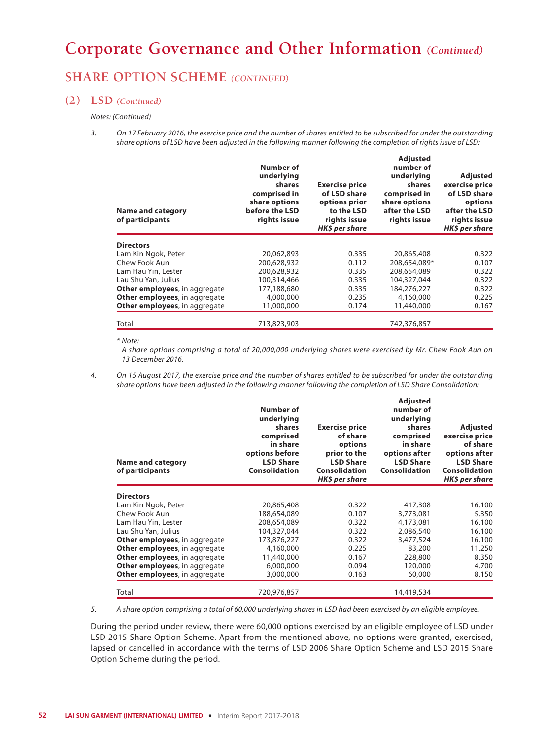## **SHARE OPTION SCHEME** *(CONTINUED)*

### **(2) LSD** *(Continued)*

#### *Notes: (Continued)*

*3. On 17 February 2016, the exercise price and the number of shares entitled to be subscribed for under the outstanding share options of LSD have been adjusted in the following manner following the completion of rights issue of LSD:*

| <b>Name and category</b><br>of participants | Number of<br>underlying<br>shares<br>comprised in<br>share options<br>before the LSD<br>rights issue | <b>Exercise price</b><br>of LSD share<br>options prior<br>to the LSD<br>rights issue<br>HK\$ per share | <b>Adjusted</b><br>number of<br>underlying<br>shares<br>comprised in<br>share options<br>after the LSD<br>rights issue | <b>Adjusted</b><br>exercise price<br>of LSD share<br>options<br>after the LSD<br>rights issue<br>HK\$ per share |
|---------------------------------------------|------------------------------------------------------------------------------------------------------|--------------------------------------------------------------------------------------------------------|------------------------------------------------------------------------------------------------------------------------|-----------------------------------------------------------------------------------------------------------------|
| <b>Directors</b>                            |                                                                                                      |                                                                                                        |                                                                                                                        |                                                                                                                 |
| Lam Kin Ngok, Peter                         | 20,062,893                                                                                           | 0.335                                                                                                  | 20,865,408                                                                                                             | 0.322                                                                                                           |
| Chew Fook Aun                               | 200,628,932                                                                                          | 0.112                                                                                                  | 208,654,089*                                                                                                           | 0.107                                                                                                           |
| Lam Hau Yin, Lester                         | 200,628,932                                                                                          | 0.335                                                                                                  | 208,654,089                                                                                                            | 0.322                                                                                                           |
| Lau Shu Yan, Julius                         | 100,314,466                                                                                          | 0.335                                                                                                  | 104,327,044                                                                                                            | 0.322                                                                                                           |
| Other employees, in aggregate               | 177,188,680                                                                                          | 0.335                                                                                                  | 184,276,227                                                                                                            | 0.322                                                                                                           |
| Other employees, in aggregate               | 4,000,000                                                                                            | 0.235                                                                                                  | 4,160,000                                                                                                              | 0.225                                                                                                           |
| Other employees, in aggregate               | 11,000,000                                                                                           | 0.174                                                                                                  | 11,440,000                                                                                                             | 0.167                                                                                                           |
| Total                                       | 713,823,903                                                                                          |                                                                                                        | 742,376,857                                                                                                            |                                                                                                                 |

*\* Note:*

*A share options comprising a total of 20,000,000 underlying shares were exercised by Mr. Chew Fook Aun on 13 December 2016.*

*4. On 15 August 2017, the exercise price and the number of shares entitled to be subscribed for under the outstanding share options have been adjusted in the following manner following the completion of LSD Share Consolidation:*

| <b>Name and category</b><br>of participants | Number of<br>underlying<br>shares<br>comprised<br>in share<br>options before<br><b>LSD Share</b><br><b>Consolidation</b> | <b>Exercise price</b><br>of share<br>options<br>prior to the<br><b>LSD Share</b><br><b>Consolidation</b><br>HK\$ per share | <b>Adjusted</b><br>number of<br>underlying<br>shares<br>comprised<br>in share<br>options after<br><b>LSD Share</b><br><b>Consolidation</b> | <b>Adjusted</b><br>exercise price<br>of share<br>options after<br><b>LSD Share</b><br><b>Consolidation</b><br>HK\$ per share |
|---------------------------------------------|--------------------------------------------------------------------------------------------------------------------------|----------------------------------------------------------------------------------------------------------------------------|--------------------------------------------------------------------------------------------------------------------------------------------|------------------------------------------------------------------------------------------------------------------------------|
| <b>Directors</b>                            |                                                                                                                          |                                                                                                                            |                                                                                                                                            |                                                                                                                              |
| Lam Kin Ngok, Peter                         | 20,865,408                                                                                                               | 0.322                                                                                                                      | 417,308                                                                                                                                    | 16.100                                                                                                                       |
| Chew Fook Aun                               | 188,654,089                                                                                                              | 0.107                                                                                                                      | 3,773,081                                                                                                                                  | 5.350                                                                                                                        |
| Lam Hau Yin, Lester                         | 208,654,089                                                                                                              | 0.322                                                                                                                      | 4,173,081                                                                                                                                  | 16.100                                                                                                                       |
| Lau Shu Yan, Julius                         | 104,327,044                                                                                                              | 0.322                                                                                                                      | 2,086,540                                                                                                                                  | 16.100                                                                                                                       |
| Other employees, in aggregate               | 173,876,227                                                                                                              | 0.322                                                                                                                      | 3,477,524                                                                                                                                  | 16.100                                                                                                                       |
| Other employees, in aggregate               | 4,160,000                                                                                                                | 0.225                                                                                                                      | 83,200                                                                                                                                     | 11.250                                                                                                                       |
| Other employees, in aggregate               | 11,440,000                                                                                                               | 0.167                                                                                                                      | 228,800                                                                                                                                    | 8.350                                                                                                                        |
| Other employees, in aggregate               | 6,000,000                                                                                                                | 0.094                                                                                                                      | 120,000                                                                                                                                    | 4.700                                                                                                                        |
| Other employees, in aggregate               | 3,000,000                                                                                                                | 0.163                                                                                                                      | 60,000                                                                                                                                     | 8.150                                                                                                                        |
| Total                                       | 720,976,857                                                                                                              |                                                                                                                            | 14,419,534                                                                                                                                 |                                                                                                                              |

*5. A share option comprising a total of 60,000 underlying shares in LSD had been exercised by an eligible employee.*

During the period under review, there were 60,000 options exercised by an eligible employee of LSD under LSD 2015 Share Option Scheme. Apart from the mentioned above, no options were granted, exercised, lapsed or cancelled in accordance with the terms of LSD 2006 Share Option Scheme and LSD 2015 Share Option Scheme during the period.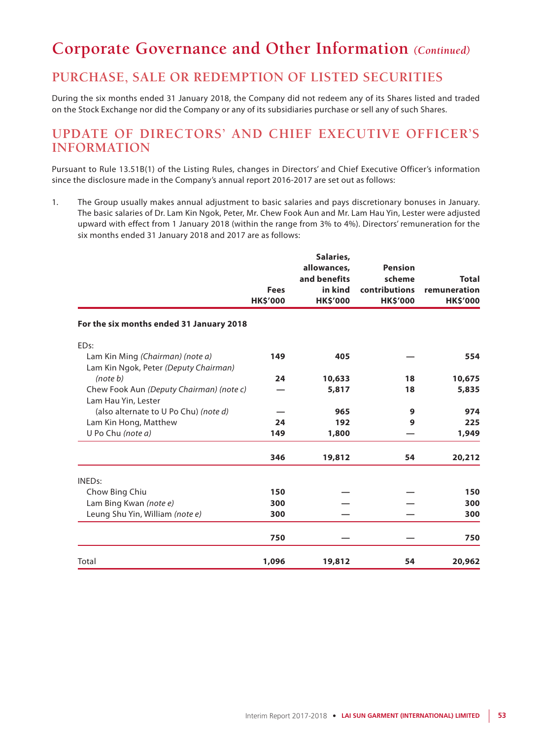## **PURCHASE, SALE OR REDEMPTION OF LISTED SECURITIES**

During the six months ended 31 January 2018, the Company did not redeem any of its Shares listed and traded on the Stock Exchange nor did the Company or any of its subsidiaries purchase or sell any of such Shares.

## **UPDATE OF DIRECTORS' AND CHIEF EXECUTIVE OFFICER'S INFORMATION**

Pursuant to Rule 13.51B(1) of the Listing Rules, changes in Directors' and Chief Executive Officer's information since the disclosure made in the Company's annual report 2016-2017 are set out as follows:

1. The Group usually makes annual adjustment to basic salaries and pays discretionary bonuses in January. The basic salaries of Dr. Lam Kin Ngok, Peter, Mr. Chew Fook Aun and Mr. Lam Hau Yin, Lester were adjusted upward with effect from 1 January 2018 (within the range from 3% to 4%). Directors' remuneration for the six months ended 31 January 2018 and 2017 are as follows:

|                                                                           | <b>Fees</b><br><b>HK\$'000</b> | Salaries,<br>allowances,<br>and benefits<br>in kind<br><b>HK\$'000</b> | <b>Pension</b><br>scheme<br>contributions<br><b>HK\$'000</b> | <b>Total</b><br>remuneration<br><b>HK\$'000</b> |
|---------------------------------------------------------------------------|--------------------------------|------------------------------------------------------------------------|--------------------------------------------------------------|-------------------------------------------------|
| For the six months ended 31 January 2018                                  |                                |                                                                        |                                                              |                                                 |
| ED <sub>s:</sub>                                                          |                                |                                                                        |                                                              |                                                 |
| Lam Kin Ming (Chairman) (note a)<br>Lam Kin Ngok, Peter (Deputy Chairman) | 149                            | 405                                                                    |                                                              | 554                                             |
| (note b)                                                                  | 24                             | 10,633                                                                 | 18                                                           | 10,675                                          |
| Chew Fook Aun (Deputy Chairman) (note c)<br>Lam Hau Yin, Lester           |                                | 5,817                                                                  | 18                                                           | 5,835                                           |
| (also alternate to U Po Chu) (note d)                                     |                                | 965                                                                    | 9                                                            | 974                                             |
| Lam Kin Hong, Matthew                                                     | 24                             | 192                                                                    | 9                                                            | 225                                             |
| U Po Chu (note a)                                                         | 149                            | 1,800                                                                  |                                                              | 1,949                                           |
|                                                                           | 346                            | 19,812                                                                 | 54                                                           | 20,212                                          |
| <b>INEDs:</b>                                                             |                                |                                                                        |                                                              |                                                 |
| Chow Bing Chiu                                                            | 150                            |                                                                        |                                                              | 150                                             |
| Lam Bing Kwan (note e)                                                    | 300                            |                                                                        |                                                              | 300                                             |
| Leung Shu Yin, William (note e)                                           | 300                            |                                                                        |                                                              | 300                                             |
|                                                                           | 750                            |                                                                        |                                                              | 750                                             |
| Total                                                                     | 1,096                          | 19,812                                                                 | 54                                                           | 20,962                                          |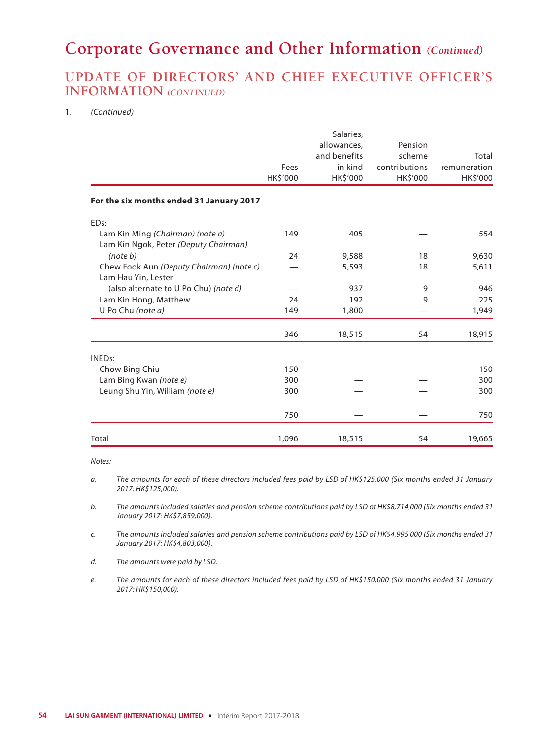## **UPDATE OF DIRECTORS' AND CHIEF EXECUTIVE OFFICER'S INFORMATION** *(CONTINUED)*

#### 1. *(Continued)*

| Lam Kin Ngok, Peter (Deputy Chairman)<br>(note b)<br>Chew Fook Aun (Deputy Chairman) (note c)<br>Lam Hau Yin, Lester | 24    | 9,588<br>5,593 | 18<br>18 | 9,630<br>5,611 |
|----------------------------------------------------------------------------------------------------------------------|-------|----------------|----------|----------------|
| (also alternate to U Po Chu) (note d)                                                                                | 24    | 937<br>192     | 9<br>9   | 946<br>225     |
| Lam Kin Hong, Matthew<br>U Po Chu (note a)                                                                           | 149   | 1,800          |          | 1,949          |
|                                                                                                                      | 346   | 18,515         | 54       | 18,915         |
| <b>INEDs:</b>                                                                                                        |       |                |          |                |
| Chow Bing Chiu                                                                                                       | 150   |                |          | 150            |
| Lam Bing Kwan (note e)                                                                                               | 300   |                |          | 300            |
| Leung Shu Yin, William (note e)                                                                                      | 300   |                |          | 300            |
|                                                                                                                      | 750   |                |          | 750            |
| Total                                                                                                                | 1,096 | 18,515         | 54       | 19,665         |

*Notes:*

*a. The amounts for each of these directors included fees paid by LSD of HK\$125,000 (Six months ended 31 January 2017: HK\$125,000).*

*b. The amounts included salaries and pension scheme contributions paid by LSD of HK\$8,714,000 (Six months ended 31 January 2017: HK\$7,859,000).*

*c. The amounts included salaries and pension scheme contributions paid by LSD of HK\$4,995,000 (Six months ended 31 January 2017: HK\$4,803,000).*

*d. The amounts were paid by LSD.*

*e. The amounts for each of these directors included fees paid by LSD of HK\$150,000 (Six months ended 31 January 2017: HK\$150,000).*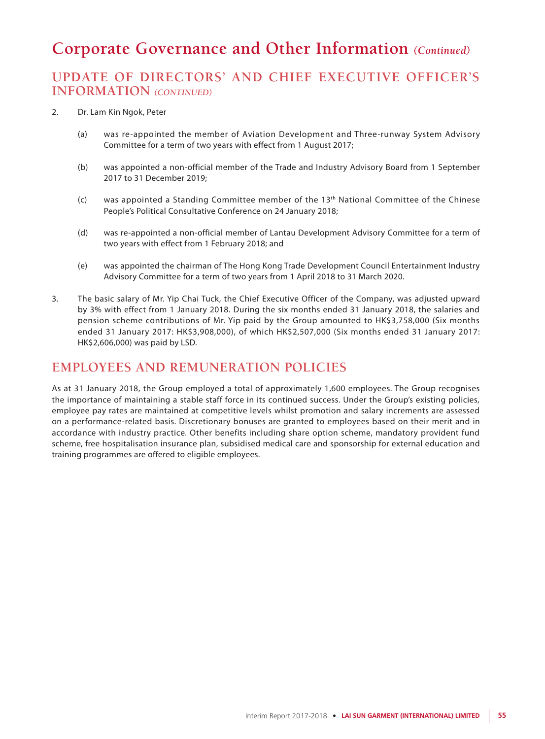## **UPDATE OF DIRECTORS' AND CHIEF EXECUTIVE OFFICER'S INFORMATION** *(CONTINUED)*

- 2. Dr. Lam Kin Ngok, Peter
	- (a) was re-appointed the member of Aviation Development and Three-runway System Advisory Committee for a term of two years with effect from 1 August 2017;
	- (b) was appointed a non-official member of the Trade and Industry Advisory Board from 1 September 2017 to 31 December 2019;
	- (c) was appointed a Standing Committee member of the 13th National Committee of the Chinese People's Political Consultative Conference on 24 January 2018;
	- (d) was re-appointed a non-official member of Lantau Development Advisory Committee for a term of two years with effect from 1 February 2018; and
	- (e) was appointed the chairman of The Hong Kong Trade Development Council Entertainment Industry Advisory Committee for a term of two years from 1 April 2018 to 31 March 2020.
- 3. The basic salary of Mr. Yip Chai Tuck, the Chief Executive Officer of the Company, was adjusted upward by 3% with effect from 1 January 2018. During the six months ended 31 January 2018, the salaries and pension scheme contributions of Mr. Yip paid by the Group amounted to HK\$3,758,000 (Six months ended 31 January 2017: HK\$3,908,000), of which HK\$2,507,000 (Six months ended 31 January 2017: HK\$2,606,000) was paid by LSD.

## **EMPLOYEES AND REMUNERATION POLICIES**

As at 31 January 2018, the Group employed a total of approximately 1,600 employees. The Group recognises the importance of maintaining a stable staff force in its continued success. Under the Group's existing policies, employee pay rates are maintained at competitive levels whilst promotion and salary increments are assessed on a performance-related basis. Discretionary bonuses are granted to employees based on their merit and in accordance with industry practice. Other benefits including share option scheme, mandatory provident fund scheme, free hospitalisation insurance plan, subsidised medical care and sponsorship for external education and training programmes are offered to eligible employees.